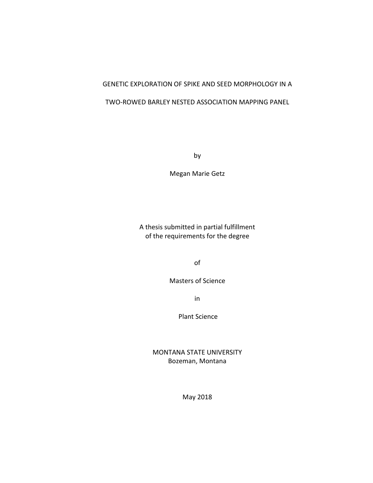## GENETIC EXPLORATION OF SPIKE AND SEED MORPHOLOGY IN A

## TWO-ROWED BARLEY NESTED ASSOCIATION MAPPING PANEL

by

Megan Marie Getz

A thesis submitted in partial fulfillment of the requirements for the degree

of

Masters of Science

in

Plant Science

MONTANA STATE UNIVERSITY Bozeman, Montana

May 2018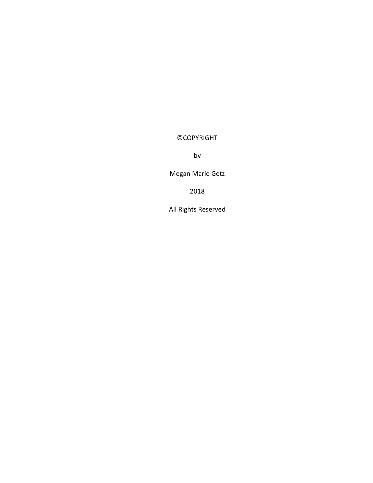**©COPYRIGHT** 

by

Megan Marie Getz

2018

All Rights Reserved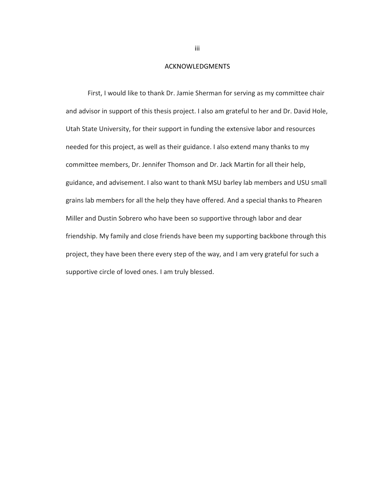#### ACKNOWLEDGMENTS

First, I would like to thank Dr. Jamie Sherman for serving as my committee chair and advisor in support of this thesis project. I also am grateful to her and Dr. David Hole, Utah State University, for their support in funding the extensive labor and resources needed for this project, as well as their guidance. I also extend many thanks to my committee members, Dr. Jennifer Thomson and Dr. Jack Martin for all their help, guidance, and advisement. I also want to thank MSU barley lab members and USU small grains lab members for all the help they have offered. And a special thanks to Phearen Miller and Dustin Sobrero who have been so supportive through labor and dear friendship. My family and close friends have been my supporting backbone through this project, they have been there every step of the way, and I am very grateful for such a supportive circle of loved ones. I am truly blessed.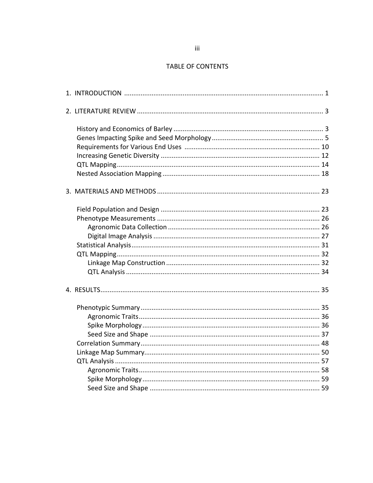## TABLE OF CONTENTS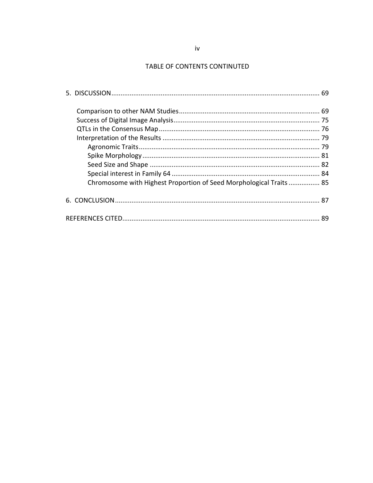# TABLE OF CONTENTS CONTINUTED

| Chromosome with Highest Proportion of Seed Morphological Traits  85 |  |
|---------------------------------------------------------------------|--|
|                                                                     |  |
|                                                                     |  |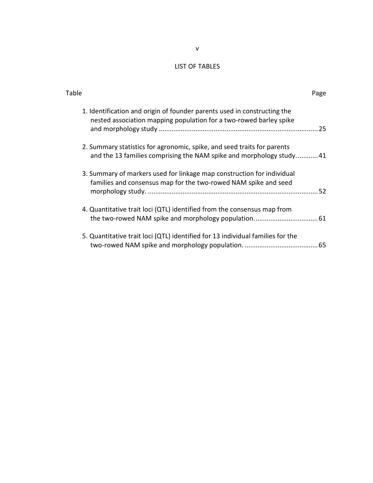## LIST OF TABLES

| Page |                                                                                                                                                | Table |
|------|------------------------------------------------------------------------------------------------------------------------------------------------|-------|
| 25   | 1. Identification and origin of founder parents used in constructing the<br>nested association mapping population for a two-rowed barley spike |       |
|      | 2. Summary statistics for agronomic, spike, and seed traits for parents<br>and the 13 families comprising the NAM spike and morphology study41 |       |
|      | 3. Summary of markers used for linkage map construction for individual<br>families and consensus map for the two-rowed NAM spike and seed      |       |
|      | 4. Quantitative trait loci (QTL) identified from the consensus map from                                                                        |       |
|      | 5. Quantitative trait loci (QTL) identified for 13 individual families for the                                                                 |       |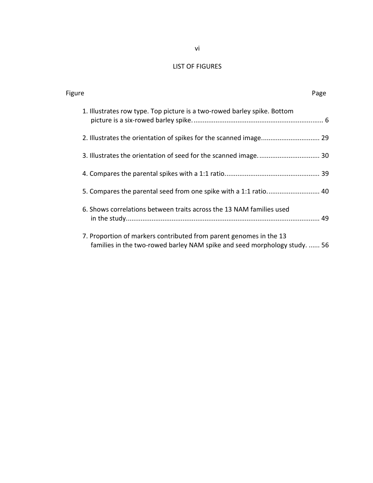# LIST OF FIGURES

| Figure |                                                                                                                                                 | Page |
|--------|-------------------------------------------------------------------------------------------------------------------------------------------------|------|
|        | 1. Illustrates row type. Top picture is a two-rowed barley spike. Bottom                                                                        |      |
|        |                                                                                                                                                 |      |
|        |                                                                                                                                                 |      |
|        |                                                                                                                                                 |      |
|        | 5. Compares the parental seed from one spike with a 1:1 ratio 40                                                                                |      |
|        | 6. Shows correlations between traits across the 13 NAM families used                                                                            |      |
|        | 7. Proportion of markers contributed from parent genomes in the 13<br>families in the two-rowed barley NAM spike and seed morphology study.  56 |      |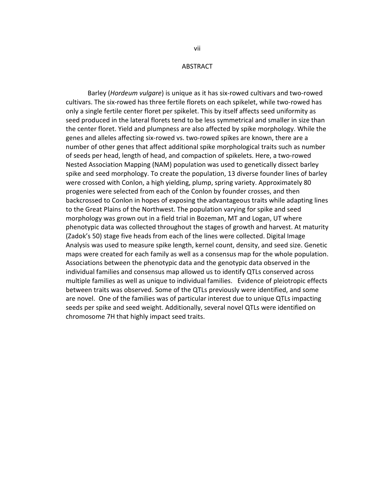#### ABSTRACT

Barley (*Hordeum vulgare*) is unique as it has six-rowed cultivars and two-rowed cultivars. The six-rowed has three fertile florets on each spikelet, while two-rowed has only a single fertile center floret per spikelet. This by itself affects seed uniformity as seed produced in the lateral florets tend to be less symmetrical and smaller in size than the center floret. Yield and plumpness are also affected by spike morphology. While the genes and alleles affecting six-rowed vs. two-rowed spikes are known, there are a number of other genes that affect additional spike morphological traits such as number of seeds per head, length of head, and compaction of spikelets. Here, a two-rowed Nested Association Mapping (NAM) population was used to genetically dissect barley spike and seed morphology. To create the population, 13 diverse founder lines of barley were crossed with Conlon, a high yielding, plump, spring variety. Approximately 80 progenies were selected from each of the Conlon by founder crosses, and then backcrossed to Conlon in hopes of exposing the advantageous traits while adapting lines to the Great Plains of the Northwest. The population varying for spike and seed morphology was grown out in a field trial in Bozeman, MT and Logan, UT where phenotypic data was collected throughout the stages of growth and harvest. At maturity (Zadok's 50) stage five heads from each of the lines were collected. Digital Image Analysis was used to measure spike length, kernel count, density, and seed size. Genetic maps were created for each family as well as a consensus map for the whole population. Associations between the phenotypic data and the genotypic data observed in the individual families and consensus map allowed us to identify QTLs conserved across multiple families as well as unique to individual families. Evidence of pleiotropic effects between traits was observed. Some of the QTLs previously were identified, and some are novel. One of the families was of particular interest due to unique QTLs impacting seeds per spike and seed weight. Additionally, several novel QTLs were identified on chromosome 7H that highly impact seed traits.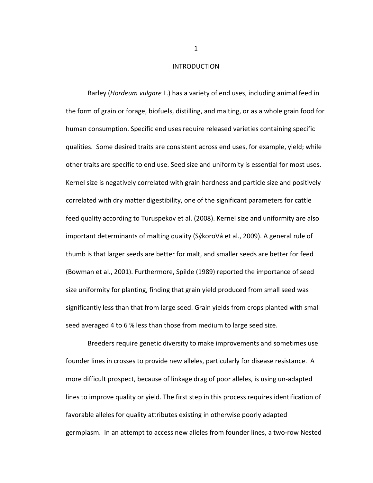#### INTRODUCTION

 Barley (*Hordeum vulgare* L.) has a variety of end uses, including animal feed in the form of grain or forage, biofuels, distilling, and malting, or as a whole grain food for human consumption. Specific end uses require released varieties containing specific qualities. Some desired traits are consistent across end uses, for example, yield; while other traits are specific to end use. Seed size and uniformity is essential for most uses. Kernel size is negatively correlated with grain hardness and particle size and positively correlated with dry matter digestibility, one of the significant parameters for cattle feed quality according to Turuspekov et al. (2008). Kernel size and uniformity are also important determinants of malting quality (SýkoroVá et al., 2009). A general rule of thumb is that larger seeds are better for malt, and smaller seeds are better for feed (Bowman et al., 2001). Furthermore, Spilde (1989) reported the importance of seed size uniformity for planting, finding that grain yield produced from small seed was significantly less than that from large seed. Grain yields from crops planted with small seed averaged 4 to 6 % less than those from medium to large seed size.

Breeders require genetic diversity to make improvements and sometimes use founder lines in crosses to provide new alleles, particularly for disease resistance. A more difficult prospect, because of linkage drag of poor alleles, is using un-adapted lines to improve quality or yield. The first step in this process requires identification of favorable alleles for quality attributes existing in otherwise poorly adapted germplasm. In an attempt to access new alleles from founder lines, a two-row Nested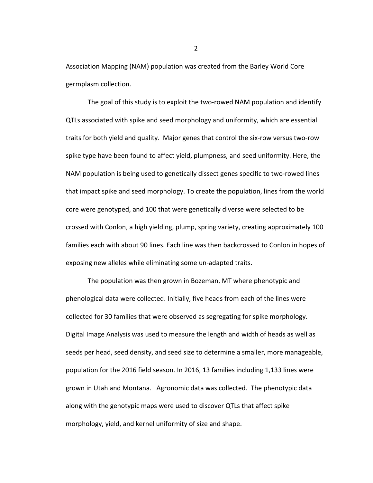Association Mapping (NAM) population was created from the Barley World Core germplasm collection.

The goal of this study is to exploit the two-rowed NAM population and identify QTLs associated with spike and seed morphology and uniformity, which are essential traits for both yield and quality. Major genes that control the six-row versus two-row spike type have been found to affect yield, plumpness, and seed uniformity. Here, the NAM population is being used to genetically dissect genes specific to two-rowed lines that impact spike and seed morphology. To create the population, lines from the world core were genotyped, and 100 that were genetically diverse were selected to be crossed with Conlon, a high yielding, plump, spring variety, creating approximately 100 families each with about 90 lines. Each line was then backcrossed to Conlon in hopes of exposing new alleles while eliminating some un-adapted traits.

The population was then grown in Bozeman, MT where phenotypic and phenological data were collected. Initially, five heads from each of the lines were collected for 30 families that were observed as segregating for spike morphology. Digital Image Analysis was used to measure the length and width of heads as well as seeds per head, seed density, and seed size to determine a smaller, more manageable, population for the 2016 field season. In 2016, 13 families including 1,133 lines were grown in Utah and Montana. Agronomic data was collected. The phenotypic data along with the genotypic maps were used to discover QTLs that affect spike morphology, yield, and kernel uniformity of size and shape.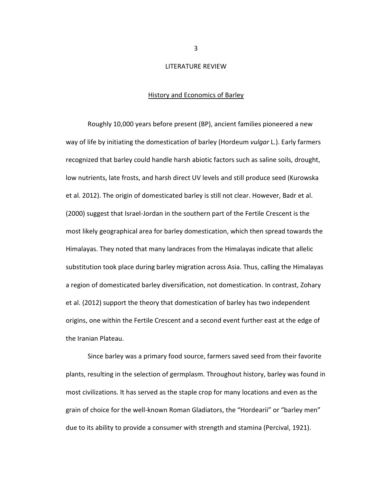#### LITERATURE REVIEW

## History and Economics of Barley

Roughly 10,000 years before present (BP), ancient families pioneered a new way of life by initiating the domestication of barley (Hordeum *vulgar* L.). Early farmers recognized that barley could handle harsh abiotic factors such as saline soils, drought, low nutrients, late frosts, and harsh direct UV levels and still produce seed (Kurowska et al. 2012). The origin of domesticated barley is still not clear. However, Badr et al. (2000) suggest that Israel-Jordan in the southern part of the Fertile Crescent is the most likely geographical area for barley domestication, which then spread towards the Himalayas. They noted that many landraces from the Himalayas indicate that allelic substitution took place during barley migration across Asia. Thus, calling the Himalayas a region of domesticated barley diversification, not domestication. In contrast, Zohary et al. (2012) support the theory that domestication of barley has two independent origins, one within the Fertile Crescent and a second event further east at the edge of the Iranian Plateau.

Since barley was a primary food source, farmers saved seed from their favorite plants, resulting in the selection of germplasm. Throughout history, barley was found in most civilizations. It has served as the staple crop for many locations and even as the grain of choice for the well-known Roman Gladiators, the "Hordearii" or "barley men" due to its ability to provide a consumer with strength and stamina (Percival, 1921).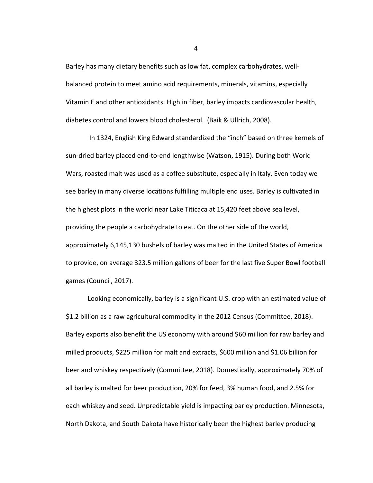Barley has many dietary benefits such as low fat, complex carbohydrates, wellbalanced protein to meet amino acid requirements, minerals, vitamins, especially Vitamin E and other antioxidants. High in fiber, barley impacts cardiovascular health, diabetes control and lowers blood cholesterol. (Baik & Ullrich, 2008).

 In 1324, English King Edward standardized the "inch" based on three kernels of sun-dried barley placed end-to-end lengthwise (Watson, 1915). During both World Wars, roasted malt was used as a coffee substitute, especially in Italy. Even today we see barley in many diverse locations fulfilling multiple end uses. Barley is cultivated in the highest plots in the world near Lake Titicaca at 15,420 feet above sea level, providing the people a carbohydrate to eat. On the other side of the world, approximately 6,145,130 bushels of barley was malted in the United States of America to provide, on average 323.5 million gallons of beer for the last five Super Bowl football games (Council, 2017).

Looking economically, barley is a significant U.S. crop with an estimated value of \$1.2 billion as a raw agricultural commodity in the 2012 Census (Committee, 2018). Barley exports also benefit the US economy with around \$60 million for raw barley and milled products, \$225 million for malt and extracts, \$600 million and \$1.06 billion for beer and whiskey respectively (Committee, 2018). Domestically, approximately 70% of all barley is malted for beer production, 20% for feed, 3% human food, and 2.5% for each whiskey and seed. Unpredictable yield is impacting barley production. Minnesota, North Dakota, and South Dakota have historically been the highest barley producing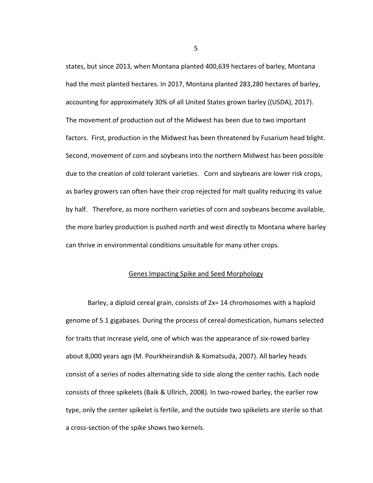states, but since 2013, when Montana planted 400,639 hectares of barley, Montana had the most planted hectares. In 2017, Montana planted 283,280 hectares of barley, accounting for approximately 30% of all United States grown barley ((USDA), 2017). The movement of production out of the Midwest has been due to two important factors. First, production in the Midwest has been threatened by Fusarium head blight. Second, movement of corn and soybeans into the northern Midwest has been possible due to the creation of cold tolerant varieties. Corn and soybeans are lower risk crops, as barley growers can often have their crop rejected for malt quality reducing its value by half. Therefore, as more northern varieties of corn and soybeans become available, the more barley production is pushed north and west directly to Montana where barley can thrive in environmental conditions unsuitable for many other crops.

#### Genes Impacting Spike and Seed Morphology

Barley, a diploid cereal grain, consists of 2x= 14 chromosomes with a haploid genome of 5.1 gigabases. During the process of cereal domestication, humans selected for traits that increase yield, one of which was the appearance of six-rowed barley about 8,000 years ago (M. Pourkheirandish & Komatsuda, 2007). All barley heads consist of a series of nodes alternating side to side along the center rachis. Each node consists of three spikelets (Baik & Ullrich, 2008). In two-rowed barley, the earlier row type, only the center spikelet is fertile, and the outside two spikelets are sterile so that a cross-section of the spike shows two kernels.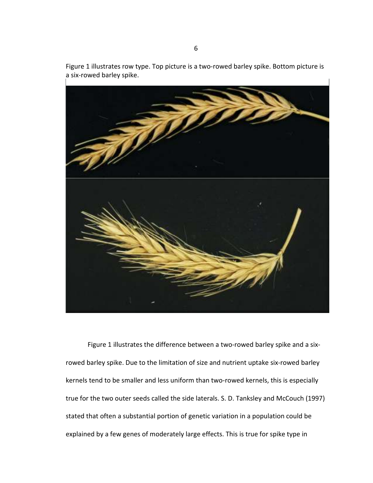Figure 1 illustrates row type. Top picture is a two-rowed barley spike. Bottom picture is a six-rowed barley spike.



Figure 1 illustrates the difference between a two-rowed barley spike and a sixrowed barley spike. Due to the limitation of size and nutrient uptake six-rowed barley kernels tend to be smaller and less uniform than two-rowed kernels, this is especially true for the two outer seeds called the side laterals. S. D. Tanksley and McCouch (1997) stated that often a substantial portion of genetic variation in a population could be explained by a few genes of moderately large effects. This is true for spike type in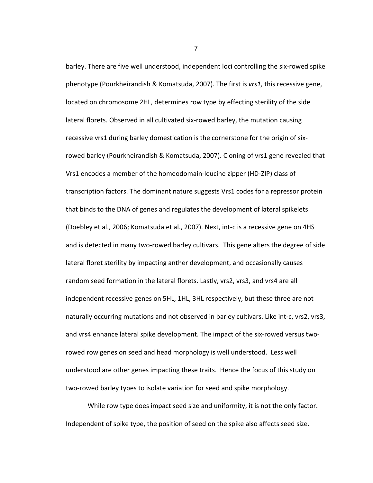barley. There are five well understood, independent loci controlling the six-rowed spike phenotype (Pourkheirandish & Komatsuda, 2007). The first is *vrs1,* this recessive gene, located on chromosome 2HL, determines row type by effecting sterility of the side lateral florets. Observed in all cultivated six-rowed barley, the mutation causing recessive vrs1 during barley domestication is the cornerstone for the origin of sixrowed barley (Pourkheirandish & Komatsuda, 2007). Cloning of vrs1 gene revealed that Vrs1 encodes a member of the homeodomain-leucine zipper (HD-ZIP) class of transcription factors. The dominant nature suggests Vrs1 codes for a repressor protein that binds to the DNA of genes and regulates the development of lateral spikelets (Doebley et al., 2006; Komatsuda et al., 2007). Next, int-c is a recessive gene on 4HS and is detected in many two-rowed barley cultivars. This gene alters the degree of side lateral floret sterility by impacting anther development, and occasionally causes random seed formation in the lateral florets. Lastly, vrs2, vrs3, and vrs4 are all independent recessive genes on 5HL, 1HL, 3HL respectively, but these three are not naturally occurring mutations and not observed in barley cultivars. Like int-c, vrs2, vrs3, and vrs4 enhance lateral spike development. The impact of the six-rowed versus tworowed row genes on seed and head morphology is well understood. Less well understood are other genes impacting these traits. Hence the focus of this study on two-rowed barley types to isolate variation for seed and spike morphology.

While row type does impact seed size and uniformity, it is not the only factor. Independent of spike type, the position of seed on the spike also affects seed size.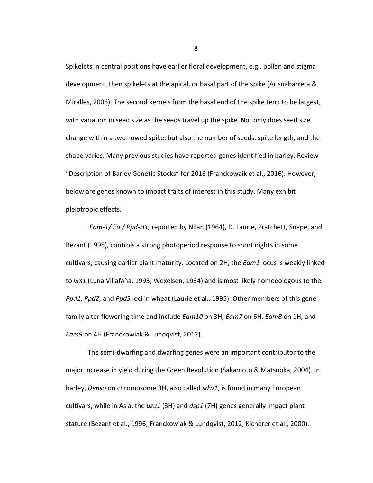Spikelets in central positions have earlier floral development, e.g., pollen and stigma development, then spikelets at the apical, or basal part of the spike (Arisnabarreta & Miralles, 2006). The second kernels from the basal end of the spike tend to be largest, with variation in seed size as the seeds travel up the spike. Not only does seed size change within a two-rowed spike, but also the number of seeds, spike length, and the shape varies. Many previous studies have reported genes identified in barley. Review "Description of Barley Genetic Stocks" for 2016 (Franckowaik et al., 2016). However, below are genes known to impact traits of interest in this study. Many exhibit pleiotropic effects.

*Eam-1/ Ea / Ppd-H1,* reported by Nilan (1964), D. Laurie, Pratchett, Snape, and Bezant (1995), controls a strong photoperiod response to short nights in some cultivars, causing earlier plant maturity. Located on 2H, the *Eam1* locus is weakly linked to *vrs1* (Luna Villafaña, 1995; Wexelsen, 1934) and is most likely homoeologous to the *Ppd1*, *Ppd2*, and *Ppd3* loci in wheat (Laurie et al., 1995). Other members of this gene family alter flowering time and include *Eam10* on 3H, *Eam7* on 6H, *Eam8* on 1H, and *Eam9* on 4H (Franckowiak & Lundqvist, 2012).

The semi-dwarfing and dwarfing genes were an important contributor to the major increase in yield during the Green Revolution (Sakamoto & Matsuoka, 2004). In barley, *Denso* on chromosome 3H, also called *sdw1*, is found in many European cultivars, while in Asia, the *uzu1* (3H) and *dsp1* (7H) genes generally impact plant stature (Bezant et al., 1996; Franckowiak & Lundqvist, 2012; Kicherer et al., 2000).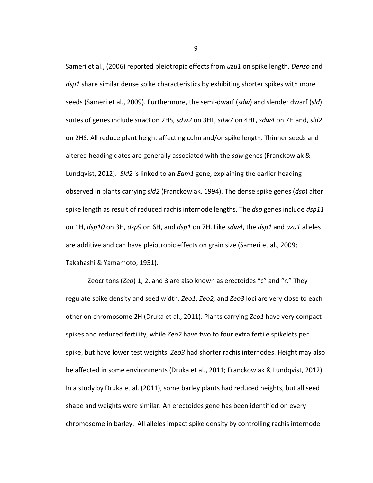Sameri et al., (2006) reported pleiotropic effects from *uzu1* on spike length. *Denso* and *dsp1* share similar dense spike characteristics by exhibiting shorter spikes with more seeds (Sameri et al., 2009). Furthermore, the semi-dwarf (*sdw*) and slender dwarf (*sld*) suites of genes include *sdw3* on 2HS, *sdw2* on 3HL, *sdw7* on 4HL, *sdw4* on 7H and, *sld2* on 2HS. All reduce plant height affecting culm and/or spike length. Thinner seeds and altered heading dates are generally associated with the *sdw* genes (Franckowiak & Lundqvist, 2012). *Sld2* is linked to an *Eam1* gene, explaining the earlier heading observed in plants carrying *sld2* (Franckowiak, 1994). The dense spike genes (*dsp*) alter spike length as result of reduced rachis internode lengths. The *dsp* genes include *dsp11* on 1H, *dsp10* on 3H, *dsp9* on 6H, and *dsp1* on 7H. Like *sdw4*, the *dsp1* and *uzu1* alleles are additive and can have pleiotropic effects on grain size (Sameri et al., 2009; Takahashi & Yamamoto, 1951).

Zeocritons (*Zeo*) 1, 2, and 3 are also known as erectoides "c" and "r." They regulate spike density and seed width. *Zeo1*, *Zeo2,* and *Zeo3* loci are very close to each other on chromosome 2H (Druka et al., 2011). Plants carrying *Zeo1* have very compact spikes and reduced fertility, while *Zeo2* have two to four extra fertile spikelets per spike, but have lower test weights. *Zeo3* had shorter rachis internodes. Height may also be affected in some environments (Druka et al., 2011; Franckowiak & Lundqvist, 2012). In a study by Druka et al. (2011), some barley plants had reduced heights, but all seed shape and weights were similar. An erectoides gene has been identified on every chromosome in barley. All alleles impact spike density by controlling rachis internode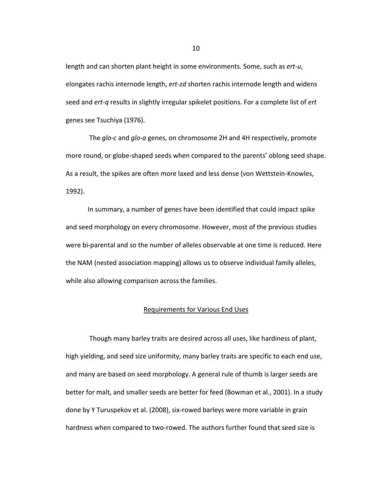length and can shorten plant height in some environments. Some, such as *ert-u*, elongates rachis internode length, *ert-zd* shorten rachis internode length and widens seed and *ert-q* results in slightly irregular spikelet positions. For a complete list of *ert* genes see Tsuchiya (1976).

 The *glo-c* and *glo-a* genes, on chromosome 2H and 4H respectively, promote more round, or globe-shaped seeds when compared to the parents' oblong seed shape. As a result, the spikes are often more laxed and less dense (von Wettstein-Knowles, 1992).

In summary, a number of genes have been identified that could impact spike and seed morphology on every chromosome. However, most of the previous studies were bi-parental and so the number of alleles observable at one time is reduced. Here the NAM (nested association mapping) allows us to observe individual family alleles, while also allowing comparison across the families.

### Requirements for Various End Uses

 Though many barley traits are desired across all uses, like hardiness of plant, high yielding, and seed size uniformity, many barley traits are specific to each end use, and many are based on seed morphology. A general rule of thumb is larger seeds are better for malt, and smaller seeds are better for feed (Bowman et al., 2001). In a study done by Y Turuspekov et al. (2008), six-rowed barleys were more variable in grain hardness when compared to two-rowed. The authors further found that seed size is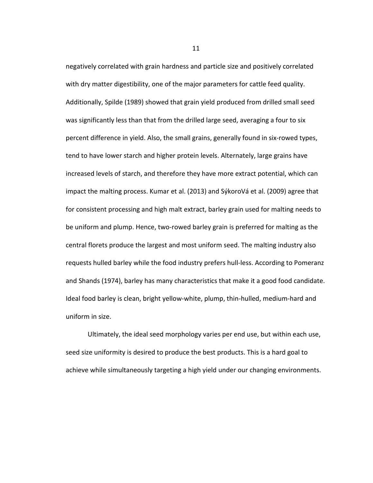negatively correlated with grain hardness and particle size and positively correlated with dry matter digestibility, one of the major parameters for cattle feed quality. Additionally, Spilde (1989) showed that grain yield produced from drilled small seed was significantly less than that from the drilled large seed, averaging a four to six percent difference in yield. Also, the small grains, generally found in six-rowed types, tend to have lower starch and higher protein levels. Alternately, large grains have increased levels of starch, and therefore they have more extract potential, which can impact the malting process. Kumar et al. (2013) and SýkoroVá et al. (2009) agree that for consistent processing and high malt extract, barley grain used for malting needs to be uniform and plump. Hence, two-rowed barley grain is preferred for malting as the central florets produce the largest and most uniform seed. The malting industry also requests hulled barley while the food industry prefers hull-less. According to Pomeranz and Shands (1974), barley has many characteristics that make it a good food candidate. Ideal food barley is clean, bright yellow-white, plump, thin-hulled, medium-hard and uniform in size.

Ultimately, the ideal seed morphology varies per end use, but within each use, seed size uniformity is desired to produce the best products. This is a hard goal to achieve while simultaneously targeting a high yield under our changing environments.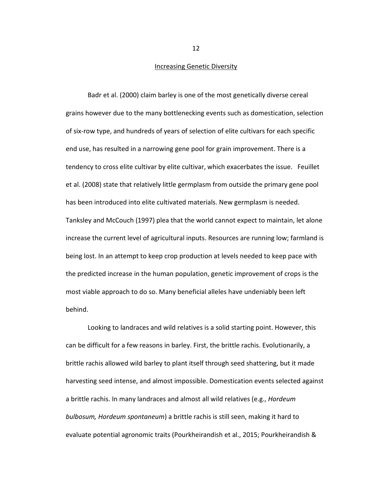#### Increasing Genetic Diversity

 Badr et al. (2000) claim barley is one of the most genetically diverse cereal grains however due to the many bottlenecking events such as domestication, selection of six-row type, and hundreds of years of selection of elite cultivars for each specific end use, has resulted in a narrowing gene pool for grain improvement. There is a tendency to cross elite cultivar by elite cultivar, which exacerbates the issue. Feuillet et al. (2008) state that relatively little germplasm from outside the primary gene pool has been introduced into elite cultivated materials. New germplasm is needed. Tanksley and McCouch (1997) plea that the world cannot expect to maintain, let alone increase the current level of agricultural inputs. Resources are running low; farmland is being lost. In an attempt to keep crop production at levels needed to keep pace with the predicted increase in the human population, genetic improvement of crops is the most viable approach to do so. Many beneficial alleles have undeniably been left behind.

Looking to landraces and wild relatives is a solid starting point. However, this can be difficult for a few reasons in barley. First, the brittle rachis. Evolutionarily, a brittle rachis allowed wild barley to plant itself through seed shattering, but it made harvesting seed intense, and almost impossible. Domestication events selected against a brittle rachis. In many landraces and almost all wild relatives (e.g., *Hordeum bulbosum, Hordeum spontaneum*) a brittle rachis is still seen, making it hard to evaluate potential agronomic traits (Pourkheirandish et al., 2015; Pourkheirandish &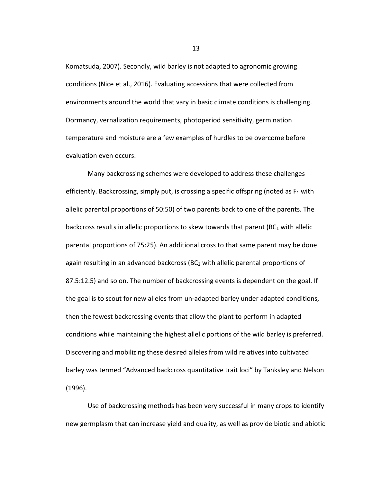Komatsuda, 2007). Secondly, wild barley is not adapted to agronomic growing conditions (Nice et al., 2016). Evaluating accessions that were collected from environments around the world that vary in basic climate conditions is challenging. Dormancy, vernalization requirements, photoperiod sensitivity, germination temperature and moisture are a few examples of hurdles to be overcome before evaluation even occurs.

Many backcrossing schemes were developed to address these challenges efficiently. Backcrossing, simply put, is crossing a specific offspring (noted as  $F_1$  with allelic parental proportions of 50:50) of two parents back to one of the parents. The backcross results in allelic proportions to skew towards that parent (BC $_1$  with allelic parental proportions of 75:25). An additional cross to that same parent may be done again resulting in an advanced backcross (BC $<sub>2</sub>$  with allelic parental proportions of</sub> 87.5:12.5) and so on. The number of backcrossing events is dependent on the goal. If the goal is to scout for new alleles from un-adapted barley under adapted conditions, then the fewest backcrossing events that allow the plant to perform in adapted conditions while maintaining the highest allelic portions of the wild barley is preferred. Discovering and mobilizing these desired alleles from wild relatives into cultivated barley was termed "Advanced backcross quantitative trait loci" by Tanksley and Nelson (1996).

Use of backcrossing methods has been very successful in many crops to identify new germplasm that can increase yield and quality, as well as provide biotic and abiotic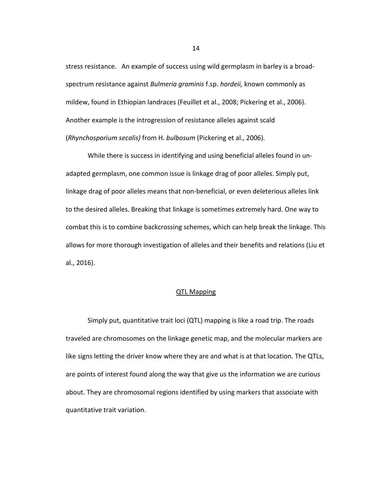stress resistance. An example of success using wild germplasm in barley is a broadspectrum resistance against *Bulmeria graminis* f.sp. *hordeii,* known commonly as mildew, found in Ethiopian landraces (Feuillet et al., 2008; Pickering et al., 2006). Another example is the introgression of resistance alleles against scald (*Rhynchosporium secalis)* from H. *bulbosum* (Pickering et al., 2006).

While there is success in identifying and using beneficial alleles found in unadapted germplasm, one common issue is linkage drag of poor alleles. Simply put, linkage drag of poor alleles means that non-beneficial, or even deleterious alleles link to the desired alleles. Breaking that linkage is sometimes extremely hard. One way to combat this is to combine backcrossing schemes, which can help break the linkage. This allows for more thorough investigation of alleles and their benefits and relations (Liu et al., 2016).

### QTL Mapping

 Simply put, quantitative trait loci (QTL) mapping is like a road trip. The roads traveled are chromosomes on the linkage genetic map, and the molecular markers are like signs letting the driver know where they are and what is at that location. The QTLs, are points of interest found along the way that give us the information we are curious about. They are chromosomal regions identified by using markers that associate with quantitative trait variation.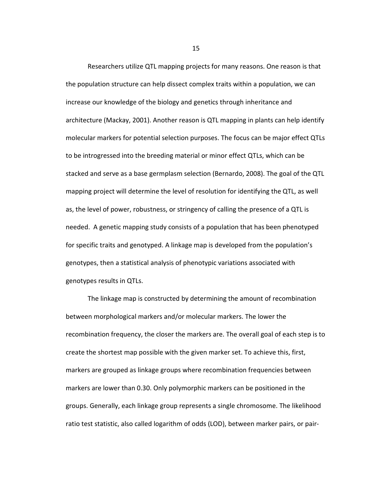Researchers utilize QTL mapping projects for many reasons. One reason is that the population structure can help dissect complex traits within a population, we can increase our knowledge of the biology and genetics through inheritance and architecture (Mackay, 2001). Another reason is QTL mapping in plants can help identify molecular markers for potential selection purposes. The focus can be major effect QTLs to be introgressed into the breeding material or minor effect QTLs, which can be stacked and serve as a base germplasm selection (Bernardo, 2008). The goal of the QTL mapping project will determine the level of resolution for identifying the QTL, as well as, the level of power, robustness, or stringency of calling the presence of a QTL is needed. A genetic mapping study consists of a population that has been phenotyped for specific traits and genotyped. A linkage map is developed from the population's genotypes, then a statistical analysis of phenotypic variations associated with genotypes results in QTLs.

The linkage map is constructed by determining the amount of recombination between morphological markers and/or molecular markers. The lower the recombination frequency, the closer the markers are. The overall goal of each step is to create the shortest map possible with the given marker set. To achieve this, first, markers are grouped as linkage groups where recombination frequencies between markers are lower than 0.30. Only polymorphic markers can be positioned in the groups. Generally, each linkage group represents a single chromosome. The likelihood ratio test statistic, also called logarithm of odds (LOD), between marker pairs, or pair-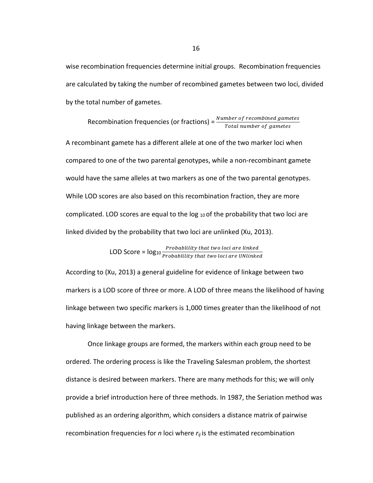wise recombination frequencies determine initial groups. Recombination frequencies are calculated by taking the number of recombined gametes between two loci, divided by the total number of gametes.

Recombination frequencies (or fractions) = 
$$
\frac{Number\ of\ recombined\ gametes}{Total\ number\ of\ gametes}
$$

A recombinant gamete has a different allele at one of the two marker loci when compared to one of the two parental genotypes, while a non-recombinant gamete would have the same alleles at two markers as one of the two parental genotypes. While LOD scores are also based on this recombination fraction, they are more complicated. LOD scores are equal to the  $log_{10}$  of the probability that two loci are linked divided by the probability that two loci are unlinked (Xu, 2013).

**LOD Score =**  $log_{10} \frac{Probability that two loci are linked}{mask that two loci are UNlink}$ Probablility that two loci are UNlinked

According to (Xu, 2013) a general guideline for evidence of linkage between two markers is a LOD score of three or more. A LOD of three means the likelihood of having linkage between two specific markers is 1,000 times greater than the likelihood of not having linkage between the markers.

 Once linkage groups are formed, the markers within each group need to be ordered. The ordering process is like the Traveling Salesman problem, the shortest distance is desired between markers. There are many methods for this; we will only provide a brief introduction here of three methods. In 1987, the Seriation method was published as an ordering algorithm, which considers a distance matrix of pairwise recombination frequencies for *n* loci where *rij* is the estimated recombination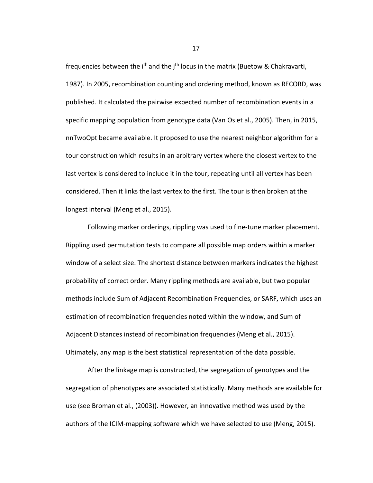frequencies between the i<sup>th</sup> and the j<sup>th</sup> locus in the matrix (Buetow & Chakravarti, 1987). In 2005, recombination counting and ordering method, known as RECORD, was published. It calculated the pairwise expected number of recombination events in a specific mapping population from genotype data (Van Os et al., 2005). Then, in 2015, nnTwoOpt became available. It proposed to use the nearest neighbor algorithm for a tour construction which results in an arbitrary vertex where the closest vertex to the last vertex is considered to include it in the tour, repeating until all vertex has been considered. Then it links the last vertex to the first. The tour is then broken at the longest interval (Meng et al., 2015).

 Following marker orderings, rippling was used to fine-tune marker placement. Rippling used permutation tests to compare all possible map orders within a marker window of a select size. The shortest distance between markers indicates the highest probability of correct order. Many rippling methods are available, but two popular methods include Sum of Adjacent Recombination Frequencies, or SARF, which uses an estimation of recombination frequencies noted within the window, and Sum of Adjacent Distances instead of recombination frequencies (Meng et al., 2015). Ultimately, any map is the best statistical representation of the data possible.

 After the linkage map is constructed, the segregation of genotypes and the segregation of phenotypes are associated statistically. Many methods are available for use (see Broman et al., (2003)). However, an innovative method was used by the authors of the ICIM-mapping software which we have selected to use (Meng, 2015).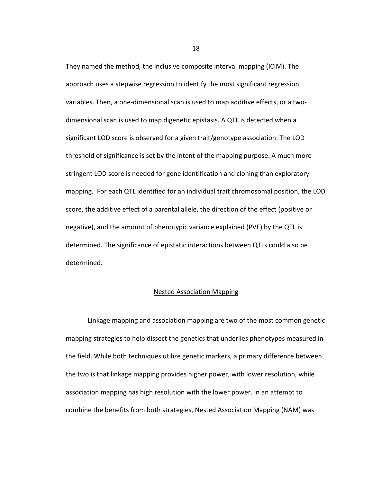They named the method, the inclusive composite interval mapping (ICIM). The approach uses a stepwise regression to identify the most significant regression variables. Then, a one-dimensional scan is used to map additive effects, or a twodimensional scan is used to map digenetic epistasis. A QTL is detected when a significant LOD score is observed for a given trait/genotype association. The LOD threshold of significance is set by the intent of the mapping purpose. A much more stringent LOD score is needed for gene identification and cloning than exploratory mapping. For each QTL identified for an individual trait chromosomal position, the LOD score, the additive effect of a parental allele, the direction of the effect (positive or negative), and the amount of phenotypic variance explained (PVE) by the QTL is determined. The significance of epistatic interactions between QTLs could also be determined.

## Nested Association Mapping

Linkage mapping and association mapping are two of the most common genetic mapping strategies to help dissect the genetics that underlies phenotypes measured in the field. While both techniques utilize genetic markers, a primary difference between the two is that linkage mapping provides higher power, with lower resolution, while association mapping has high resolution with the lower power. In an attempt to combine the benefits from both strategies, Nested Association Mapping (NAM) was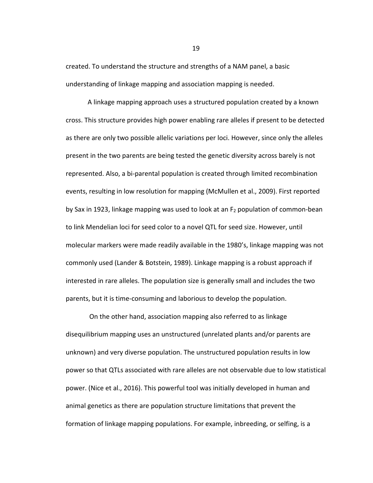created. To understand the structure and strengths of a NAM panel, a basic understanding of linkage mapping and association mapping is needed.

A linkage mapping approach uses a structured population created by a known cross. This structure provides high power enabling rare alleles if present to be detected as there are only two possible allelic variations per loci. However, since only the alleles present in the two parents are being tested the genetic diversity across barely is not represented. Also, a bi-parental population is created through limited recombination events, resulting in low resolution for mapping (McMullen et al., 2009). First reported by Sax in 1923, linkage mapping was used to look at an  $F_2$  population of common-bean to link Mendelian loci for seed color to a novel QTL for seed size. However, until molecular markers were made readily available in the 1980's, linkage mapping was not commonly used (Lander & Botstein, 1989). Linkage mapping is a robust approach if interested in rare alleles. The population size is generally small and includes the two parents, but it is time-consuming and laborious to develop the population.

 On the other hand, association mapping also referred to as linkage disequilibrium mapping uses an unstructured (unrelated plants and/or parents are unknown) and very diverse population. The unstructured population results in low power so that QTLs associated with rare alleles are not observable due to low statistical power. (Nice et al., 2016). This powerful tool was initially developed in human and animal genetics as there are population structure limitations that prevent the formation of linkage mapping populations. For example, inbreeding, or selfing, is a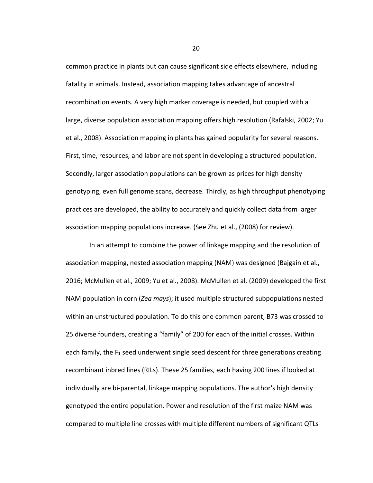common practice in plants but can cause significant side effects elsewhere, including fatality in animals. Instead, association mapping takes advantage of ancestral recombination events. A very high marker coverage is needed, but coupled with a large, diverse population association mapping offers high resolution (Rafalski, 2002; Yu et al., 2008). Association mapping in plants has gained popularity for several reasons. First, time, resources, and labor are not spent in developing a structured population. Secondly, larger association populations can be grown as prices for high density genotyping, even full genome scans, decrease. Thirdly, as high throughput phenotyping practices are developed, the ability to accurately and quickly collect data from larger association mapping populations increase. (See Zhu et al., (2008) for review).

 In an attempt to combine the power of linkage mapping and the resolution of association mapping, nested association mapping (NAM) was designed (Bajgain et al., 2016; McMullen et al., 2009; Yu et al., 2008). McMullen et al. (2009) developed the first NAM population in corn (*Zea mays*); it used multiple structured subpopulations nested within an unstructured population. To do this one common parent, B73 was crossed to 25 diverse founders, creating a "family" of 200 for each of the initial crosses. Within each family, the  $F_1$  seed underwent single seed descent for three generations creating recombinant inbred lines (RILs). These 25 families, each having 200 lines if looked at individually are bi-parental, linkage mapping populations. The author's high density genotyped the entire population. Power and resolution of the first maize NAM was compared to multiple line crosses with multiple different numbers of significant QTLs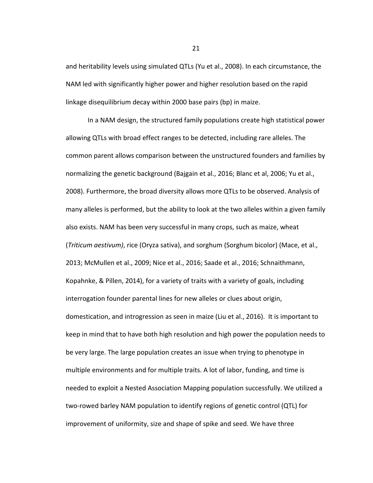and heritability levels using simulated QTLs (Yu et al., 2008). In each circumstance, the NAM led with significantly higher power and higher resolution based on the rapid linkage disequilibrium decay within 2000 base pairs (bp) in maize.

In a NAM design, the structured family populations create high statistical power allowing QTLs with broad effect ranges to be detected, including rare alleles. The common parent allows comparison between the unstructured founders and families by normalizing the genetic background (Bajgain et al., 2016; Blanc et al, 2006; Yu et al., 2008). Furthermore, the broad diversity allows more QTLs to be observed. Analysis of many alleles is performed, but the ability to look at the two alleles within a given family also exists. NAM has been very successful in many crops, such as maize, wheat (*Triticum aestivum)*, rice (Oryza sativa), and sorghum (Sorghum bicolor) (Mace, et al., 2013; McMullen et al., 2009; Nice et al., 2016; Saade et al., 2016; Schnaithmann, Kopahnke, & Pillen, 2014), for a variety of traits with a variety of goals, including interrogation founder parental lines for new alleles or clues about origin, domestication, and introgression as seen in maize (Liu et al., 2016). It is important to keep in mind that to have both high resolution and high power the population needs to be very large. The large population creates an issue when trying to phenotype in multiple environments and for multiple traits. A lot of labor, funding, and time is needed to exploit a Nested Association Mapping population successfully. We utilized a two-rowed barley NAM population to identify regions of genetic control (QTL) for improvement of uniformity, size and shape of spike and seed. We have three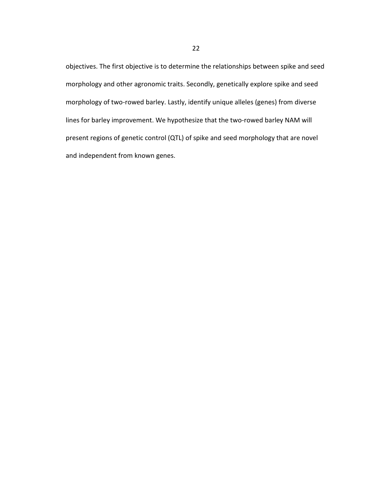objectives. The first objective is to determine the relationships between spike and seed morphology and other agronomic traits. Secondly, genetically explore spike and seed morphology of two-rowed barley. Lastly, identify unique alleles (genes) from diverse lines for barley improvement. We hypothesize that the two-rowed barley NAM will present regions of genetic control (QTL) of spike and seed morphology that are novel and independent from known genes.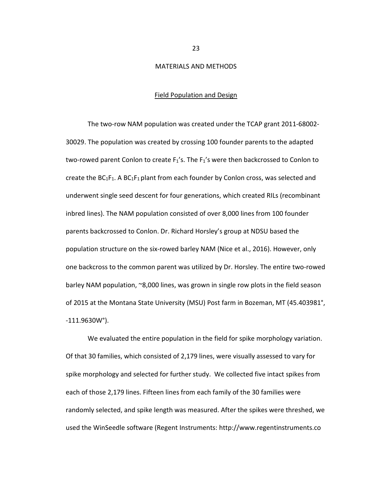#### MATERIALS AND METHODS

#### Field Population and Design

The two-row NAM population was created under the TCAP grant 2011-68002- 30029. The population was created by crossing 100 founder parents to the adapted two-rowed parent Conlon to create  $F_1$ 's. The  $F_1$ 's were then backcrossed to Conlon to create the  $BC_1F_1$ . A  $BC_1F_1$  plant from each founder by Conlon cross, was selected and underwent single seed descent for four generations, which created RILs (recombinant inbred lines). The NAM population consisted of over 8,000 lines from 100 founder parents backcrossed to Conlon. Dr. Richard Horsley's group at NDSU based the population structure on the six-rowed barley NAM (Nice et al., 2016). However, only one backcross to the common parent was utilized by Dr. Horsley. The entire two-rowed barley NAM population, ~8,000 lines, was grown in single row plots in the field season of 2015 at the Montana State University (MSU) Post farm in Bozeman, MT (45.403981°, -111.9630W°).

We evaluated the entire population in the field for spike morphology variation. Of that 30 families, which consisted of 2,179 lines, were visually assessed to vary for spike morphology and selected for further study. We collected five intact spikes from each of those 2,179 lines. Fifteen lines from each family of the 30 families were randomly selected, and spike length was measured. After the spikes were threshed, we used the WinSeedle software (Regent Instruments: http://www.regentinstruments.co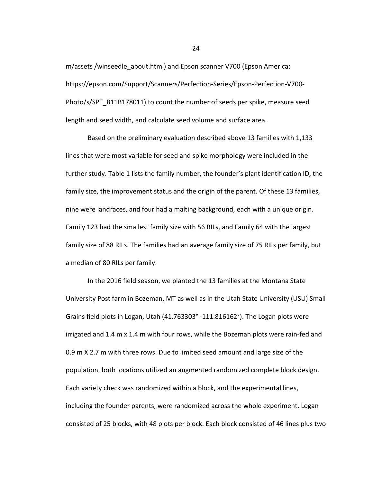m/assets /winseedle\_about.html) and Epson scanner V700 (Epson America: https://epson.com/Support/Scanners/Perfection-Series/Epson-Perfection-V700- Photo/s/SPT\_B11B178011) to count the number of seeds per spike, measure seed length and seed width, and calculate seed volume and surface area.

Based on the preliminary evaluation described above 13 families with 1,133 lines that were most variable for seed and spike morphology were included in the further study. Table 1 lists the family number, the founder's plant identification ID, the family size, the improvement status and the origin of the parent. Of these 13 families, nine were landraces, and four had a malting background, each with a unique origin. Family 123 had the smallest family size with 56 RILs, and Family 64 with the largest family size of 88 RILs. The families had an average family size of 75 RILs per family, but a median of 80 RILs per family.

In the 2016 field season, we planted the 13 families at the Montana State University Post farm in Bozeman, MT as well as in the Utah State University (USU) Small Grains field plots in Logan, Utah (41.763303° -111.816162°). The Logan plots were irrigated and 1.4 m x 1.4 m with four rows, while the Bozeman plots were rain-fed and 0.9 m X 2.7 m with three rows. Due to limited seed amount and large size of the population, both locations utilized an augmented randomized complete block design. Each variety check was randomized within a block, and the experimental lines, including the founder parents, were randomized across the whole experiment. Logan consisted of 25 blocks, with 48 plots per block. Each block consisted of 46 lines plus two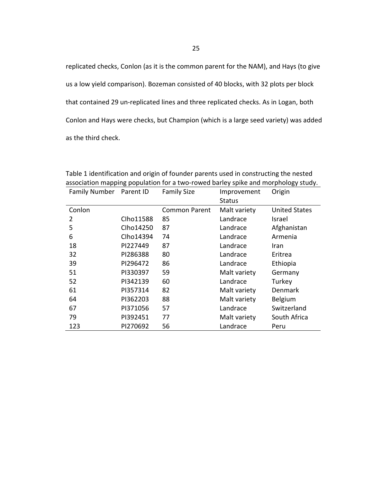replicated checks, Conlon (as it is the common parent for the NAM), and Hays (to give us a low yield comparison). Bozeman consisted of 40 blocks, with 32 plots per block that contained 29 un-replicated lines and three replicated checks. As in Logan, both Conlon and Hays were checks, but Champion (which is a large seed variety) was added

as the third check.

Family Number Parent ID Family Size Improvement Status **Origin** Conlon Common Parent Malt variety United States 2 CIho11588 85 Landrace Israel 5 CIho14250 87 Landrace Afghanistan 6 CIho14394 74 Landrace Armenia 18 PI227449 87 Landrace Iran 32 PI286388 80 Landrace Eritrea 39 PI296472 86 Landrace Ethiopia 51 PI330397 59 Malt variety Germany 52 PI342139 60 Landrace Turkey 61 PI357314 82 Malt variety Denmark 64 PI362203 88 Malt variety Belgium 67 PI371056 57 Landrace Switzerland 79 PI392451 77 Malt variety South Africa 123 PI270692 56 Landrace Peru

Table 1 identification and origin of founder parents used in constructing the nested association mapping population for a two-rowed barley spike and morphology study.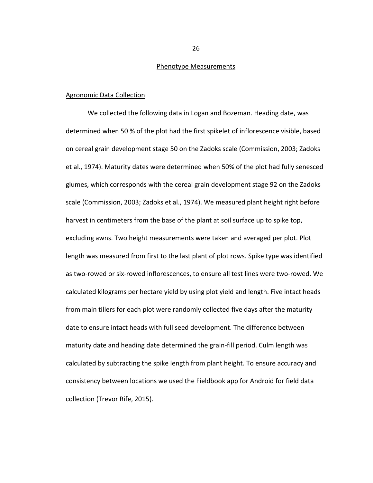#### Phenotype Measurements

### Agronomic Data Collection

We collected the following data in Logan and Bozeman. Heading date, was determined when 50 % of the plot had the first spikelet of inflorescence visible, based on cereal grain development stage 50 on the Zadoks scale (Commission, 2003; Zadoks et al., 1974). Maturity dates were determined when 50% of the plot had fully senesced glumes, which corresponds with the cereal grain development stage 92 on the Zadoks scale (Commission, 2003; Zadoks et al., 1974). We measured plant height right before harvest in centimeters from the base of the plant at soil surface up to spike top, excluding awns. Two height measurements were taken and averaged per plot. Plot length was measured from first to the last plant of plot rows. Spike type was identified as two-rowed or six-rowed inflorescences, to ensure all test lines were two-rowed. We calculated kilograms per hectare yield by using plot yield and length. Five intact heads from main tillers for each plot were randomly collected five days after the maturity date to ensure intact heads with full seed development. The difference between maturity date and heading date determined the grain-fill period. Culm length was calculated by subtracting the spike length from plant height. To ensure accuracy and consistency between locations we used the Fieldbook app for Android for field data collection (Trevor Rife, 2015).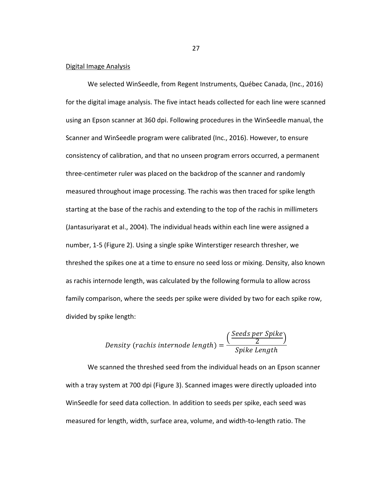#### Digital Image Analysis

We selected WinSeedle, from Regent Instruments, Québec Canada, (Inc., 2016) for the digital image analysis. The five intact heads collected for each line were scanned using an Epson scanner at 360 dpi. Following procedures in the WinSeedle manual, the Scanner and WinSeedle program were calibrated (Inc., 2016). However, to ensure consistency of calibration, and that no unseen program errors occurred, a permanent three-centimeter ruler was placed on the backdrop of the scanner and randomly measured throughout image processing. The rachis was then traced for spike length starting at the base of the rachis and extending to the top of the rachis in millimeters (Jantasuriyarat et al., 2004). The individual heads within each line were assigned a number, 1-5 (Figure 2). Using a single spike Winterstiger research thresher, we threshed the spikes one at a time to ensure no seed loss or mixing. Density, also known as rachis internode length, was calculated by the following formula to allow across family comparison, where the seeds per spike were divided by two for each spike row, divided by spike length:

Density (rachis internode length) = 
$$
\frac{Seeds per Spike}{2}
$$

We scanned the threshed seed from the individual heads on an Epson scanner with a tray system at 700 dpi (Figure 3). Scanned images were directly uploaded into WinSeedle for seed data collection. In addition to seeds per spike, each seed was measured for length, width, surface area, volume, and width-to-length ratio. The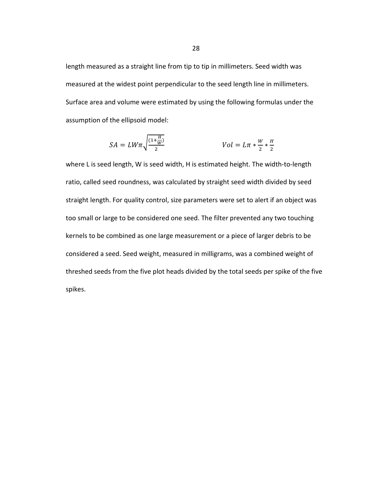length measured as a straight line from tip to tip in millimeters. Seed width was measured at the widest point perpendicular to the seed length line in millimeters. Surface area and volume were estimated by using the following formulas under the assumption of the ellipsoid model:

$$
SA = LW\pi\sqrt{\frac{(1+\frac{H}{W})}{2}}
$$
  $Vol = L\pi * \frac{W}{2} * \frac{H}{2}$ 

where L is seed length, W is seed width, H is estimated height. The width-to-length ratio, called seed roundness, was calculated by straight seed width divided by seed straight length. For quality control, size parameters were set to alert if an object was too small or large to be considered one seed. The filter prevented any two touching kernels to be combined as one large measurement or a piece of larger debris to be considered a seed. Seed weight, measured in milligrams, was a combined weight of threshed seeds from the five plot heads divided by the total seeds per spike of the five spikes.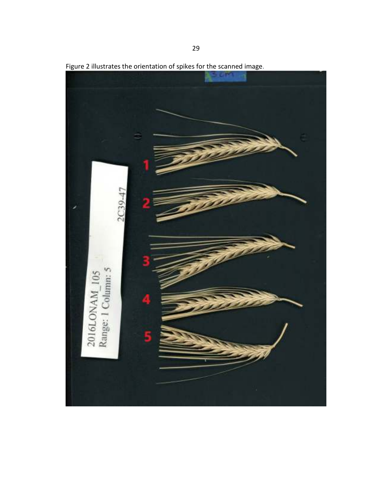

Figure 2 illustrates the orientation of spikes for the scanned image.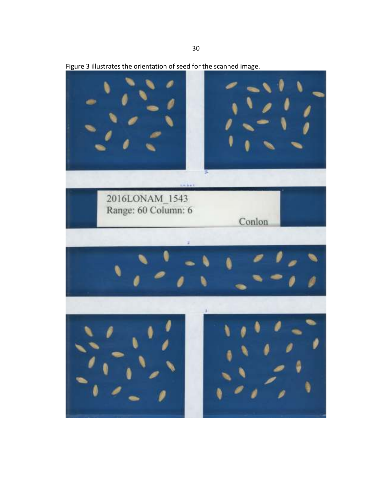

Figure 3 illustrates the orientation of seed for the scanned image.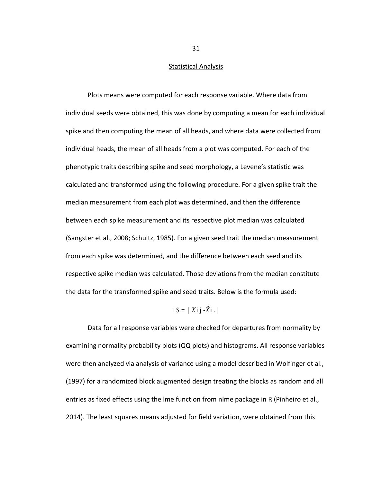### Statistical Analysis

Plots means were computed for each response variable. Where data from individual seeds were obtained, this was done by computing a mean for each individual spike and then computing the mean of all heads, and where data were collected from individual heads, the mean of all heads from a plot was computed. For each of the phenotypic traits describing spike and seed morphology, a Levene's statistic was calculated and transformed using the following procedure. For a given spike trait the median measurement from each plot was determined, and then the difference between each spike measurement and its respective plot median was calculated (Sangster et al., 2008; Schultz, 1985). For a given seed trait the median measurement from each spike was determined, and the difference between each seed and its respective spike median was calculated. Those deviations from the median constitute the data for the transformed spike and seed traits. Below is the formula used:

$$
LS = |Xi \cdot \bar{X}i|
$$

Data for all response variables were checked for departures from normality by examining normality probability plots (QQ plots) and histograms. All response variables were then analyzed via analysis of variance using a model described in Wolfinger et al., (1997) for a randomized block augmented design treating the blocks as random and all entries as fixed effects using the lme function from nlme package in R (Pinheiro et al., 2014). The least squares means adjusted for field variation, were obtained from this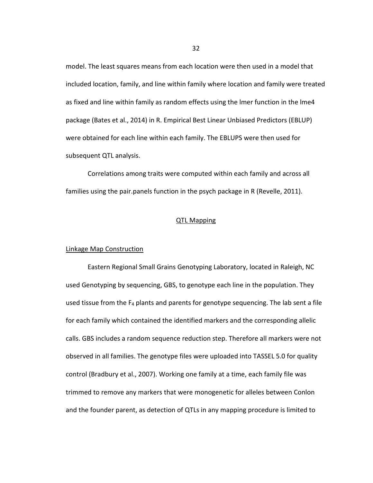model. The least squares means from each location were then used in a model that included location, family, and line within family where location and family were treated as fixed and line within family as random effects using the lmer function in the lme4 package (Bates et al., 2014) in R. Empirical Best Linear Unbiased Predictors (EBLUP) were obtained for each line within each family. The EBLUPS were then used for subsequent QTL analysis.

 Correlations among traits were computed within each family and across all families using the pair.panels function in the psych package in R (Revelle, 2011).

## QTL Mapping

# Linkage Map Construction

Eastern Regional Small Grains Genotyping Laboratory, located in Raleigh, NC used Genotyping by sequencing, GBS, to genotype each line in the population. They used tissue from the  $F_4$  plants and parents for genotype sequencing. The lab sent a file for each family which contained the identified markers and the corresponding allelic calls. GBS includes a random sequence reduction step. Therefore all markers were not observed in all families. The genotype files were uploaded into TASSEL 5.0 for quality control (Bradbury et al., 2007). Working one family at a time, each family file was trimmed to remove any markers that were monogenetic for alleles between Conlon and the founder parent, as detection of QTLs in any mapping procedure is limited to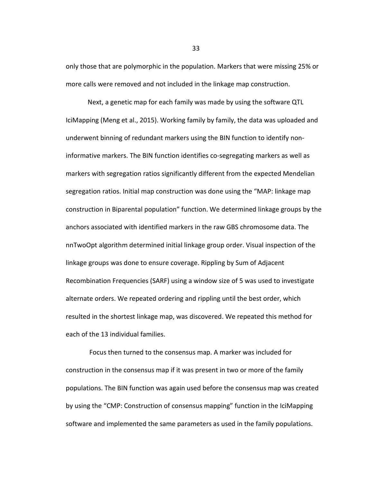only those that are polymorphic in the population. Markers that were missing 25% or more calls were removed and not included in the linkage map construction.

Next, a genetic map for each family was made by using the software QTL IciMapping (Meng et al., 2015). Working family by family, the data was uploaded and underwent binning of redundant markers using the BIN function to identify noninformative markers. The BIN function identifies co-segregating markers as well as markers with segregation ratios significantly different from the expected Mendelian segregation ratios. Initial map construction was done using the "MAP: linkage map construction in Biparental population" function. We determined linkage groups by the anchors associated with identified markers in the raw GBS chromosome data. The nnTwoOpt algorithm determined initial linkage group order. Visual inspection of the linkage groups was done to ensure coverage. Rippling by Sum of Adjacent Recombination Frequencies (SARF) using a window size of 5 was used to investigate alternate orders. We repeated ordering and rippling until the best order, which resulted in the shortest linkage map, was discovered. We repeated this method for each of the 13 individual families.

 Focus then turned to the consensus map. A marker was included for construction in the consensus map if it was present in two or more of the family populations. The BIN function was again used before the consensus map was created by using the "CMP: Construction of consensus mapping" function in the IciMapping software and implemented the same parameters as used in the family populations.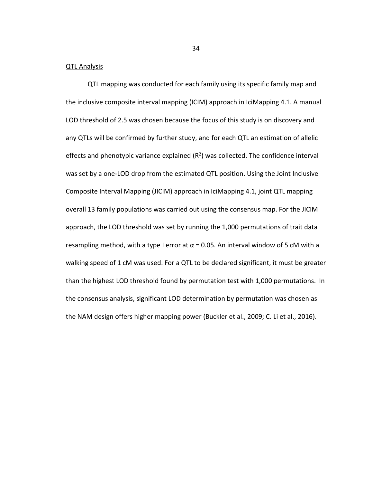## QTL Analysis

 QTL mapping was conducted for each family using its specific family map and the inclusive composite interval mapping (ICIM) approach in IciMapping 4.1. A manual LOD threshold of 2.5 was chosen because the focus of this study is on discovery and any QTLs will be confirmed by further study, and for each QTL an estimation of allelic effects and phenotypic variance explained  $(R^2)$  was collected. The confidence interval was set by a one-LOD drop from the estimated QTL position. Using the Joint Inclusive Composite Interval Mapping (JICIM) approach in IciMapping 4.1, joint QTL mapping overall 13 family populations was carried out using the consensus map. For the JICIM approach, the LOD threshold was set by running the 1,000 permutations of trait data resampling method, with a type I error at  $\alpha$  = 0.05. An interval window of 5 cM with a walking speed of 1 cM was used. For a QTL to be declared significant, it must be greater than the highest LOD threshold found by permutation test with 1,000 permutations. In the consensus analysis, significant LOD determination by permutation was chosen as the NAM design offers higher mapping power (Buckler et al., 2009; C. Li et al., 2016).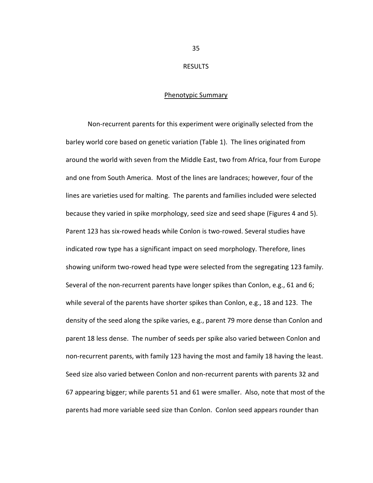## RESULTS

## Phenotypic Summary

Non-recurrent parents for this experiment were originally selected from the barley world core based on genetic variation (Table 1). The lines originated from around the world with seven from the Middle East, two from Africa, four from Europe and one from South America. Most of the lines are landraces; however, four of the lines are varieties used for malting. The parents and families included were selected because they varied in spike morphology, seed size and seed shape (Figures 4 and 5). Parent 123 has six-rowed heads while Conlon is two-rowed. Several studies have indicated row type has a significant impact on seed morphology. Therefore, lines showing uniform two-rowed head type were selected from the segregating 123 family. Several of the non-recurrent parents have longer spikes than Conlon, e.g., 61 and 6; while several of the parents have shorter spikes than Conlon, e.g., 18 and 123. The density of the seed along the spike varies, e.g., parent 79 more dense than Conlon and parent 18 less dense. The number of seeds per spike also varied between Conlon and non-recurrent parents, with family 123 having the most and family 18 having the least. Seed size also varied between Conlon and non-recurrent parents with parents 32 and 67 appearing bigger; while parents 51 and 61 were smaller. Also, note that most of the parents had more variable seed size than Conlon. Conlon seed appears rounder than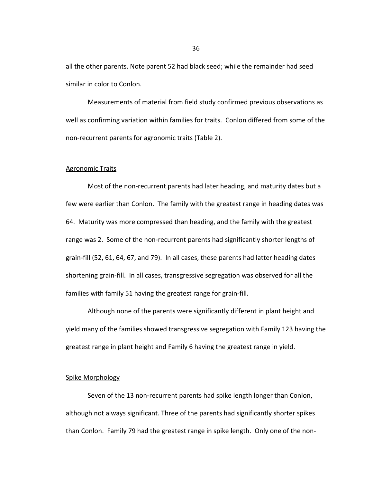all the other parents. Note parent 52 had black seed; while the remainder had seed similar in color to Conlon.

Measurements of material from field study confirmed previous observations as well as confirming variation within families for traits. Conlon differed from some of the non-recurrent parents for agronomic traits (Table 2).

### Agronomic Traits

Most of the non-recurrent parents had later heading, and maturity dates but a few were earlier than Conlon. The family with the greatest range in heading dates was 64. Maturity was more compressed than heading, and the family with the greatest range was 2. Some of the non-recurrent parents had significantly shorter lengths of grain-fill (52, 61, 64, 67, and 79). In all cases, these parents had latter heading dates shortening grain-fill. In all cases, transgressive segregation was observed for all the families with family 51 having the greatest range for grain-fill.

Although none of the parents were significantly different in plant height and yield many of the families showed transgressive segregation with Family 123 having the greatest range in plant height and Family 6 having the greatest range in yield.

# Spike Morphology

Seven of the 13 non-recurrent parents had spike length longer than Conlon, although not always significant. Three of the parents had significantly shorter spikes than Conlon. Family 79 had the greatest range in spike length. Only one of the non-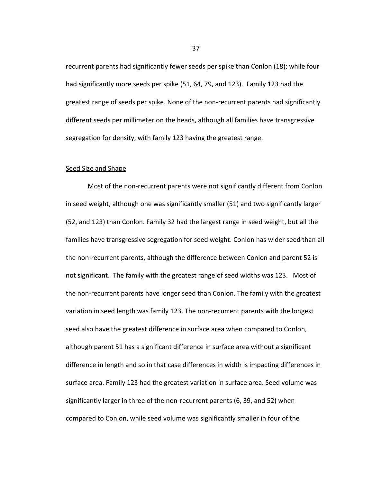recurrent parents had significantly fewer seeds per spike than Conlon (18); while four had significantly more seeds per spike (51, 64, 79, and 123). Family 123 had the greatest range of seeds per spike. None of the non-recurrent parents had significantly different seeds per millimeter on the heads, although all families have transgressive segregation for density, with family 123 having the greatest range.

# Seed Size and Shape

Most of the non-recurrent parents were not significantly different from Conlon in seed weight, although one was significantly smaller (51) and two significantly larger (52, and 123) than Conlon. Family 32 had the largest range in seed weight, but all the families have transgressive segregation for seed weight. Conlon has wider seed than all the non-recurrent parents, although the difference between Conlon and parent 52 is not significant. The family with the greatest range of seed widths was 123. Most of the non-recurrent parents have longer seed than Conlon. The family with the greatest variation in seed length was family 123. The non-recurrent parents with the longest seed also have the greatest difference in surface area when compared to Conlon, although parent 51 has a significant difference in surface area without a significant difference in length and so in that case differences in width is impacting differences in surface area. Family 123 had the greatest variation in surface area. Seed volume was significantly larger in three of the non-recurrent parents (6, 39, and 52) when compared to Conlon, while seed volume was significantly smaller in four of the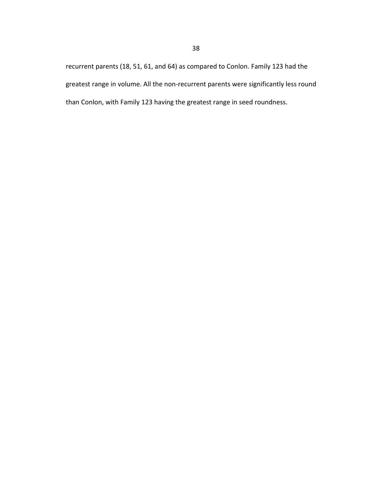recurrent parents (18, 51, 61, and 64) as compared to Conlon. Family 123 had the greatest range in volume. All the non-recurrent parents were significantly less round than Conlon, with Family 123 having the greatest range in seed roundness.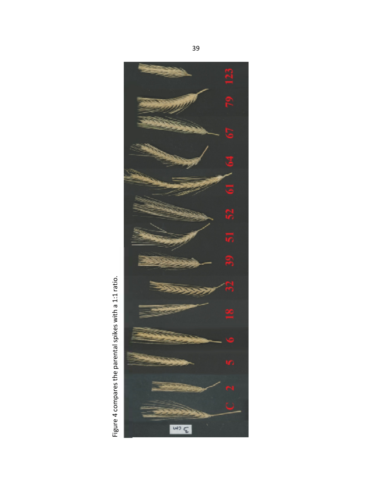

Figure 4 compares the parental spikes with a 1:1 ratio.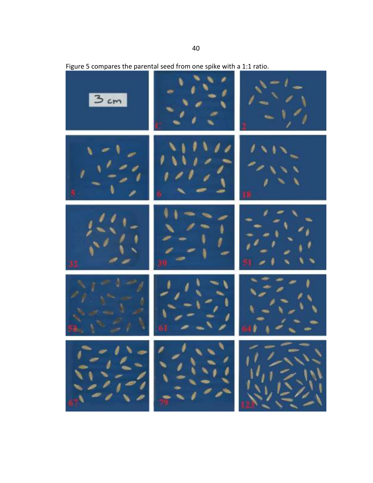

Figure 5 compares the parental seed from one spike with a 1:1 ratio.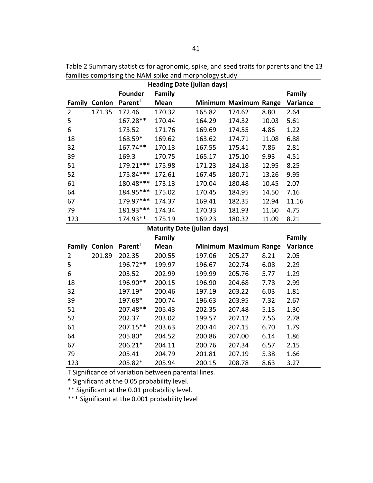|        |        |                                  | <b>Heading Date (julian days)</b> |        |                              |       |          |
|--------|--------|----------------------------------|-----------------------------------|--------|------------------------------|-------|----------|
|        |        | <b>Founder</b>                   | Family                            |        |                              |       | Family   |
| Family | Conlon | Parent <sup><math>†</math></sup> | Mean                              |        | <b>Minimum Maximum Range</b> |       | Variance |
| 2      | 171.35 | 172.46                           | 170.32                            | 165.82 | 174.62                       | 8.80  | 2.64     |
| 5      |        | 167.28**                         | 170.44                            | 164.29 | 174.32                       | 10.03 | 5.61     |
| 6      |        | 173.52                           | 171.76                            | 169.69 | 174.55                       | 4.86  | 1.22     |
| 18     |        | 168.59*                          | 169.62                            | 163.62 | 174.71                       | 11.08 | 6.88     |
| 32     |        | 167.74**                         | 170.13                            | 167.55 | 175.41                       | 7.86  | 2.81     |
| 39     |        | 169.3                            | 170.75                            | 165.17 | 175.10                       | 9.93  | 4.51     |
| 51     |        | 179.21***                        | 175.98                            | 171.23 | 184.18                       | 12.95 | 8.25     |
| 52     |        | 175.84***                        | 172.61                            | 167.45 | 180.71                       | 13.26 | 9.95     |
| 61     |        | 180.48***                        | 173.13                            | 170.04 | 180.48                       | 10.45 | 2.07     |
| 64     |        | 184.95***                        | 175.02                            | 170.45 | 184.95                       | 14.50 | 7.16     |
| 67     |        | 179.97***                        | 174.37                            | 169.41 | 182.35                       | 12.94 | 11.16    |
| 79     |        | 181.93***                        | 174.34                            | 170.33 | 181.93                       | 11.60 | 4.75     |
| 123    |        | 174.93**                         | 175.19                            | 169.23 | 180.32                       | 11.09 | 8.21     |

Table 2 Summary statistics for agronomic, spike, and seed traits for parents and the 13 families comprising the NAM spike and morphology study.

# **Maturity Date (julian days)**

|                |                      |                                  | Family      |        |                              |      | Family   |
|----------------|----------------------|----------------------------------|-------------|--------|------------------------------|------|----------|
|                | <b>Family Conlon</b> | Parent <sup><math>†</math></sup> | <b>Mean</b> |        | <b>Minimum Maximum Range</b> |      | Variance |
| $\overline{2}$ | 201.89               | 202.35                           | 200.55      | 197.06 | 205.27                       | 8.21 | 2.05     |
| 5              |                      | 196.72**                         | 199.97      | 196.67 | 202.74                       | 6.08 | 2.29     |
| 6              |                      | 203.52                           | 202.99      | 199.99 | 205.76                       | 5.77 | 1.29     |
| 18             |                      | 196.90**                         | 200.15      | 196.90 | 204.68                       | 7.78 | 2.99     |
| 32             |                      | 197.19*                          | 200.46      | 197.19 | 203.22                       | 6.03 | 1.81     |
| 39             |                      | 197.68*                          | 200.74      | 196.63 | 203.95                       | 7.32 | 2.67     |
| 51             |                      | 207.48**                         | 205.43      | 202.35 | 207.48                       | 5.13 | 1.30     |
| 52             |                      | 202.37                           | 203.02      | 199.57 | 207.12                       | 7.56 | 2.78     |
| 61             |                      | 207.15**                         | 203.63      | 200.44 | 207.15                       | 6.70 | 1.79     |
| 64             |                      | 205.80*                          | 204.52      | 200.86 | 207.00                       | 6.14 | 1.86     |
| 67             |                      | 206.21*                          | 204.11      | 200.76 | 207.34                       | 6.57 | 2.15     |
| 79             |                      | 205.41                           | 204.79      | 201.81 | 207.19                       | 5.38 | 1.66     |
| 123            |                      | 205.82*                          | 205.94      | 200.15 | 208.78                       | 8.63 | 3.27     |

Ϯ Significance of variation between parental lines.

\* Significant at the 0.05 probability level.

\*\* Significant at the 0.01 probability level.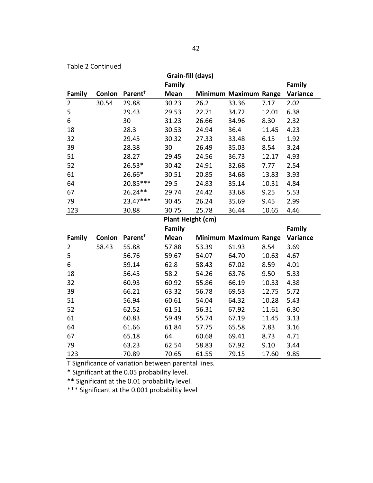|                |        |                     | Grain-fill (days) |       |                              |       |          |
|----------------|--------|---------------------|-------------------|-------|------------------------------|-------|----------|
|                |        |                     | Family            |       |                              |       | Family   |
| Family         | Conlon | Parent <sup>+</sup> | Mean              |       | Minimum Maximum Range        |       | Variance |
| $\overline{2}$ | 30.54  | 29.88               | 30.23             | 26.2  | 33.36                        | 7.17  | 2.02     |
| 5              |        | 29.43               | 29.53             | 22.71 | 34.72                        | 12.01 | 6.38     |
| 6              |        | 30                  | 31.23             | 26.66 | 34.96                        | 8.30  | 2.32     |
| 18             |        | 28.3                | 30.53             | 24.94 | 36.4                         | 11.45 | 4.23     |
| 32             |        | 29.45               | 30.32             | 27.33 | 33.48                        | 6.15  | 1.92     |
| 39             |        | 28.38               | 30                | 26.49 | 35.03                        | 8.54  | 3.24     |
| 51             |        | 28.27               | 29.45             | 24.56 | 36.73                        | 12.17 | 4.93     |
| 52             |        | $26.53*$            | 30.42             | 24.91 | 32.68                        | 7.77  | 2.54     |
| 61             |        | 26.66*              | 30.51             | 20.85 | 34.68                        | 13.83 | 3.93     |
| 64             |        | 20.85***            | 29.5              | 24.83 | 35.14                        | 10.31 | 4.84     |
| 67             |        | $26.24**$           | 29.74             | 24.42 | 33.68                        | 9.25  | 5.53     |
| 79             |        | 23.47***            | 30.45             | 26.24 | 35.69                        | 9.45  | 2.99     |
| 123            |        | 30.88               | 30.75             | 25.78 | 36.44                        | 10.65 | 4.46     |
|                |        |                     | Plant Height (cm) |       |                              |       |          |
|                |        |                     | Family            |       |                              |       | Family   |
| Family         | Conlon | Parent <sup>†</sup> | Mean              |       | <b>Minimum Maximum Range</b> |       | Variance |
| $\overline{2}$ | 58.43  | 55.88               | 57.88             | 53.39 | 61.93                        | 8.54  | 3.69     |
| 5              |        | 56.76               | 59.67             | 54.07 | 64.70                        | 10.63 | 4.67     |
| 6              |        | 59.14               | 62.8              | 58.43 | 67.02                        | 8.59  | 4.01     |
| 18             |        | 56.45               | 58.2              | 54.26 | 63.76                        | 9.50  | 5.33     |
| 32             |        | 60.93               | 60.92             | 55.86 | 66.19                        | 10.33 | 4.38     |
| 39             |        | 66.21               | 63.32             | 56.78 | 69.53                        | 12.75 | 5.72     |
| 51             |        | 56.94               | 60.61             | 54.04 | 64.32                        | 10.28 | 5.43     |
| 52             |        | 62.52               | 61.51             | 56.31 | 67.92                        | 11.61 | 6.30     |
| 61             |        | 60.83               | 59.49             | 55.74 | 67.19                        | 11.45 | 3.13     |
| 64             |        | 61.66               | 61.84             | 57.75 | 65.58                        | 7.83  | 3.16     |
| 67             |        | 65.18               | 64                | 60.68 | 69.41                        | 8.73  | 4.71     |
| 79             |        | 63.23               | 62.54             | 58.83 | 67.92                        | 9.10  | 3.44     |
| 123            |        | 70.89               | 70.65             | 61.55 | 79.15                        | 17.60 | 9.85     |

Table 2 Continued

Ϯ Significance of variation between parental lines.

\* Significant at the 0.05 probability level.

\*\* Significant at the 0.01 probability level.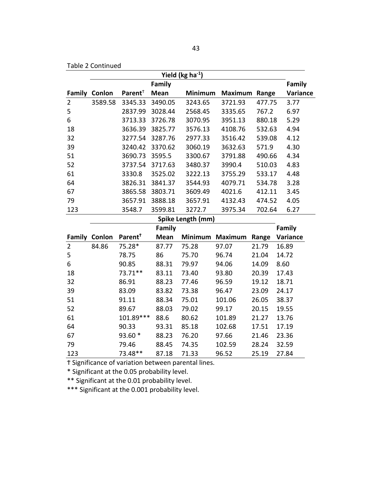|  |  |  | Table 2 Continued |
|--|--|--|-------------------|
|--|--|--|-------------------|

|                |                      |                     |             | Yield ( $kg$ ha <sup>-1</sup> ) |                      |        |          |
|----------------|----------------------|---------------------|-------------|---------------------------------|----------------------|--------|----------|
|                |                      |                     | Family      |                                 |                      |        | Family   |
|                | <b>Family Conlon</b> | Parent <sup>†</sup> | <b>Mean</b> | Minimum                         | <b>Maximum Range</b> |        | Variance |
| $\overline{2}$ | 3589.58              | 3345.33             | 3490.05     | 3243.65                         | 3721.93              | 477.75 | 3.77     |
| 5              |                      | 2837.99             | 3028.44     | 2568.45                         | 3335.65              | 767.2  | 6.97     |
| 6              |                      | 3713.33             | 3726.78     | 3070.95                         | 3951.13              | 880.18 | 5.29     |
| 18             |                      | 3636.39             | 3825.77     | 3576.13                         | 4108.76              | 532.63 | 4.94     |
| 32             |                      | 3277.54             | 3287.76     | 2977.33                         | 3516.42              | 539.08 | 4.12     |
| 39             |                      | 3240.42             | 3370.62     | 3060.19                         | 3632.63              | 571.9  | 4.30     |
| 51             |                      | 3690.73             | 3595.5      | 3300.67                         | 3791.88              | 490.66 | 4.34     |
| 52             |                      | 3737.54             | 3717.63     | 3480.37                         | 3990.4               | 510.03 | 4.83     |
| 61             |                      | 3330.8              | 3525.02     | 3222.13                         | 3755.29              | 533.17 | 4.48     |
| 64             |                      | 3826.31             | 3841.37     | 3544.93                         | 4079.71              | 534.78 | 3.28     |
| 67             |                      | 3865.58             | 3803.71     | 3609.49                         | 4021.6               | 412.11 | 3.45     |
| 79             |                      | 3657.91             | 3888.18     | 3657.91                         | 4132.43              | 474.52 | 4.05     |
| 123            |                      | 3548.7              | 3599.81     | 3272.7                          | 3975.34              | 702.64 | 6.27     |
|                |                      |                     |             | Spike Length (mm)               |                      |        |          |
|                |                      |                     | Family      |                                 |                      |        | Family   |
| Family         | Conlon               | Parent <sup>†</sup> | Mean        | <b>Minimum</b>                  | Maximum              | Range  | Variance |
| $\overline{2}$ | 84.86                | 75.28*              | 87.77       | 75.28                           | 97.07                | 21.79  | 16.89    |
| 5              |                      | 78.75               | 86          | 75.70                           | 96.74                | 21.04  | 14.72    |
| 6              |                      | 90.85               | 88.31       | 79.97                           | 94.06                | 14.09  | 8.60     |
| 18             |                      | 73.71**             | 83.11       | 73.40                           | 93.80                | 20.39  | 17.43    |
| 32             |                      | 86.91               | 88.23       | 77.46                           | 96.59                | 19.12  | 18.71    |
| 39             |                      | 83.09               | 83.82       | 73.38                           | 96.47                | 23.09  | 24.17    |
| 51             |                      | 91.11               | 88.34       | 75.01                           | 101.06               | 26.05  | 38.37    |
| 52             |                      | 89.67               | 88.03       | 79.02                           | 99.17                | 20.15  | 19.55    |
| 61             |                      | 101.89***           | 88.6        | 80.62                           | 101.89               | 21.27  | 13.76    |
| 64             |                      | 90.33               | 93.31       | 85.18                           | 102.68               | 17.51  | 17.19    |
| 67             |                      | 93.60 *             | 88.23       | 76.20                           | 97.66                | 21.46  | 23.36    |
| 79             |                      | 79.46               | 88.45       | 74.35                           | 102.59               | 28.24  | 32.59    |
| 123            |                      | 73.48**             | 87.18       | 71.33                           | 96.52                | 25.19  | 27.84    |

Ϯ Significance of variation between parental lines.

\* Significant at the 0.05 probability level.

\*\* Significant at the 0.01 probability level.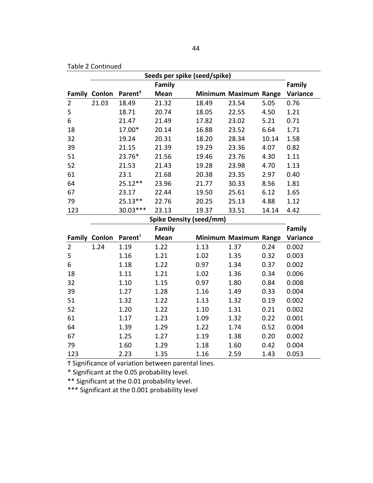|                |                      |                     | Seeds per spike (seed/spike)   |       |                              |       |               |
|----------------|----------------------|---------------------|--------------------------------|-------|------------------------------|-------|---------------|
|                |                      |                     | <b>Family</b>                  |       |                              |       | <b>Family</b> |
|                | <b>Family Conlon</b> | Parent <sup>†</sup> | <b>Mean</b>                    |       | Minimum Maximum Range        |       | Variance      |
| $\overline{2}$ | 21.03                | 18.49               | 21.32                          | 18.49 | 23.54                        | 5.05  | 0.76          |
| 5              |                      | 18.71               | 20.74                          | 18.05 | 22.55                        | 4.50  | 1.21          |
| 6              |                      | 21.47               | 21.49                          | 17.82 | 23.02                        | 5.21  | 0.71          |
| 18             |                      | 17.00*              | 20.14                          | 16.88 | 23.52                        | 6.64  | 1.71          |
| 32             |                      | 19.24               | 20.31                          | 18.20 | 28.34                        | 10.14 | 1.58          |
| 39             |                      | 21.15               | 21.39                          | 19.29 | 23.36                        | 4.07  | 0.82          |
| 51             |                      | 23.76*              | 21.56                          | 19.46 | 23.76                        | 4.30  | 1.11          |
| 52             |                      | 21.53               | 21.43                          | 19.28 | 23.98                        | 4.70  | 1.13          |
| 61             |                      | 23.1                | 21.68                          | 20.38 | 23.35                        | 2.97  | 0.40          |
| 64             |                      | 25.12**             | 23.96                          | 21.77 | 30.33                        | 8.56  | 1.81          |
| 67             |                      | 23.17               | 22.44                          | 19.50 | 25.61                        | 6.12  | 1.65          |
| 79             |                      | 25.13**             | 22.76                          | 20.25 | 25.13                        | 4.88  | 1.12          |
| 123            |                      | 30.03***            | 23.13                          | 19.37 | 33.51                        | 14.14 | 4.42          |
|                |                      |                     | <b>Spike Density (seed/mm)</b> |       |                              |       |               |
|                |                      |                     | Family                         |       |                              |       | <b>Family</b> |
|                | <b>Family Conlon</b> | Parent <sup>+</sup> | <b>Mean</b>                    |       | <b>Minimum Maximum Range</b> |       | Variance      |
| $\overline{2}$ | 1.24                 | 1.19                | 1.22                           | 1.13  | 1.37                         | 0.24  | 0.002         |
| 5              |                      | 1.16                | 1.21                           | 1.02  | 1.35                         | 0.32  | 0.003         |
| 6              |                      | 1.18                | 1.22                           | 0.97  | 1.34                         | 0.37  | 0.002         |
| 18             |                      | 1.11                | 1.21                           | 1.02  | 1.36                         | 0.34  | 0.006         |
| 32             |                      | 1.10                | 1.15                           | 0.97  | 1.80                         | 0.84  | 0.008         |
| 39             |                      | 1.27                | 1.28                           | 1.16  | 1.49                         | 0.33  | 0.004         |
| 51             |                      | 1.32                | 1.22                           | 1.13  | 1.32                         | 0.19  | 0.002         |
| 52             |                      | 1.20                | 1.22                           | 1.10  | 1.31                         | 0.21  | 0.002         |
| 61             |                      | 1.17                | 1.23                           | 1.09  | 1.32                         | 0.22  | 0.001         |
| 64             |                      | 1.39                | 1.29                           | 1.22  | 1.74                         | 0.52  | 0.004         |
| 67             |                      | 1.25                | 1.27                           | 1.19  | 1.38                         | 0.20  | 0.002         |
| 79             |                      | 1.60                | 1.29                           | 1.18  | 1.60                         | 0.42  | 0.004         |
| 123            |                      | 2.23                | 1.35                           | 1.16  | 2.59                         | 1.43  | 0.053         |

Table 2 Continued

Ϯ Significance of variation between parental lines.

\* Significant at the 0.05 probability level.

\*\* Significant at the 0.01 probability level.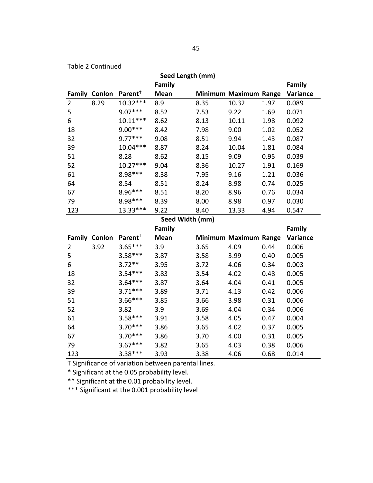| Table 2 Continued |
|-------------------|
|-------------------|

|                |                      |                                  | Seed Length (mm) |      |                              |      |          |
|----------------|----------------------|----------------------------------|------------------|------|------------------------------|------|----------|
|                |                      |                                  | <b>Family</b>    |      |                              |      | Family   |
|                | <b>Family Conlon</b> | Parent <sup>†</sup>              | Mean             |      | <b>Minimum Maximum Range</b> |      | Variance |
| $\overline{2}$ | 8.29                 | $10.32***$                       | 8.9              | 8.35 | 10.32                        | 1.97 | 0.089    |
| 5              |                      | $9.07***$                        | 8.52             | 7.53 | 9.22                         | 1.69 | 0.071    |
| 6              |                      | $10.11***$                       | 8.62             | 8.13 | 10.11                        | 1.98 | 0.092    |
| 18             |                      | $9.00***$                        | 8.42             | 7.98 | 9.00                         | 1.02 | 0.052    |
| 32             |                      | $9.77***$                        | 9.08             | 8.51 | 9.94                         | 1.43 | 0.087    |
| 39             |                      | 10.04***                         | 8.87             | 8.24 | 10.04                        | 1.81 | 0.084    |
| 51             |                      | 8.28                             | 8.62             | 8.15 | 9.09                         | 0.95 | 0.039    |
| 52             |                      | 10.27***                         | 9.04             | 8.36 | 10.27                        | 1.91 | 0.169    |
| 61             |                      | 8.98***                          | 8.38             | 7.95 | 9.16                         | 1.21 | 0.036    |
| 64             |                      | 8.54                             | 8.51             | 8.24 | 8.98                         | 0.74 | 0.025    |
| 67             |                      | 8.96***                          | 8.51             | 8.20 | 8.96                         | 0.76 | 0.034    |
| 79             |                      | 8.98***                          | 8.39             | 8.00 | 8.98                         | 0.97 | 0.030    |
| 123            |                      | 13.33***                         | 9.22             | 8.40 | 13.33                        | 4.94 | 0.547    |
|                |                      |                                  | Seed Width (mm)  |      |                              |      |          |
|                |                      |                                  | Family           |      |                              |      | Family   |
|                | <b>Family Conlon</b> | Parent <sup><math>†</math></sup> | Mean             |      | Minimum Maximum Range        |      | Variance |
| $\overline{2}$ | 3.92                 | $3.65***$                        | 3.9              | 3.65 | 4.09                         | 0.44 | 0.006    |
| 5              |                      | $3.58***$                        | 3.87             | 3.58 | 3.99                         | 0.40 | 0.005    |
| 6              |                      | $3.72**$                         | 3.95             | 3.72 | 4.06                         | 0.34 | 0.003    |
| 18             |                      | $3.54***$                        | 3.83             | 3.54 | 4.02                         | 0.48 | 0.005    |
| 32             |                      | $3.64***$                        | 3.87             | 3.64 | 4.04                         | 0.41 | 0.005    |
| 39             |                      | $3.71***$                        | 3.89             | 3.71 | 4.13                         | 0.42 | 0.006    |
| 51             |                      | $3.66***$                        | 3.85             | 3.66 | 3.98                         | 0.31 | 0.006    |
| 52             |                      | 3.82                             | 3.9              | 3.69 | 4.04                         | 0.34 | 0.006    |
| 61             |                      | $3.58***$                        | 3.91             | 3.58 | 4.05                         | 0.47 | 0.004    |
| 64             |                      | $3.70***$                        | 3.86             | 3.65 | 4.02                         | 0.37 | 0.005    |
| 67             |                      |                                  |                  |      |                              |      |          |
|                |                      | $3.70***$                        | 3.86             | 3.70 | 4.00                         | 0.31 | 0.005    |
| 79             |                      | $3.67***$                        | 3.82             | 3.65 | 4.03                         | 0.38 | 0.006    |

Ϯ Significance of variation between parental lines.

\* Significant at the 0.05 probability level.

\*\* Significant at the 0.01 probability level.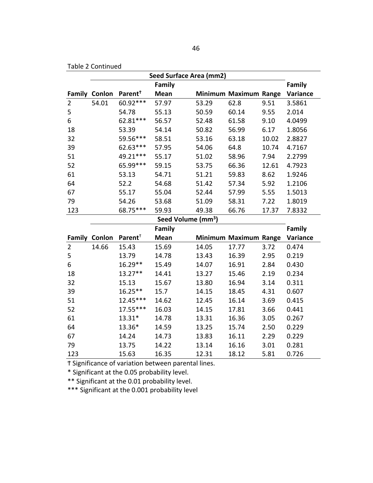|                |                      |                     | <b>Seed Surface Area (mm2)</b> |       |                              |       |          |
|----------------|----------------------|---------------------|--------------------------------|-------|------------------------------|-------|----------|
|                |                      |                     | <b>Family</b>                  |       |                              |       | Family   |
|                | <b>Family Conlon</b> | Parent <sup>†</sup> | <b>Mean</b>                    |       | <b>Minimum Maximum Range</b> |       | Variance |
| $\overline{2}$ | 54.01                | 60.92***            | 57.97                          | 53.29 | 62.8                         | 9.51  | 3.5861   |
| 5              |                      | 54.78               | 55.13                          | 50.59 | 60.14                        | 9.55  | 2.014    |
| 6              |                      | 62.81***            | 56.57                          | 52.48 | 61.58                        | 9.10  | 4.0499   |
| 18             |                      | 53.39               | 54.14                          | 50.82 | 56.99                        | 6.17  | 1.8056   |
| 32             |                      | 59.56***            | 58.51                          | 53.16 | 63.18                        | 10.02 | 2.8827   |
| 39             |                      | 62.63***            | 57.95                          | 54.06 | 64.8                         | 10.74 | 4.7167   |
| 51             |                      | 49.21 ***           | 55.17                          | 51.02 | 58.96                        | 7.94  | 2.2799   |
| 52             |                      | 65.99***            | 59.15                          | 53.75 | 66.36                        | 12.61 | 4.7923   |
| 61             |                      | 53.13               | 54.71                          | 51.21 | 59.83                        | 8.62  | 1.9246   |
| 64             |                      | 52.2                | 54.68                          | 51.42 | 57.34                        | 5.92  | 1.2106   |
| 67             |                      | 55.17               | 55.04                          | 52.44 | 57.99                        | 5.55  | 1.5013   |
| 79             |                      | 54.26               | 53.68                          | 51.09 | 58.31                        | 7.22  | 1.8019   |
| 123            |                      | 68.75***            | 59.93                          | 49.38 | 66.76                        | 17.37 | 7.8332   |
|                |                      |                     | Seed Volume (mm <sup>3</sup> ) |       |                              |       |          |
|                |                      |                     | Family                         |       |                              |       | Family   |
|                | <b>Family Conlon</b> | Parent <sup>+</sup> | <b>Mean</b>                    |       | Minimum Maximum Range        |       | Variance |
| $\overline{2}$ | 14.66                | 15.43               | 15.69                          | 14.05 | 17.77                        | 3.72  | 0.474    |
| 5              |                      | 13.79               | 14.78                          | 13.43 | 16.39                        | 2.95  | 0.219    |
| 6              |                      | 16.29**             | 15.49                          | 14.07 | 16.91                        | 2.84  | 0.430    |
| 18             |                      | 13.27**             | 14.41                          | 13.27 | 15.46                        | 2.19  | 0.234    |
| 32             |                      | 15.13               | 15.67                          | 13.80 | 16.94                        | 3.14  | 0.311    |
| 39             |                      | 16.25**             | 15.7                           | 14.15 | 18.45                        | 4.31  | 0.607    |
| 51             |                      | 12.45***            | 14.62                          | 12.45 | 16.14                        | 3.69  | 0.415    |
| 52             |                      | $17.55***$          | 16.03                          | 14.15 | 17.81                        | 3.66  | 0.441    |
| 61             |                      | $13.31*$            | 14.78                          | 13.31 | 16.36                        | 3.05  | 0.267    |
| 64             |                      | 13.36*              | 14.59                          | 13.25 | 15.74                        | 2.50  | 0.229    |
| 67             |                      | 14.24               | 14.73                          | 13.83 | 16.11                        | 2.29  | 0.229    |
| 79             |                      | 13.75               | 14.22                          | 13.14 | 16.16                        | 3.01  | 0.281    |
| 123            |                      | 15.63               | 16.35                          | 12.31 | 18.12                        | 5.81  | 0.726    |

Table 2 Continued

Ϯ Significance of variation between parental lines.

\* Significant at the 0.05 probability level.

\*\* Significant at the 0.01 probability level.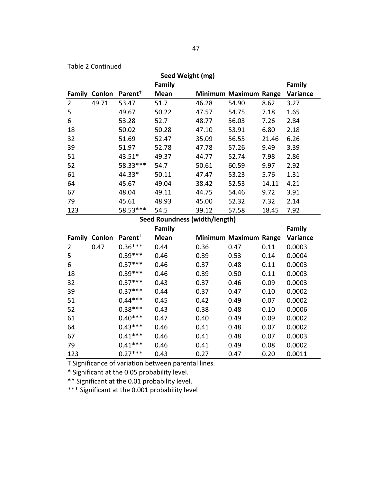|                |                      |                     | Seed Weight (mg)                     |       |                       |       |          |
|----------------|----------------------|---------------------|--------------------------------------|-------|-----------------------|-------|----------|
|                |                      |                     | Family                               |       |                       |       | Family   |
|                | <b>Family Conlon</b> | Parent <sup>†</sup> | Mean                                 |       | Minimum Maximum Range |       | Variance |
| $\overline{2}$ | 49.71                | 53.47               | 51.7                                 | 46.28 | 54.90                 | 8.62  | 3.27     |
| 5              |                      | 49.67               | 50.22                                | 47.57 | 54.75                 | 7.18  | 1.65     |
| 6              |                      | 53.28               | 52.7                                 | 48.77 | 56.03                 | 7.26  | 2.84     |
| 18             |                      | 50.02               | 50.28                                | 47.10 | 53.91                 | 6.80  | 2.18     |
| 32             |                      | 51.69               | 52.47                                | 35.09 | 56.55                 | 21.46 | 6.26     |
| 39             |                      | 51.97               | 52.78                                | 47.78 | 57.26                 | 9.49  | 3.39     |
| 51             |                      | 43.51*              | 49.37                                | 44.77 | 52.74                 | 7.98  | 2.86     |
| 52             |                      | 58.33***            | 54.7                                 | 50.61 | 60.59                 | 9.97  | 2.92     |
| 61             |                      | 44.33*              | 50.11                                | 47.47 | 53.23                 | 5.76  | 1.31     |
| 64             |                      | 45.67               | 49.04                                | 38.42 | 52.53                 | 14.11 | 4.21     |
| 67             |                      | 48.04               | 49.11                                | 44.75 | 54.46                 | 9.72  | 3.91     |
| 79             |                      | 45.61               | 48.93                                | 45.00 | 52.32                 | 7.32  | 2.14     |
| 123            |                      | 58.53***            | 54.5                                 | 39.12 | 57.58                 | 18.45 | 7.92     |
|                |                      |                     | <b>Seed Roundness (width/length)</b> |       |                       |       |          |
|                |                      |                     | Family                               |       |                       |       | Family   |
|                | <b>Family Conlon</b> | Parent <sup>+</sup> | <b>Mean</b>                          |       | Minimum Maximum Range |       | Variance |
| $\overline{2}$ | 0.47                 | $0.36***$           | 0.44                                 | 0.36  | 0.47                  | 0.11  | 0.0003   |
| 5              |                      | $0.39***$           | 0.46                                 | 0.39  | 0.53                  | 0.14  | 0.0004   |
| 6              |                      | $0.37***$           | 0.46                                 | 0.37  | 0.48                  | 0.11  | 0.0003   |
| 18             |                      | $0.39***$           | 0.46                                 | 0.39  | 0.50                  | 0.11  | 0.0003   |
| 32             |                      | $0.37***$           | 0.43                                 | 0.37  | 0.46                  | 0.09  | 0.0003   |
| 39             |                      | $0.37***$           | 0.44                                 | 0.37  | 0.47                  | 0.10  | 0.0002   |
| 51             |                      | $0.44***$           | 0.45                                 | 0.42  | 0.49                  | 0.07  | 0.0002   |
| 52             |                      | $0.38***$           | 0.43                                 | 0.38  | 0.48                  | 0.10  | 0.0006   |
| 61             |                      | $0.40***$           | 0.47                                 | 0.40  | 0.49                  | 0.09  | 0.0002   |
| 64             |                      | $0.43***$           | 0.46                                 | 0.41  | 0.48                  | 0.07  | 0.0002   |
| 67             |                      | $0.41***$           | 0.46                                 | 0.41  | 0.48                  | 0.07  | 0.0003   |
| 79             |                      | $0.41***$           | 0.46                                 | 0.41  | 0.49                  | 0.08  | 0.0002   |
| 123            |                      | $0.27***$           | 0.43                                 | 0.27  | 0.47                  | 0.20  | 0.0011   |

Table 2 Continued

Ϯ Significance of variation between parental lines.

\* Significant at the 0.05 probability level.

\*\* Significant at the 0.01 probability level.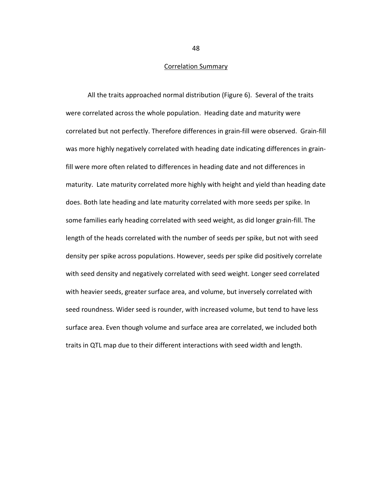#### Correlation Summary

All the traits approached normal distribution (Figure 6). Several of the traits were correlated across the whole population. Heading date and maturity were correlated but not perfectly. Therefore differences in grain-fill were observed. Grain-fill was more highly negatively correlated with heading date indicating differences in grainfill were more often related to differences in heading date and not differences in maturity. Late maturity correlated more highly with height and yield than heading date does. Both late heading and late maturity correlated with more seeds per spike. In some families early heading correlated with seed weight, as did longer grain-fill. The length of the heads correlated with the number of seeds per spike, but not with seed density per spike across populations. However, seeds per spike did positively correlate with seed density and negatively correlated with seed weight. Longer seed correlated with heavier seeds, greater surface area, and volume, but inversely correlated with seed roundness. Wider seed is rounder, with increased volume, but tend to have less surface area. Even though volume and surface area are correlated, we included both traits in QTL map due to their different interactions with seed width and length.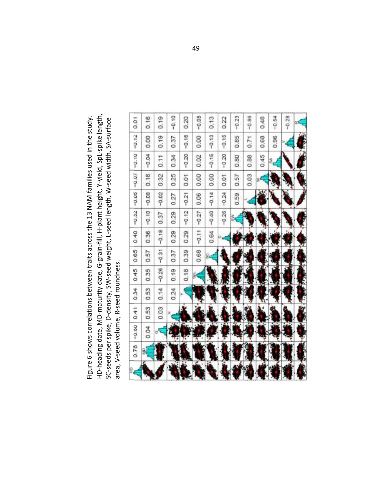HD-heading date, MD-maturity date, G-grain-fill, H-plant height, Y-yield, SpL-spike length,<br>SC-seeds per spike, D-density, SW-seed weight, L-seed length, W-seed width, SA-surface Figure 6 shows correlations between traits across the 13 NAM families used in the study.<br>HD-heading date, MD-maturity date, G-grain-fill, H-plant height, Y-yield, SpL-spike length,<br>SC-seeds per spike, D-density, SW-seed we Figure 6 shows correlations between traits across the 13 NAM families used in the study. area, V-seed volume, R-seed roundness.

| 0.78 | $-0.80$ | 0.41 | 0.34   | 0.45    | 0.65    | 0.40    | $-0.32$ | $-0.05$ | $-0.07$ | $-0.10$ | $-0.12$ | 0.01    |
|------|---------|------|--------|---------|---------|---------|---------|---------|---------|---------|---------|---------|
|      | 0.04    | 0.53 | 3<br>ö | 0.35    | 0.57    | 0.36    | $-0.10$ | $-0.08$ | 0.16    | $-0.04$ | 0.00    | 0.16    |
|      |         | 0.03 | 0.14   | $-0.26$ | $-0.31$ | $-0.18$ | 0.37    | $-0.02$ | 0.32    | 0.11    | 0.19    | 0.19    |
|      |         |      | 0.24   | 0.19    | 0.37    | 0.29    | 0.29    | 0.27    | 0.25    | 0.34    | 0.37    | $-0.10$ |
|      |         |      |        | 0.18    | 0.39    | 0.29    | $-0.12$ | $-0.21$ | 0.01    | $-0.20$ | $-0.16$ | 0.20    |
|      |         |      |        |         | 0.68    | $-0.11$ | $-0.27$ | 0.06    | 0.00    | 0.02    | 0.00    | $-0.05$ |
|      |         |      |        |         |         | 0.64    | $-0.40$ | $-0.14$ | 0.00    | $-0.15$ | $-0.13$ | 0.13    |
|      |         |      |        |         |         |         | $-0.26$ | $-0.24$ | 0.01    | $-0.20$ | $-0.15$ | 0.22    |
|      |         |      |        |         |         |         |         | 0.59    | 0.57    | 0.80    | 0.85    | $-0.23$ |
|      |         |      |        |         |         |         |         |         | 0.03    | 0.88    | 0.71    | 0.86    |
|      |         |      |        |         |         |         |         |         |         | 0.45    | 0.68    | 0.48    |
|      |         |      |        |         |         |         |         |         |         |         | 0.96    | $-0.54$ |
|      |         |      |        |         |         |         |         |         |         |         |         | 0.28    |
|      |         |      |        |         |         |         |         |         |         |         |         |         |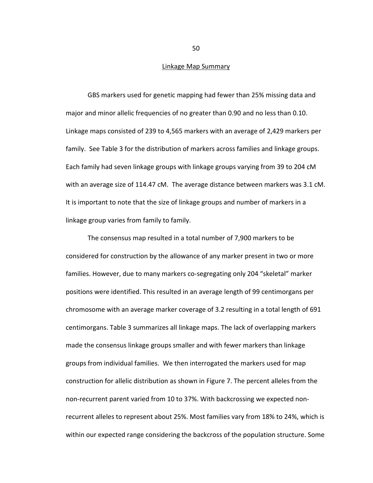#### Linkage Map Summary

 GBS markers used for genetic mapping had fewer than 25% missing data and major and minor allelic frequencies of no greater than 0.90 and no less than 0.10. Linkage maps consisted of 239 to 4,565 markers with an average of 2,429 markers per family. See Table 3 for the distribution of markers across families and linkage groups. Each family had seven linkage groups with linkage groups varying from 39 to 204 cM with an average size of 114.47 cM. The average distance between markers was 3.1 cM. It is important to note that the size of linkage groups and number of markers in a linkage group varies from family to family.

The consensus map resulted in a total number of 7,900 markers to be considered for construction by the allowance of any marker present in two or more families. However, due to many markers co-segregating only 204 "skeletal" marker positions were identified. This resulted in an average length of 99 centimorgans per chromosome with an average marker coverage of 3.2 resulting in a total length of 691 centimorgans. Table 3 summarizes all linkage maps. The lack of overlapping markers made the consensus linkage groups smaller and with fewer markers than linkage groups from individual families. We then interrogated the markers used for map construction for allelic distribution as shown in Figure 7. The percent alleles from the non-recurrent parent varied from 10 to 37%. With backcrossing we expected nonrecurrent alleles to represent about 25%. Most families vary from 18% to 24%, which is within our expected range considering the backcross of the population structure. Some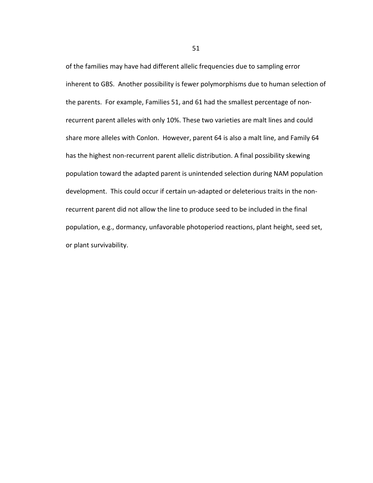of the families may have had different allelic frequencies due to sampling error inherent to GBS. Another possibility is fewer polymorphisms due to human selection of the parents. For example, Families 51, and 61 had the smallest percentage of nonrecurrent parent alleles with only 10%. These two varieties are malt lines and could share more alleles with Conlon. However, parent 64 is also a malt line, and Family 64 has the highest non-recurrent parent allelic distribution. A final possibility skewing population toward the adapted parent is unintended selection during NAM population development. This could occur if certain un-adapted or deleterious traits in the nonrecurrent parent did not allow the line to produce seed to be included in the final population, e.g., dormancy, unfavorable photoperiod reactions, plant height, seed set, or plant survivability.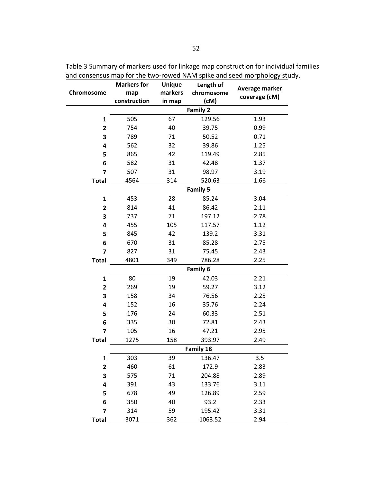|                         | <b>Markers for</b> | <b>Unique</b> | Length of       |                |  |
|-------------------------|--------------------|---------------|-----------------|----------------|--|
| Chromosome              | map                | markers       | chromosome      | Average marker |  |
|                         | construction       | in map        | (cM)            | coverage (cM)  |  |
|                         |                    |               | <b>Family 2</b> |                |  |
| 1                       | 505                | 67            | 129.56          | 1.93           |  |
| $\overline{2}$          | 754                | 40            | 39.75           | 0.99           |  |
| 3                       | 789                | 71            | 50.52           | 0.71           |  |
| 4                       | 562                | 32            | 39.86           | 1.25           |  |
| 5                       | 865                | 42            | 119.49          | 2.85           |  |
| 6                       | 582                | 31            | 42.48<br>1.37   |                |  |
| 7                       | 507                | 31            | 98.97           | 3.19           |  |
| <b>Total</b>            | 4564               | 314           | 520.63          | 1.66           |  |
|                         |                    |               | <b>Family 5</b> |                |  |
| $\mathbf{1}$            | 453                | 28            | 85.24           | 3.04           |  |
| $\overline{\mathbf{c}}$ | 814                | 41            | 86.42           | 2.11           |  |
| 3                       | 737                | 71<br>197.12  |                 | 2.78           |  |
| 4                       | 455                | 105           | 117.57          | 1.12           |  |
| 5                       | 845                | 42            | 139.2           | 3.31           |  |
| 6                       | 670                | 31            | 85.28           | 2.75           |  |
| 7                       | 827                | 31            | 75.45           | 2.43           |  |
| <b>Total</b>            | 4801               | 349           | 786.28          | 2.25           |  |
|                         |                    |               | Family 6        |                |  |
| 1                       | 80                 | 19            | 42.03           | 2.21           |  |
| $\overline{\mathbf{2}}$ | 269                | 19            | 59.27           | 3.12           |  |
| 3                       | 158                | 34            | 76.56           | 2.25           |  |
| 4                       | 152                | 16            | 35.76           | 2.24           |  |
| 5                       | 176                |               | 60.33           | 2.51           |  |
| 6                       | 335                | 30            | 72.81           | 2.43           |  |
| 7                       | 105                | 16            | 47.21           | 2.95           |  |
| <b>Total</b>            | 1275               | 158           | 393.97          | 2.49           |  |
|                         |                    |               | Family 18       |                |  |
| 1                       | 303                | 39            | 136.47          | 3.5            |  |
| $\mathbf{2}$            | 460                | 61            | 172.9           | 2.83           |  |
| 3                       | 575                | 71            | 204.88          | 2.89           |  |
| 4                       | 391                | 43            | 133.76          | 3.11           |  |
| 5                       | 678                | 49            | 126.89          | 2.59           |  |
| 6                       | 350                | 40            | 93.2            | 2.33           |  |
| $\overline{7}$          | 314                | 59            | 195.42          | 3.31           |  |
| <b>Total</b>            | 3071               | 362           | 1063.52         | 2.94           |  |

Table 3 Summary of markers used for linkage map construction for individual families and consensus map for the two-rowed NAM spike and seed morphology study.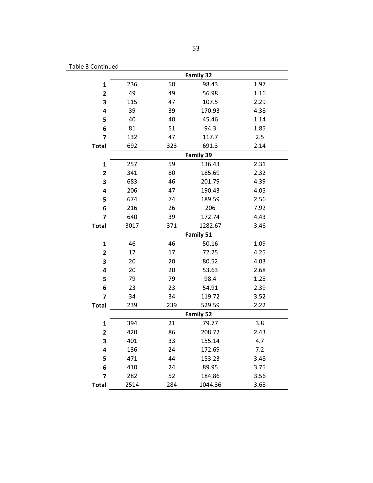# Table 3 Continued

|                         | <b>Family 32</b> |     |           |      |  |  |  |  |  |  |  |  |  |  |  |
|-------------------------|------------------|-----|-----------|------|--|--|--|--|--|--|--|--|--|--|--|
| $\mathbf{1}$            | 236              | 50  | 98.43     | 1.97 |  |  |  |  |  |  |  |  |  |  |  |
| $\overline{\mathbf{2}}$ | 49               | 49  | 56.98     | 1.16 |  |  |  |  |  |  |  |  |  |  |  |
| 3                       | 115              | 47  | 107.5     | 2.29 |  |  |  |  |  |  |  |  |  |  |  |
| 4                       | 39               | 39  | 170.93    | 4.38 |  |  |  |  |  |  |  |  |  |  |  |
| 5                       | 40               | 40  | 45.46     | 1.14 |  |  |  |  |  |  |  |  |  |  |  |
| 6                       | 81               | 51  | 94.3      | 1.85 |  |  |  |  |  |  |  |  |  |  |  |
| $\overline{\mathbf{z}}$ | 132              | 47  | 117.7     | 2.5  |  |  |  |  |  |  |  |  |  |  |  |
| <b>Total</b>            | 692              | 323 | 691.3     | 2.14 |  |  |  |  |  |  |  |  |  |  |  |
|                         |                  |     | Family 39 |      |  |  |  |  |  |  |  |  |  |  |  |
| 1                       | 257              | 59  | 136.43    | 2.31 |  |  |  |  |  |  |  |  |  |  |  |
| $\mathbf{2}$            | 341              | 80  | 185.69    | 2.32 |  |  |  |  |  |  |  |  |  |  |  |
| 3                       | 683              | 46  | 201.79    | 4.39 |  |  |  |  |  |  |  |  |  |  |  |
| 4                       | 206              | 47  | 190.43    | 4.05 |  |  |  |  |  |  |  |  |  |  |  |
| 5                       | 674              | 74  | 189.59    | 2.56 |  |  |  |  |  |  |  |  |  |  |  |
| 6                       | 216              | 26  | 206       | 7.92 |  |  |  |  |  |  |  |  |  |  |  |
| 7                       | 640              | 39  | 172.74    | 4.43 |  |  |  |  |  |  |  |  |  |  |  |
| <b>Total</b>            | 3017             | 371 | 1282.67   | 3.46 |  |  |  |  |  |  |  |  |  |  |  |
|                         | Family 51        |     |           |      |  |  |  |  |  |  |  |  |  |  |  |
| $\mathbf{1}$            | 46               | 46  | 50.16     | 1.09 |  |  |  |  |  |  |  |  |  |  |  |
| $\overline{\mathbf{2}}$ | 17               | 17  | 72.25     | 4.25 |  |  |  |  |  |  |  |  |  |  |  |
| 3                       | 20               | 20  | 80.52     | 4.03 |  |  |  |  |  |  |  |  |  |  |  |
| 4                       | 20               | 20  | 53.63     | 2.68 |  |  |  |  |  |  |  |  |  |  |  |
| 5                       | 79               | 79  | 98.4      | 1.25 |  |  |  |  |  |  |  |  |  |  |  |
| 6                       | 23               | 23  | 54.91     | 2.39 |  |  |  |  |  |  |  |  |  |  |  |
| 7                       | 34               | 34  | 119.72    | 3.52 |  |  |  |  |  |  |  |  |  |  |  |
| <b>Total</b>            | 239              | 239 | 529.59    | 2.22 |  |  |  |  |  |  |  |  |  |  |  |
|                         |                  |     | Family 52 |      |  |  |  |  |  |  |  |  |  |  |  |
| $\mathbf{1}$            | 394              | 21  | 79.77     | 3.8  |  |  |  |  |  |  |  |  |  |  |  |
| $\overline{\mathbf{2}}$ | 420              | 86  | 208.72    | 2.43 |  |  |  |  |  |  |  |  |  |  |  |
| 3                       | 401              | 33  | 155.14    | 4.7  |  |  |  |  |  |  |  |  |  |  |  |
| 4                       | 136              | 24  | 172.69    | 7.2  |  |  |  |  |  |  |  |  |  |  |  |
| 5                       | 471              | 44  | 153.23    | 3.48 |  |  |  |  |  |  |  |  |  |  |  |
| 6                       | 410              | 24  | 89.95     | 3.75 |  |  |  |  |  |  |  |  |  |  |  |
| 7                       | 282              | 52  | 184.86    | 3.56 |  |  |  |  |  |  |  |  |  |  |  |
| <b>Total</b>            | 2514             | 284 | 1044.36   | 3.68 |  |  |  |  |  |  |  |  |  |  |  |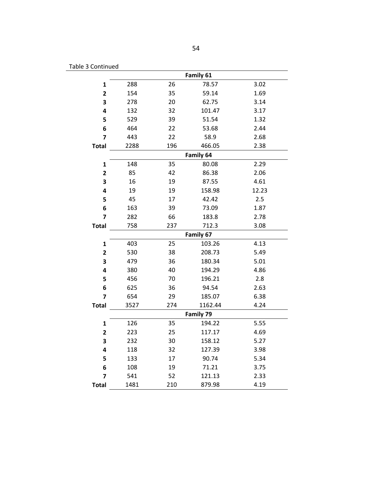# Table 3 Continued

|                         | Family 61 |     |           |       |  |  |  |  |  |  |  |  |  |  |  |
|-------------------------|-----------|-----|-----------|-------|--|--|--|--|--|--|--|--|--|--|--|
| $\mathbf{1}$            | 288       | 26  | 78.57     | 3.02  |  |  |  |  |  |  |  |  |  |  |  |
| $\mathbf{2}$            | 154       | 35  | 59.14     | 1.69  |  |  |  |  |  |  |  |  |  |  |  |
| 3                       | 278       | 20  | 62.75     | 3.14  |  |  |  |  |  |  |  |  |  |  |  |
| 4                       | 132       | 32  | 101.47    | 3.17  |  |  |  |  |  |  |  |  |  |  |  |
| 5                       | 529       | 39  | 51.54     | 1.32  |  |  |  |  |  |  |  |  |  |  |  |
| 6                       | 464       | 22  | 53.68     | 2.44  |  |  |  |  |  |  |  |  |  |  |  |
| $\overline{\mathbf{z}}$ | 443       | 22  | 58.9      | 2.68  |  |  |  |  |  |  |  |  |  |  |  |
| <b>Total</b>            | 2288      | 196 | 466.05    | 2.38  |  |  |  |  |  |  |  |  |  |  |  |
|                         |           |     | Family 64 |       |  |  |  |  |  |  |  |  |  |  |  |
| $\mathbf{1}$            | 148       | 35  | 80.08     | 2.29  |  |  |  |  |  |  |  |  |  |  |  |
| $\mathbf{2}$            | 85        | 42  | 86.38     | 2.06  |  |  |  |  |  |  |  |  |  |  |  |
| 3                       | 16        | 19  | 87.55     | 4.61  |  |  |  |  |  |  |  |  |  |  |  |
| 4                       | 19        | 19  | 158.98    | 12.23 |  |  |  |  |  |  |  |  |  |  |  |
| 5                       | 45        | 17  | 42.42     | 2.5   |  |  |  |  |  |  |  |  |  |  |  |
| 6                       | 163       | 39  | 73.09     | 1.87  |  |  |  |  |  |  |  |  |  |  |  |
| 7                       | 282       | 66  | 183.8     | 2.78  |  |  |  |  |  |  |  |  |  |  |  |
| <b>Total</b>            | 758       | 237 | 712.3     | 3.08  |  |  |  |  |  |  |  |  |  |  |  |
|                         | Family 67 |     |           |       |  |  |  |  |  |  |  |  |  |  |  |
| $\mathbf{1}$            | 403       | 25  | 103.26    | 4.13  |  |  |  |  |  |  |  |  |  |  |  |
| $\overline{2}$          | 530       | 38  | 208.73    | 5.49  |  |  |  |  |  |  |  |  |  |  |  |
| 3                       | 479       | 36  | 180.34    | 5.01  |  |  |  |  |  |  |  |  |  |  |  |
| 4                       | 380       | 40  | 194.29    | 4.86  |  |  |  |  |  |  |  |  |  |  |  |
| 5                       | 456       | 70  | 196.21    | 2.8   |  |  |  |  |  |  |  |  |  |  |  |
| 6                       | 625       | 36  | 94.54     | 2.63  |  |  |  |  |  |  |  |  |  |  |  |
| 7                       | 654       | 29  | 185.07    | 6.38  |  |  |  |  |  |  |  |  |  |  |  |
| <b>Total</b>            | 3527      | 274 | 1162.44   | 4.24  |  |  |  |  |  |  |  |  |  |  |  |
|                         |           |     | Family 79 |       |  |  |  |  |  |  |  |  |  |  |  |
| $\mathbf{1}$            | 126       | 35  | 194.22    | 5.55  |  |  |  |  |  |  |  |  |  |  |  |
| $\overline{\mathbf{c}}$ | 223       | 25  | 117.17    | 4.69  |  |  |  |  |  |  |  |  |  |  |  |
| 3                       | 232       | 30  | 158.12    | 5.27  |  |  |  |  |  |  |  |  |  |  |  |
| 4                       | 118       | 32  | 127.39    | 3.98  |  |  |  |  |  |  |  |  |  |  |  |
| 5                       | 133       | 17  | 90.74     | 5.34  |  |  |  |  |  |  |  |  |  |  |  |
| 6                       | 108       | 19  | 71.21     | 3.75  |  |  |  |  |  |  |  |  |  |  |  |
| 7                       | 541       | 52  | 121.13    | 2.33  |  |  |  |  |  |  |  |  |  |  |  |
| <b>Total</b>            | 1481      | 210 | 879.98    | 4.19  |  |  |  |  |  |  |  |  |  |  |  |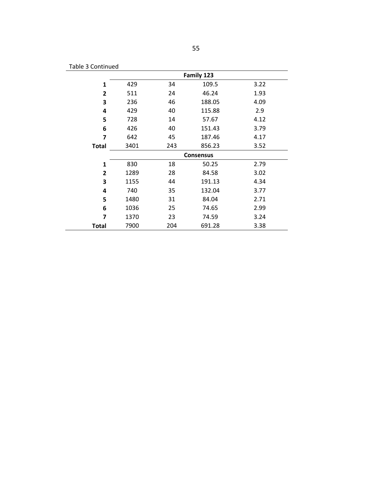|  | Table 3 Continued |  |
|--|-------------------|--|
|  |                   |  |

|              | Family 123       |     |        |      |  |  |  |  |  |  |  |  |  |  |
|--------------|------------------|-----|--------|------|--|--|--|--|--|--|--|--|--|--|
| 1            | 429              | 34  | 109.5  | 3.22 |  |  |  |  |  |  |  |  |  |  |
| $\mathbf{2}$ | 511              | 24  | 46.24  | 1.93 |  |  |  |  |  |  |  |  |  |  |
| 3            | 236              | 46  | 188.05 | 4.09 |  |  |  |  |  |  |  |  |  |  |
| 4            | 429              | 40  | 115.88 | 2.9  |  |  |  |  |  |  |  |  |  |  |
| 5            | 728              | 14  | 57.67  | 4.12 |  |  |  |  |  |  |  |  |  |  |
| 6            | 426              | 40  | 151.43 | 3.79 |  |  |  |  |  |  |  |  |  |  |
| 7            | 642              | 45  | 187.46 | 4.17 |  |  |  |  |  |  |  |  |  |  |
| Total        | 3401             | 243 | 856.23 | 3.52 |  |  |  |  |  |  |  |  |  |  |
|              | <b>Consensus</b> |     |        |      |  |  |  |  |  |  |  |  |  |  |
| 1            | 830              | 18  | 50.25  | 2.79 |  |  |  |  |  |  |  |  |  |  |
| $\mathbf{2}$ | 1289             | 28  | 84.58  | 3.02 |  |  |  |  |  |  |  |  |  |  |
| 3            | 1155             | 44  | 191.13 | 4.34 |  |  |  |  |  |  |  |  |  |  |
| 4            | 740              | 35  | 132.04 | 3.77 |  |  |  |  |  |  |  |  |  |  |
| 5            | 1480             | 31  | 84.04  | 2.71 |  |  |  |  |  |  |  |  |  |  |
| 6            | 1036             | 25  | 74.65  | 2.99 |  |  |  |  |  |  |  |  |  |  |
| 7            | 1370             | 23  | 74.59  | 3.24 |  |  |  |  |  |  |  |  |  |  |
| Total        | 7900             | 204 | 691.28 | 3.38 |  |  |  |  |  |  |  |  |  |  |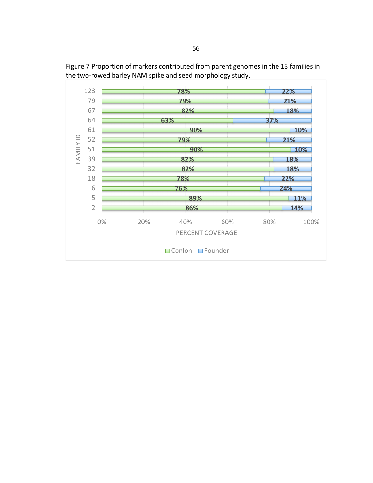

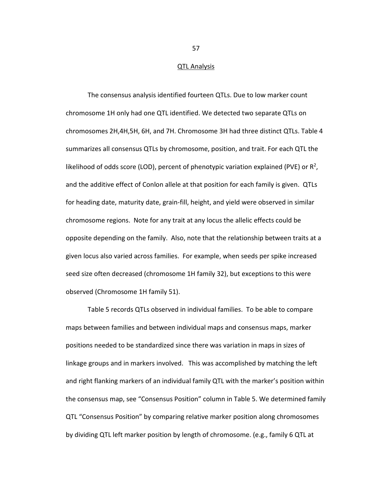## **QTL Analysis**

The consensus analysis identified fourteen QTLs. Due to low marker count chromosome 1H only had one QTL identified. We detected two separate QTLs on chromosomes 2H,4H,5H, 6H, and 7H. Chromosome 3H had three distinct QTLs. Table 4 summarizes all consensus QTLs by chromosome, position, and trait. For each QTL the likelihood of odds score (LOD), percent of phenotypic variation explained (PVE) or  $R^2$ , and the additive effect of Conlon allele at that position for each family is given. QTLs for heading date, maturity date, grain-fill, height, and yield were observed in similar chromosome regions. Note for any trait at any locus the allelic effects could be opposite depending on the family. Also, note that the relationship between traits at a given locus also varied across families. For example, when seeds per spike increased seed size often decreased (chromosome 1H family 32), but exceptions to this were observed (Chromosome 1H family 51).

Table 5 records QTLs observed in individual families. To be able to compare maps between families and between individual maps and consensus maps, marker positions needed to be standardized since there was variation in maps in sizes of linkage groups and in markers involved. This was accomplished by matching the left and right flanking markers of an individual family QTL with the marker's position within the consensus map, see "Consensus Position" column in Table 5. We determined family QTL "Consensus Position" by comparing relative marker position along chromosomes by dividing QTL left marker position by length of chromosome. (e.g., family 6 QTL at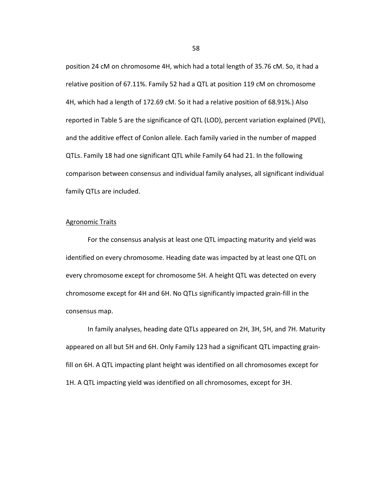position 24 cM on chromosome 4H, which had a total length of 35.76 cM. So, it had a relative position of 67.11%. Family 52 had a QTL at position 119 cM on chromosome 4H, which had a length of 172.69 cM. So it had a relative position of 68.91%.) Also reported in Table 5 are the significance of QTL (LOD), percent variation explained (PVE), and the additive effect of Conlon allele. Each family varied in the number of mapped QTLs. Family 18 had one significant QTL while Family 64 had 21. In the following comparison between consensus and individual family analyses, all significant individual family QTLs are included.

# Agronomic Traits

 For the consensus analysis at least one QTL impacting maturity and yield was identified on every chromosome. Heading date was impacted by at least one QTL on every chromosome except for chromosome 5H. A height QTL was detected on every chromosome except for 4H and 6H. No QTLs significantly impacted grain-fill in the consensus map.

 In family analyses, heading date QTLs appeared on 2H, 3H, 5H, and 7H. Maturity appeared on all but 5H and 6H. Only Family 123 had a significant QTL impacting grainfill on 6H. A QTL impacting plant height was identified on all chromosomes except for 1H. A QTL impacting yield was identified on all chromosomes, except for 3H.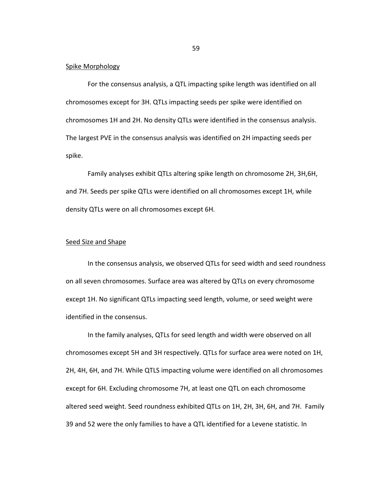## Spike Morphology

For the consensus analysis, a QTL impacting spike length was identified on all chromosomes except for 3H. QTLs impacting seeds per spike were identified on chromosomes 1H and 2H. No density QTLs were identified in the consensus analysis. The largest PVE in the consensus analysis was identified on 2H impacting seeds per spike.

Family analyses exhibit QTLs altering spike length on chromosome 2H, 3H,6H, and 7H. Seeds per spike QTLs were identified on all chromosomes except 1H, while density QTLs were on all chromosomes except 6H.

# Seed Size and Shape

In the consensus analysis, we observed QTLs for seed width and seed roundness on all seven chromosomes. Surface area was altered by QTLs on every chromosome except 1H. No significant QTLs impacting seed length, volume, or seed weight were identified in the consensus.

In the family analyses, QTLs for seed length and width were observed on all chromosomes except 5H and 3H respectively. QTLs for surface area were noted on 1H, 2H, 4H, 6H, and 7H. While QTLS impacting volume were identified on all chromosomes except for 6H. Excluding chromosome 7H, at least one QTL on each chromosome altered seed weight. Seed roundness exhibited QTLs on 1H, 2H, 3H, 6H, and 7H. Family 39 and 52 were the only families to have a QTL identified for a Levene statistic. In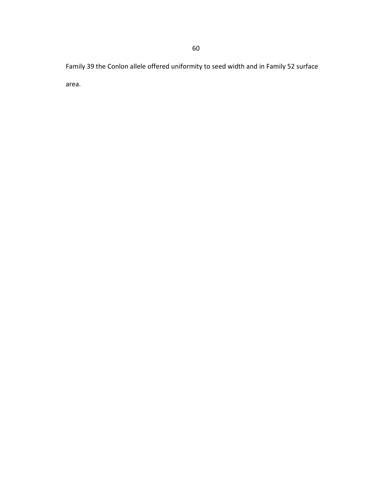Family 39 the Conlon allele offered uniformity to seed width and in Family 52 surface area.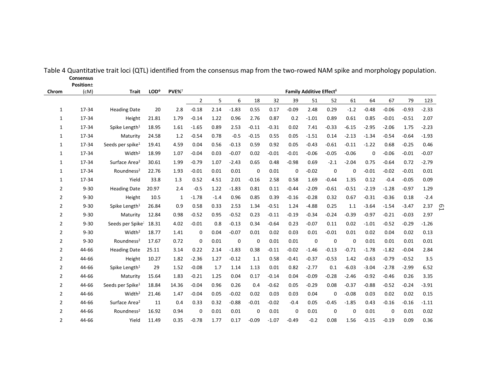|                | <b>Position</b> <sup>+</sup> |                              |              |                   |                |        |             |             |         |             |                                     |             |             |             |             |         |         |
|----------------|------------------------------|------------------------------|--------------|-------------------|----------------|--------|-------------|-------------|---------|-------------|-------------------------------------|-------------|-------------|-------------|-------------|---------|---------|
| Chrom          | (CM)                         | <b>Trait</b>                 | $LOD^{\psi}$ | PVE% <sup>+</sup> |                |        |             |             |         |             | Family Additive Effect <sup>6</sup> |             |             |             |             |         |         |
|                |                              |                              |              |                   | $\overline{2}$ | 5      | 6           | 18          | 32      | 39          | 51                                  | 52          | 61          | 64          | 67          | 79      | 123     |
| $\mathbf{1}$   | 17-34                        | <b>Heading Date</b>          | 20           | 2.8               | $-0.18$        | 2.14   | $-1.83$     | 0.55        | 0.17    | $-0.09$     | 2.48                                | 0.29        | $-1.2$      | $-0.48$     | $-0.06$     | $-0.93$ | $-2.33$ |
| 1              | 17-34                        | Height                       | 21.81        | 1.79              | $-0.14$        | 1.22   | 0.96        | 2.76        | 0.87    | 0.2         | $-1.01$                             | 0.89        | 0.61        | 0.85        | $-0.01$     | $-0.51$ | 2.07    |
| 1              | 17-34                        | Spike Length <sup>1</sup>    | 18.95        | 1.61              | $-1.65$        | 0.89   | 2.53        | $-0.11$     | $-0.31$ | 0.02        | 7.41                                | $-0.33$     | $-6.15$     | $-2.95$     | $-2.06$     | 1.75    | $-2.23$ |
| 1              | 17-34                        | Maturity                     | 24.58        | 1.2               | $-0.54$        | 0.78   | $-0.5$      | $-0.15$     | 0.55    | 0.05        | $-1.51$                             | 0.14        | $-2.13$     | $-1.34$     | $-0.54$     | $-0.64$ | $-1.93$ |
| 1              | 17-34                        | Seeds per spike <sup>1</sup> | 19.41        | 4.59              | 0.04           | 0.56   | $-0.13$     | 0.59        | 0.92    | 0.05        | $-0.43$                             | $-0.61$     | $-0.11$     | $-1.22$     | 0.68        | $-0.25$ | 0.46    |
| 1              | 17-34                        | Width <sup>2</sup>           | 18.99        | 1.07              | $-0.04$        | 0.03   | $-0.07$     | 0.02        | $-0.01$ | $-0.01$     | $-0.06$                             | $-0.05$     | $-0.06$     | $\mathbf 0$ | $-0.06$     | $-0.01$ | $-0.07$ |
| 1              | 17-34                        | Surface Area <sup>2</sup>    | 30.61        | 1.99              | $-0.79$        | 1.07   | $-2.43$     | 0.65        | 0.48    | $-0.98$     | 0.69                                | $-2.1$      | $-2.04$     | 0.75        | $-0.64$     | 0.72    | $-2.79$ |
| 1              | 17-34                        | Roundness <sup>2</sup>       | 22.76        | 1.93              | $-0.01$        | 0.01   | 0.01        | 0           | 0.01    | 0           | $-0.02$                             | $\mathbf 0$ | 0           | $-0.01$     | $-0.02$     | $-0.01$ | 0.01    |
| 1              | 17-34                        | Yield                        | 33.8         | 1.3               | 0.52           | 4.51   | 2.01        | $-0.16$     | 2.58    | 0.58        | 1.69                                | $-0.44$     | 1.35        | 0.12        | $-0.4$      | $-0.05$ | 0.09    |
| 2              | $9 - 30$                     | <b>Heading Date</b>          | 20.97        | 2.4               | $-0.5$         | 1.22   | $-1.83$     | 0.81        | 0.11    | $-0.44$     | $-2.09$                             | $-0.61$     | $-0.51$     | $-2.19$     | $-1.28$     | $-0.97$ | 1.29    |
| 2              | $9 - 30$                     | Height                       | 10.5         | $\mathbf{1}$      | $-1.78$        | $-1.4$ | 0.96        | 0.85        | 0.39    | $-0.16$     | $-0.28$                             | 0.32        | 0.67        | $-0.31$     | $-0.36$     | 0.18    | $-2.4$  |
| 2              | $9 - 30$                     | Spike Length <sup>1</sup>    | 26.84        | 0.9               | 0.58           | 0.33   | 2.53        | 1.34        | $-0.51$ | 1.24        | $-4.88$                             | 0.25        | 1.1         | $-3.64$     | $-1.54$     | $-3.47$ | 2.37    |
| 2              | $9 - 30$                     | Maturity                     | 12.84        | 0.98              | $-0.52$        | 0.95   | $-0.52$     | 0.23        | $-0.11$ | $-0.19$     | $-0.34$                             | $-0.24$     | $-0.39$     | $-0.97$     | $-0.21$     | $-0.03$ | 2.97    |
| 2              | $9 - 30$                     | Seeds per Spike <sup>1</sup> | 18.31        | 4.02              | $-0.01$        | 0.8    | $-0.13$     | 0.34        | $-0.64$ | 0.23        | $-0.07$                             | 0.11        | 0.02        | $-1.01$     | $-0.52$     | $-0.29$ | $-1.26$ |
| 2              | $9 - 30$                     | Width <sup>2</sup>           | 18.77        | 1.41              | $\mathbf 0$    | 0.04   | $-0.07$     | 0.01        | 0.02    | 0.03        | 0.01                                | $-0.01$     | 0.01        | 0.02        | 0.04        | 0.02    | 0.13    |
| $\overline{2}$ | $9 - 30$                     | Roundness <sup>2</sup>       | 17.67        | 0.72              | $\mathbf 0$    | 0.01   | $\mathbf 0$ | $\mathbf 0$ | 0.01    | 0.01        | $\mathbf 0$                         | $\mathbf 0$ | $\mathbf 0$ | 0.01        | 0.01        | 0.01    | 0.01    |
| 2              | 44-66                        | <b>Heading Date</b>          | 25.11        | 3.14              | 0.22           | 2.14   | $-1.83$     | 0.38        | $-0.11$ | $-0.02$     | $-1.46$                             | $-0.13$     | $-0.71$     | $-1.78$     | $-1.82$     | $-0.04$ | 2.84    |
| 2              | 44-66                        | Height                       | 10.27        | 1.82              | $-2.36$        | 1.27   | $-0.12$     | 1.1         | 0.58    | $-0.41$     | $-0.37$                             | $-0.53$     | 1.42        | $-0.63$     | $-0.79$     | $-0.52$ | 3.5     |
| $\overline{2}$ | 44-66                        | Spike Length <sup>1</sup>    | 29           | 1.52              | $-0.08$        | 1.7    | 1.14        | 1.13        | 0.01    | 0.82        | $-2.77$                             | 0.1         | $-6.03$     | $-3.04$     | $-2.78$     | $-2.99$ | 6.52    |
| 2              | 44-66                        | Maturity                     | 15.64        | 1.83              | $-0.21$        | 1.25   | 0.04        | 0.17        | $-0.14$ | 0.04        | $-0.09$                             | $-0.28$     | $-2.46$     | $-0.92$     | $-0.46$     | 0.26    | 3.35    |
| $\overline{2}$ | 44-66                        | Seeds per Spike <sup>1</sup> | 18.84        | 14.36             | $-0.04$        | 0.96   | 0.26        | 0.4         | $-0.62$ | 0.05        | $-0.29$                             | 0.08        | $-0.37$     | $-0.88$     | $-0.52$     | $-0.24$ | $-3.91$ |
| 2              | 44-66                        | Width <sup>2</sup>           | 21.46        | 1.47              | $-0.04$        | 0.05   | $-0.02$     | 0.02        | 0.03    | 0.03        | 0.04                                | 0           | $-0.08$     | 0.03        | 0.02        | 0.02    | 0.15    |
| 2              | 44-66                        | Surface Area <sup>2</sup>    | 11           | 0.4               | 0.33           | 0.32   | $-0.88$     | $-0.01$     | $-0.02$ | $-0.4$      | 0.05                                | $-0.45$     | $-1.85$     | 0.43        | $-0.16$     | $-0.16$ | $-1.11$ |
| $\overline{2}$ | 44-66                        | Roundness <sup>2</sup>       | 16.92        | 0.94              | $\mathbf 0$    | 0.01   | 0.01        | $\mathbf 0$ | 0.01    | $\mathbf 0$ | 0.01                                | $\mathbf 0$ | $\mathbf 0$ | 0.01        | $\mathbf 0$ | 0.01    | 0.02    |
| $\overline{2}$ | 44-66                        | Yield                        | 11.49        | 0.35              | $-0.78$        | 1.77   | 0.17        | $-0.09$     | $-1.07$ | $-0.49$     | $-0.2$                              | 0.08        | 1.56        | $-0.15$     | $-0.19$     | 0.09    | 0.36    |

Table 4 Quantitative trait loci (QTL) identified from the consensus map from the two-rowed NAM spike and morphology population. **Consensus**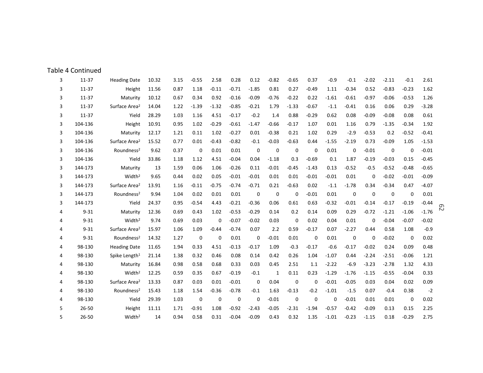| 3 | $11-37$   | <b>Heading Date</b>       | 10.32 | 3.15 | $-0.55$ | 2.58        | 0.28        | 0.12        | $-0.82$     | $-0.65$     | 0.37        | $-0.9$      | $-0.1$      | $-2.02$     | $-2.11$     | $-0.1$      | 2.61    |
|---|-----------|---------------------------|-------|------|---------|-------------|-------------|-------------|-------------|-------------|-------------|-------------|-------------|-------------|-------------|-------------|---------|
| 3 | $11-37$   | Height                    | 11.56 | 0.87 | 1.18    | $-0.11$     | $-0.71$     | $-1.85$     | 0.81        | 0.27        | $-0.49$     | 1.11        | $-0.34$     | 0.52        | $-0.83$     | $-0.23$     | 1.62    |
| 3 | $11 - 37$ | Maturity                  | 10.12 | 0.67 | 0.34    | 0.92        | $-0.16$     | $-0.09$     | $-0.76$     | $-0.22$     | 0.22        | $-1.61$     | $-0.61$     | $-0.97$     | $-0.06$     | $-0.53$     | 1.26    |
| 3 | $11-37$   | Surface Area <sup>2</sup> | 14.04 | 1.22 | $-1.39$ | $-1.32$     | $-0.85$     | $-0.21$     | 1.79        | $-1.33$     | $-0.67$     | $-1.1$      | $-0.41$     | 0.16        | 0.06        | 0.29        | $-3.28$ |
| 3 | $11-37$   | Yield                     | 28.29 | 1.03 | 1.16    | 4.51        | $-0.17$     | $-0.2$      | 1.4         | 0.88        | $-0.29$     | 0.62        | 0.08        | $-0.09$     | $-0.08$     | 0.08        | 0.61    |
| 3 | 104-136   | Height                    | 10.91 | 0.95 | 1.02    | $-0.29$     | $-0.61$     | $-1.47$     | $-0.66$     | $-0.17$     | 1.07        | 0.01        | 1.16        | 0.79        | $-1.35$     | $-0.34$     | 1.92    |
| 3 | 104-136   | Maturity                  | 12.17 | 1.21 | 0.11    | 1.02        | $-0.27$     | 0.01        | $-0.38$     | 0.21        | 1.02        | 0.29        | $-2.9$      | $-0.53$     | 0.2         | $-0.52$     | $-0.41$ |
| 3 | 104-136   | Surface Area <sup>2</sup> | 15.52 | 0.77 | 0.01    | $-0.43$     | $-0.82$     | $-0.1$      | $-0.03$     | $-0.63$     | 0.44        | $-1.55$     | $-2.19$     | 0.73        | $-0.09$     | 1.05        | $-1.53$ |
| 3 | 104-136   | Roundness <sup>2</sup>    | 9.62  | 0.37 | 0       | 0.01        | 0.01        | $\mathbf 0$ | $\mathbf 0$ | $\mathbf 0$ | $\mathbf 0$ | 0.01        | $\mathbf 0$ | $-0.01$     | $\mathbf 0$ | $\mathbf 0$ | $-0.01$ |
| 3 | 104-136   | Yield                     | 33.86 | 1.18 | 1.12    | 4.51        | $-0.04$     | 0.04        | $-1.18$     | 0.3         | $-0.69$     | 0.1         | 1.87        | $-0.19$     | $-0.03$     | 0.15        | $-0.45$ |
| 3 | 144-173   | Maturity                  | 13    | 1.59 | 0.06    | 1.06        | $-0.26$     | 0.11        | $-0.01$     | $-0.45$     | $-1.43$     | 0.13        | $-0.52$     | $-0.5$      | $-0.52$     | $-0.48$     | $-0.65$ |
| 3 | 144-173   | Width <sup>2</sup>        | 9.65  | 0.44 | 0.02    | 0.05        | $-0.01$     | $-0.01$     | 0.01        | 0.01        | $-0.01$     | $-0.01$     | 0.01        | 0           | $-0.02$     | $-0.01$     | $-0.09$ |
| 3 | 144-173   | Surface Area <sup>2</sup> | 13.91 | 1.16 | $-0.11$ | $-0.75$     | $-0.74$     | $-0.71$     | 0.21        | $-0.63$     | 0.02        | $-1.1$      | $-1.78$     | 0.34        | $-0.34$     | 0.47        | $-4.07$ |
| 3 | 144-173   | Roundness <sup>2</sup>    | 9.94  | 1.04 | 0.02    | 0.01        | 0.01        | $\mathbf 0$ | $\mathbf 0$ | 0           | $-0.01$     | 0.01        | $\mathbf 0$ | $\mathbf 0$ | $\mathbf 0$ | 0           | 0.01    |
| 3 | 144-173   | Yield                     | 24.37 | 0.95 | $-0.54$ | 4.43        | $-0.21$     | $-0.36$     | 0.06        | 0.61        | 0.63        | $-0.32$     | $-0.01$     | $-0.14$     | $-0.17$     | $-0.19$     | $-0.44$ |
| 4 | $9 - 31$  | Maturity                  | 12.36 | 0.69 | 0.43    | 1.02        | $-0.53$     | $-0.29$     | 0.14        | 0.2         | 0.14        | 0.09        | 0.29        | $-0.72$     | $-1.21$     | $-1.06$     | $-1.76$ |
| 4 | $9 - 31$  | Width <sup>2</sup>        | 9.74  | 0.69 | 0.03    | 0           | $-0.07$     | $-0.02$     | 0.03        | 0           | 0.02        | 0.04        | 0.01        | 0           | $-0.04$     | $-0.07$     | $-0.02$ |
| 4 | $9 - 31$  | Surface Area <sup>2</sup> | 15.97 | 1.06 | 1.09    | $-0.44$     | $-0.74$     | 0.07        | 2.2         | 0.59        | $-0.17$     | 0.07        | $-2.27$     | 0.44        | 0.58        | 1.08        | $-0.9$  |
| 4 | $9 - 31$  | Roundness <sup>2</sup>    | 14.32 | 1.27 | 0       | 0           | 0.01        | 0           | $-0.01$     | 0.01        | 0           | 0.01        | $\mathbf 0$ | 0           | $-0.02$     | 0           | 0.02    |
| 4 | 98-130    | <b>Heading Date</b>       | 11.65 | 1.94 | 0.33    | 4.51        | $-0.13$     | $-0.17$     | 1.09        | $-0.3$      | $-0.17$     | $-0.6$      | $-0.17$     | $-0.02$     | 0.24        | 0.09        | 0.48    |
| 4 | 98-130    | Spike Length <sup>1</sup> | 21.14 | 1.38 | 0.32    | 0.46        | 0.08        | 0.14        | 0.42        | 0.26        | 1.04        | $-1.07$     | 0.44        | $-2.24$     | $-2.51$     | $-0.06$     | 1.21    |
| 4 | 98-130    | Maturity                  | 16.84 | 0.98 | 0.58    | 0.68        | 0.33        | 0.03        | 0.45        | 2.51        | 1.1         | $-2.22$     | $-6.9$      | $-3.23$     | $-2.78$     | 1.32        | 4.33    |
| 4 | 98-130    | Width <sup>2</sup>        | 12.25 | 0.59 | 0.35    | 0.67        | $-0.19$     | $-0.1$      | 1           | 0.11        | 0.23        | $-1.29$     | $-1.76$     | $-1.15$     | $-0.55$     | $-0.04$     | 0.33    |
| 4 | 98-130    | Surface Area <sup>2</sup> | 13.33 | 0.87 | 0.03    | 0.01        | $-0.01$     | 0           | 0.04        | $\mathbf 0$ | $\mathbf 0$ | $-0.01$     | $-0.05$     | 0.03        | 0.04        | 0.02        | 0.09    |
| 4 | 98-130    | Roundness <sup>2</sup>    | 15.43 | 1.18 | 1.54    | $-0.36$     | $-0.78$     | $-0.1$      | 1.63        | $-0.13$     | $-0.2$      | $-1.01$     | $-1.5$      | 0.07        | $-0.4$      | 0.38        | $-2$    |
| 4 | 98-130    | Yield                     | 29.39 | 1.03 | 0       | $\mathbf 0$ | $\mathbf 0$ | $\mathbf 0$ | $-0.01$     | $\mathbf 0$ | $\mathbf 0$ | $\mathbf 0$ | $-0.01$     | 0.01        | 0.01        | 0           | 0.02    |
| 5 | 26-50     | Height                    | 11.11 | 1.71 | $-0.91$ | 1.08        | $-0.92$     | $-2.43$     | $-0.05$     | $-2.31$     | $-1.94$     | $-0.57$     | $-0.42$     | $-0.09$     | 0.13        | 0.15        | 2.25    |
| 5 | 26-50     | Width <sup>2</sup>        | 14    | 0.94 | 0.58    | 0.31        | $-0.04$     | $-0.09$     | 0.43        | 0.32        | 1.35        | $-1.01$     | $-0.23$     | $-1.15$     | 0.18        | $-0.29$     | 2.75    |

Table 4 Continued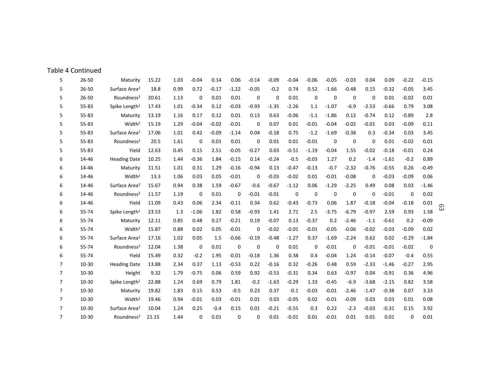| 5              | 26-50     | Maturity                  | 15.22 | 1.03 | $-0.04$     | 0.14    | 0.06        | $-0.14$     | $-0.09$     | $-0.04$     | $-0.06$     | $-0.05$     | $-0.03$     | 0.04        | 0.09    | $-0.22$  | $-0.15$     |
|----------------|-----------|---------------------------|-------|------|-------------|---------|-------------|-------------|-------------|-------------|-------------|-------------|-------------|-------------|---------|----------|-------------|
| 5              | 26-50     | Surface Area <sup>2</sup> | 18.8  | 0.99 | 0.72        | $-0.17$ | $-1.22$     | $-0.05$     | $-0.2$      | 0.74        | 0.52        | $-1.66$     | $-0.48$     | 0.15        | $-0.32$ | $-0.05$  | 3.45        |
| 5              | $26 - 50$ | Roundness <sup>2</sup>    | 20.61 | 1.13 | 0           | 0.01    | 0.01        | $\mathbf 0$ | $\mathbf 0$ | 0.01        | $\mathbf 0$ | 0           | 0           | $\mathbf 0$ | 0.01    | $-0.02$  | 0.01        |
| 5              | 55-83     | Spike Length <sup>1</sup> | 17.43 | 1.01 | $-0.34$     | 0.12    | $-0.03$     | $-0.93$     | $-1.35$     | $-2.26$     | 1.1         | $-1.07$     | $-6.9$      | $-2.53$     | $-0.66$ | 0.79     | 3.08        |
| 5              | 55-83     | Maturity                  | 13.19 | 1.16 | 0.17        | 0.12    | 0.01        | 0.13        | 0.63        | $-0.06$     | $-1.1$      | $-1.86$     | 0.12        | $-0.74$     | 0.12    | $-0.89$  | 2.8         |
| 5              | 55-83     | Width <sup>2</sup>        | 15.19 | 1.29 | $-0.04$     | $-0.02$ | $-0.01$     | $\mathbf 0$ | 0.07        | 0.01        | $-0.01$     | $-0.04$     | $-0.02$     | $-0.01$     | 0.03    | $-0.09$  | 0.11        |
| 5              | 55-83     | Surface Area <sup>2</sup> | 17.06 | 1.01 | 0.42        | $-0.09$ | $-1.14$     | 0.04        | $-0.18$     | 0.75        | $-1.2$      | $-1.69$     | $-0.38$     | 0.3         | $-0.34$ | 0.03     | 3.45        |
| 5              | 55-83     | Roundness <sup>2</sup>    | 20.5  | 1.61 | 0           | 0.01    | 0.01        | $\mathbf 0$ | 0.01        | 0.01        | $-0.01$     | $\mathbf 0$ | $\mathbf 0$ | $\mathbf 0$ | 0.01    | $-0.02$  | 0.01        |
| 5              | 55-83     | Yield                     | 12.63 | 0.45 | 0.15        | 2.51    | $-0.05$     | $-0.27$     | 0.03        | $-0.51$     | $-1.19$     | $-0.04$     | 1.55        | $-0.02$     | $-0.18$ | $-0.01$  | 0.24        |
| 6              | 14-46     | <b>Heading Date</b>       | 10.25 | 1.44 | $-0.36$     | 1.84    | $-0.15$     | 0.14        | $-0.24$     | $-0.5$      | $-0.03$     | 1.27        | 0.2         | $-1.4$      | $-1.61$ | $-0.2$   | 0.89        |
| 6              | 14-46     | Maturity                  | 11.51 | 1.01 | 0.31        | 1.29    | $-0.16$     | $-0.94$     | 0.13        | $-0.47$     | $-0.13$     | $-0.7$      | $-2.32$     | $-0.76$     | $-0.55$ | 0.26     | $-0.49$     |
| 6              | 14-46     | Width <sup>2</sup>        | 13.3  | 1.06 | 0.03        | 0.05    | $-0.01$     | 0           | $-0.03$     | $-0.02$     | 0.01        | $-0.01$     | $-0.08$     | $\mathbf 0$ | $-0.03$ | $-0.09$  | 0.06        |
| 6              | 14-46     | Surface Area <sup>2</sup> | 15.67 | 0.94 | 0.38        | 1.59    | $-0.67$     | $-0.6$      | $-0.67$     | $-1.12$     | 0.06        | $-1.29$     | $-2.25$     | 0.49        | 0.08    | 0.03     | $-1.46$     |
| 6              | 14-46     | Roundness <sup>2</sup>    | 11.57 | 1.19 | 0           | 0.01    | $\mathbf 0$ | $-0.01$     | $-0.01$     | $\mathbf 0$ | $\mathbf 0$ | 0           | $\mathbf 0$ | $\mathbf 0$ | $-0.01$ | 0        | 0.02        |
| 6              | 14-46     | Yield                     | 11.09 | 0.43 | 0.06        | 2.34    | $-0.11$     | 0.34        | 0.62        | $-0.43$     | $-0.73$     | 0.06        | 1.87        | $-0.18$     | $-0.04$ | $-0.18$  | 0.01        |
| 6              | 55-74     | Spike Length <sup>1</sup> | 23.53 | 1.3  | $-1.06$     | 1.82    | 0.58        | $-0.93$     | 1.41        | 2.71        | 2.5         | $-3.75$     | $-6.79$     | $-0.97$     | 2.59    | 0.93     | 1.58        |
| 6              | 55-74     | Maturity                  | 12.11 | 0.85 | 0.48        | 0.27    | $-0.21$     | 0.19        | $-0.07$     | 0.13        | $-0.37$     | 0.2         | $-2.46$     | $-1.1$      | $-0.61$ | 0.2      | $-0.09$     |
| 6              | 55-74     | Width <sup>2</sup>        | 15.87 | 0.88 | 0.02        | 0.05    | $-0.01$     | $\mathbf 0$ | $-0.02$     | $-0.01$     | $-0.01$     | $-0.05$     | $-0.06$     | $-0.02$     | $-0.03$ | $-0.09$  | 0.02        |
| 6              | 55-74     | Surface Area <sup>2</sup> | 17.16 | 1.02 | 0.05        | 1.5     | $-0.66$     | $-0.19$     | $-0.48$     | $-1.27$     | 0.37        | $-1.69$     | $-2.24$     | 0.62        | 0.02    | $-0.29$  | $-1.84$     |
| 6              | 55-74     | Roundness <sup>2</sup>    | 12.04 | 1.38 | $\mathbf 0$ | 0.01    | $\mathbf 0$ | $\mathbf 0$ | $\mathbf 0$ | 0.01        | $\mathbf 0$ | $-0.01$     | 0           | $-0.01$     | $-0.01$ | $-0.02$  | $\mathbf 0$ |
| 6              | 55-74     | Yield                     | 15.49 | 0.32 | $-0.2$      | 1.95    | $-0.01$     | $-0.18$     | 1.36        | 0.38        | 0.4         | $-0.04$     | 1.24        | $-0.14$     | $-0.07$ | $-0.4$   | 0.55        |
| 7              | $10 - 30$ | <b>Heading Date</b>       | 13.88 | 2.34 | 0.37        | 1.13    | $-0.53$     | 0.22        | $-0.16$     | 0.32        | $-0.26$     | 0.48        | 0.59        | $-2.33$     | $-1.46$ | $-0.27$  | 2.95        |
| $\overline{7}$ | 10-30     | Height                    | 9.32  | 1.79 | $-0.75$     | 0.06    | 0.59        | 0.92        | $-0.53$     | $-0.31$     | 0.34        | 0.63        | $-0.97$     | 0.04        | $-0.91$ | 0.36     | 4.96        |
| 7              | $10 - 30$ | Spike Length <sup>1</sup> | 22.88 | 1.24 | 0.69        | 0.79    | 1.81        | $-0.2$      | $-1.63$     | $-0.29$     | 1.33        | $-0.45$     | $-6.9$      | $-3.68$     | $-2.15$ | 0.82     | 3.58        |
| $\overline{7}$ | $10 - 30$ | Maturity                  | 19.82 | 1.83 | 0.15        | 0.53    | $-0.5$      | 0.23        | 0.37        | $-0.1$      | $-0.03$     | $-0.01$     | $-2.46$     | $-1.47$     | $-0.38$ | 0.07     | 3.33        |
| $\overline{7}$ | 10-30     | Width <sup>2</sup>        | 19.46 | 0.94 | $-0.01$     | 0.03    | $-0.01$     | 0.01        | 0.03        | $-0.05$     | 0.02        | $-0.01$     | $-0.09$     | 0.03        | 0.03    | 0.01     | 0.08        |
| $\overline{7}$ | $10 - 30$ | Surface Area <sup>2</sup> | 10.04 | 1.24 | 0.25        | $-0.4$  | 0.15        | 0.01        | $-0.21$     | $-0.55$     | 0.3         | 0.22        | $-2.3$      | $-0.03$     | $-0.31$ | 0.15     | 3.92        |
| $\overline{7}$ | 10-30     | Roundness <sup>2</sup>    | 21.15 | 1.44 | 0           | 0.01    | $\Omega$    | $\Omega$    | 0.01        | $-0.01$     | 0.01        | $-0.01$     | 0.01        | 0.01        | 0.01    | $\Omega$ | 0.01        |

Table 4 Continued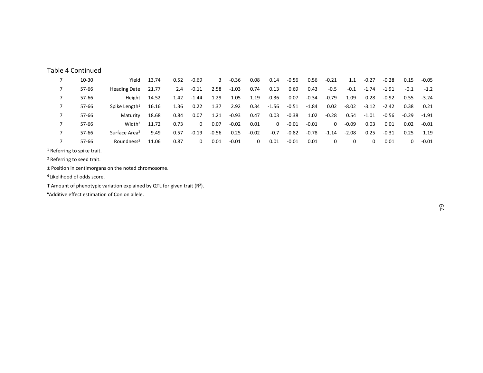| $10 - 30$ | Yield                     | 13.74 | 0.52 | $-0.69$ | 3       | $-0.36$ | 0.08     | 0.14     | $-0.56$ | 0.56    | $-0.21$  | 1.1     | $-0.27$ | $-0.28$ | 0.15    | $-0.05$ |
|-----------|---------------------------|-------|------|---------|---------|---------|----------|----------|---------|---------|----------|---------|---------|---------|---------|---------|
| 57-66     | <b>Heading Date</b>       | 21.77 | 2.4  | $-0.11$ | 2.58    | $-1.03$ | 0.74     | 0.13     | 0.69    | 0.43    | $-0.5$   | $-0.1$  | $-1.74$ | $-1.91$ | $-0.1$  | $-1.2$  |
| 57-66     | Height                    | 14.52 | 1.42 | $-1.44$ | 1.29    | 1.05    | 1.19     | $-0.36$  | 0.07    | $-0.34$ | $-0.79$  | 1.09    | 0.28    | $-0.92$ | 0.55    | $-3.24$ |
| 57-66     | Spike Length <sup>1</sup> | 16.16 | 1.36 | 0.22    | 1.37    | 2.92    | 0.34     | $-1.56$  | $-0.51$ | $-1.84$ | 0.02     | $-8.02$ | $-3.12$ | $-2.42$ | 0.38    | 0.21    |
| 57-66     | Maturity                  | 18.68 | 0.84 | 0.07    | 1.21    | $-0.93$ | 0.47     | 0.03     | $-0.38$ | 1.02    | $-0.28$  | 0.54    | $-1.01$ | $-0.56$ | $-0.29$ | -1.91   |
| 57-66     | Width <sup>2</sup>        | 11.72 | 0.73 | 0       | 0.07    | $-0.02$ | 0.01     | $\Omega$ | $-0.01$ | $-0.01$ | $\Omega$ | $-0.09$ | 0.03    | 0.01    | 0.02    | -0.01   |
| 57-66     | Surface Area <sup>2</sup> | 9.49  | 0.57 | $-0.19$ | $-0.56$ | 0.25    | $-0.02$  | $-0.7$   | $-0.82$ | $-0.78$ | $-1.14$  | $-2.08$ | 0.25    | $-0.31$ | 0.25    | 1.19    |
| 57-66     | Roundness <sup>2</sup>    | 11.06 | 0.87 |         | 0.01    | $-0.01$ | $\Omega$ | 0.01     | $-0.01$ | 0.01    |          |         | 0       | 0.01    | 0       | $-0.01$ |

1 Referring to spike trait.

Table 4 Continued

<sup>2</sup> Referring to seed trait.

± Position in centimorgans on the noted chromosome.

ᵠLikelihood of odds score.

**T** Amount of phenotypic variation explained by QTL for given trait (R<sup>2</sup>).

<sup>6</sup> Additive effect estimation of Conlon allele.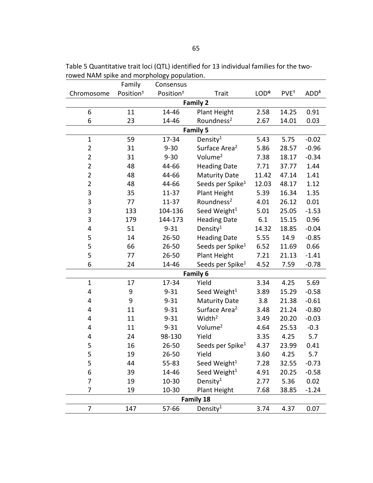| rowed in this spike and morphology population. | Family                | Consensus             |                              |              |                  |                |  |  |
|------------------------------------------------|-----------------------|-----------------------|------------------------------|--------------|------------------|----------------|--|--|
| Chromosome                                     | Position <sup>+</sup> | Position <sup>+</sup> | Trait                        | $LOD^{\psi}$ | PVE <sup>+</sup> | $ADD^{\delta}$ |  |  |
| <b>Family 2</b>                                |                       |                       |                              |              |                  |                |  |  |
| 6                                              | 11                    | 14-46                 | Plant Height                 | 2.58         | 14.25            | 0.91           |  |  |
| 6                                              | 23                    | 14-46                 | Roundness <sup>2</sup>       | 2.67         | 14.01            | 0.03           |  |  |
| <b>Family 5</b>                                |                       |                       |                              |              |                  |                |  |  |
| $\mathbf 1$                                    | 59                    | 17-34                 | Density <sup>1</sup>         | 5.43         | 5.75             | $-0.02$        |  |  |
| $\overline{2}$                                 | 31                    | $9 - 30$              | Surface Area <sup>2</sup>    | 5.86         | 28.57            | $-0.96$        |  |  |
| $\overline{2}$                                 | 31                    | $9 - 30$              | Volume <sup>2</sup>          | 7.38         | 18.17            | $-0.34$        |  |  |
| $\overline{2}$                                 | 48                    | 44-66                 | <b>Heading Date</b>          | 7.71         | 37.77            | 1.44           |  |  |
| $\overline{2}$                                 | 48                    | 44-66                 | <b>Maturity Date</b>         | 11.42        | 47.14            | 1.41           |  |  |
| $\overline{2}$                                 | 48                    | 44-66                 | Seeds per Spike <sup>1</sup> | 12.03        | 48.17            | 1.12           |  |  |
| 3                                              | 35                    | 11-37                 | Plant Height                 | 5.39         | 16.34            | 1.35           |  |  |
| 3                                              | 77                    | 11-37                 | Roundness <sup>2</sup>       | 4.01         | 26.12            | 0.01           |  |  |
| 3                                              | 133                   | 104-136               | Seed Weight <sup>1</sup>     | 5.01         | 25.05            | $-1.53$        |  |  |
| 3                                              | 179                   | 144-173               | <b>Heading Date</b>          | 6.1          | 15.15            | 0.96           |  |  |
| 4                                              | 51                    | $9 - 31$              | Density <sup>1</sup>         | 14.32        | 18.85            | $-0.04$        |  |  |
| 5                                              | 14                    | $26 - 50$             | <b>Heading Date</b>          | 5.55         | 14.9             | $-0.85$        |  |  |
| 5                                              | 66                    | 26-50                 | Seeds per Spike <sup>1</sup> | 6.52         | 11.69            | 0.66           |  |  |
| 5                                              | 77                    | $26 - 50$             | Plant Height                 | 7.21         | 21.13            | $-1.41$        |  |  |
| 6                                              | 24                    | 14-46                 | Seeds per Spike <sup>1</sup> | 4.52         | 7.59             | $-0.78$        |  |  |
|                                                |                       |                       | Family 6                     |              |                  |                |  |  |
| $\mathbf{1}$                                   | 17                    | 17-34                 | Yield                        | 3.34         | 4.25             | 5.69           |  |  |
| 4                                              | 9                     | $9 - 31$              | Seed Weight <sup>1</sup>     | 3.89         | 15.29            | $-0.58$        |  |  |
| 4                                              | 9                     | $9 - 31$              | <b>Maturity Date</b>         | 3.8          | 21.38            | $-0.61$        |  |  |
| 4                                              | 11                    | $9 - 31$              | Surface Area <sup>2</sup>    | 3.48         | 21.24            | $-0.80$        |  |  |
| 4                                              | 11                    | $9 - 31$              | Width <sup>2</sup>           | 3.49         | 20.20            | $-0.03$        |  |  |
| 4                                              | 11                    | $9 - 31$              | Volume <sup>2</sup>          | 4.64         | 25.53            | $-0.3$         |  |  |
| 4                                              | 24                    | 98-130                | Yield                        | 3.35         | 4.25             | 5.7            |  |  |
| 5                                              | 16                    | $26 - 50$             | Seeds per Spike <sup>1</sup> | 4.37         | 23.99            | 0.41           |  |  |
| 5                                              | 19                    | $26 - 50$             | Yield                        | 3.60         | 4.25             | 5.7            |  |  |
| 5                                              | 44                    | 55-83                 | Seed Weight <sup>1</sup>     | 7.28         | 32.55            | $-0.73$        |  |  |
| 6                                              | 39                    | 14-46                 | Seed Weight <sup>1</sup>     | 4.91         | 20.25            | $-0.58$        |  |  |
| 7                                              | 19                    | 10-30                 | Density <sup>1</sup>         | 2.77         | 5.36             | 0.02           |  |  |
| 7                                              | 19                    | $10 - 30$             | Plant Height                 | 7.68         | 38.85            | $-1.24$        |  |  |
| Family 18                                      |                       |                       |                              |              |                  |                |  |  |
| 7                                              | 147                   | 57-66                 | Density <sup>1</sup>         | 3.74         | 4.37             | 0.07           |  |  |

Table 5 Quantitative trait loci (QTL) identified for 13 individual families for the tworowed NAM spike and morphology population.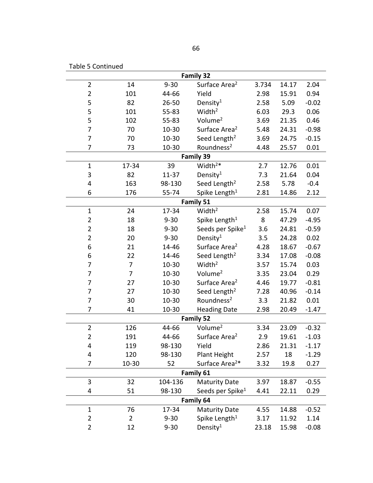|  | <b>Table 5 Continued</b> |  |
|--|--------------------------|--|
|--|--------------------------|--|

| Family 32      |                |           |                              |               |                |              |  |
|----------------|----------------|-----------|------------------------------|---------------|----------------|--------------|--|
| $\overline{2}$ | 14             | $9 - 30$  | Surface Area <sup>2</sup>    |               | 14.17          |              |  |
| $\overline{2}$ | 101            | 44-66     | Yield                        | 3.734<br>2.98 | 15.91          | 2.04<br>0.94 |  |
| 5              | 82             | $26 - 50$ | Density <sup>1</sup>         | 2.58          | 5.09           | $-0.02$      |  |
| 5              | 101            | 55-83     | Width <sup>2</sup>           | 6.03          | 29.3           | 0.06         |  |
| 5              | 102            | $55 - 83$ | Volume <sup>2</sup>          | 3.69          | 21.35          | 0.46         |  |
| 7              | 70             | $10 - 30$ | Surface Area <sup>2</sup>    | 5.48          | 24.31          | $-0.98$      |  |
| $\overline{7}$ | 70             | 10-30     | Seed Length <sup>2</sup>     | 3.69          |                | $-0.15$      |  |
| 7              | 73             | 10-30     | Roundness <sup>2</sup>       | 4.48          | 24.75<br>25.57 | 0.01         |  |
|                |                |           | Family 39                    |               |                |              |  |
|                |                |           | Width <sup>2*</sup>          |               |                |              |  |
| $\mathbf{1}$   | 17-34          | 39        |                              | 2.7           | 12.76          | 0.01         |  |
| 3              | 82             | $11 - 37$ | Density <sup>1</sup>         | 7.3           | 21.64          | 0.04         |  |
| 4              | 163            | 98-130    | Seed Length <sup>2</sup>     | 2.58          | 5.78           | $-0.4$       |  |
| 6              | 176            | 55-74     | Spike Length <sup>1</sup>    | 2.81          | 14.86          | 2.12         |  |
|                |                |           | Family 51                    |               |                |              |  |
| $\mathbf{1}$   | 24             | 17-34     | Width <sup>2</sup>           | 2.58          | 15.74          | 0.07         |  |
| $\overline{2}$ | 18             | $9 - 30$  | Spike Length <sup>1</sup>    | 8             | 47.29          | $-4.95$      |  |
| $\overline{2}$ | 18             | $9 - 30$  | Seeds per Spike <sup>1</sup> | 3.6           | 24.81          | $-0.59$      |  |
| $\overline{2}$ | 20             | $9 - 30$  | Density <sup>1</sup>         | 3.5           | 24.28          | 0.02         |  |
| 6              | 21             | 14-46     | Surface Area <sup>2</sup>    | 4.28          | 18.67          | $-0.67$      |  |
| 6              | 22             | 14-46     | Seed Length <sup>2</sup>     | 3.34          | 17.08          | $-0.08$      |  |
| 7              | $\overline{7}$ | $10 - 30$ | Width <sup>2</sup>           | 3.57          | 15.74          | 0.03         |  |
| 7              | 7              | 10-30     | Volume <sup>2</sup>          | 3.35          | 23.04          | 0.29         |  |
| 7              | 27             | 10-30     | Surface Area <sup>2</sup>    | 4.46          | 19.77          | $-0.81$      |  |
| 7              | 27             | 10-30     | Seed Length <sup>2</sup>     | 7.28          | 40.96          | $-0.14$      |  |
| 7              | 30             | $10 - 30$ | Roundness <sup>2</sup>       | 3.3           | 21.82          | 0.01         |  |
| 7              | 41             | 10-30     | <b>Heading Date</b>          | 2.98          | 20.49          | $-1.47$      |  |
|                |                |           | Family 52                    |               |                |              |  |
| $\overline{2}$ | 126            | 44-66     | Volume <sup>2</sup>          | 3.34          | 23.09          | $-0.32$      |  |
| $\overline{2}$ | 191            | 44-66     | Surface Area <sup>2</sup>    | 2.9           | 19.61          | $-1.03$      |  |
| 4              | 119            | 98-130    | Yield                        | 2.86          | 21.31          | $-1.17$      |  |
| 4              | 120            | 98-130    | Plant Height                 | 2.57          | 18             | $-1.29$      |  |
| 7              | 10-30          | 52        | Surface Area <sup>2*</sup>   | 3.32          | 19.8           | 0.27         |  |
| Family 61      |                |           |                              |               |                |              |  |
| $\mathbf{3}$   | 32             | 104-136   | <b>Maturity Date</b>         | 3.97          | 18.87          | $-0.55$      |  |
| 4              | 51             | 98-130    | Seeds per Spike <sup>1</sup> | 4.41          | 22.11          | 0.29         |  |
| Family 64      |                |           |                              |               |                |              |  |
| 1              | 76             | 17-34     | <b>Maturity Date</b>         | 4.55          | 14.88          | $-0.52$      |  |
| $\overline{2}$ | 2              | $9 - 30$  | Spike Length <sup>1</sup>    | 3.17          | 11.92          | 1.14         |  |
| $\overline{2}$ | 12             | $9 - 30$  | Density <sup>1</sup>         | 23.18         | 15.98          | $-0.08$      |  |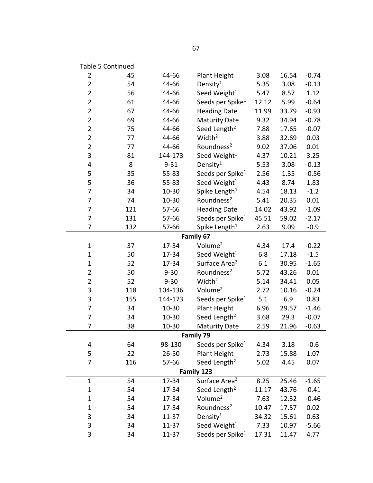| Table 5 Continued       |     |           |                              |       |       |         |  |  |
|-------------------------|-----|-----------|------------------------------|-------|-------|---------|--|--|
| 2                       | 45  | 44-66     | Plant Height                 | 3.08  | 16.54 | $-0.74$ |  |  |
| $\overline{2}$          | 54  | 44-66     | Density $1$                  | 5.35  | 3.08  | $-0.13$ |  |  |
| $\overline{2}$          | 56  | 44-66     | Seed Weight <sup>1</sup>     | 5.47  | 8.57  | 1.12    |  |  |
| $\overline{2}$          | 61  | 44-66     | Seeds per Spike <sup>1</sup> | 12.12 | 5.99  | $-0.64$ |  |  |
| $\overline{\mathbf{c}}$ | 67  | 44-66     | <b>Heading Date</b>          | 11.99 | 33.79 | $-0.93$ |  |  |
| $\overline{2}$          | 69  | 44-66     | <b>Maturity Date</b>         | 9.32  | 34.94 | $-0.78$ |  |  |
| $\overline{2}$          | 75  | 44-66     | Seed Length <sup>2</sup>     | 7.88  | 17.65 | $-0.07$ |  |  |
| $\overline{2}$          | 77  | 44-66     | Width <sup>2</sup>           | 3.88  | 32.69 | 0.03    |  |  |
| $\overline{2}$          | 77  | 44-66     | Roundness <sup>2</sup>       | 9.02  | 37.06 | 0.01    |  |  |
| 3                       | 81  | 144-173   | Seed Weight <sup>1</sup>     | 4.37  | 10.21 | 3.25    |  |  |
| 4                       | 8   | $9 - 31$  | Density <sup>1</sup>         | 5.53  | 3.08  | $-0.13$ |  |  |
| 5                       | 35  | 55-83     | Seeds per Spike <sup>1</sup> | 2.56  | 1.35  | $-0.56$ |  |  |
| 5                       | 36  | $55 - 83$ | Seed Weight <sup>1</sup>     | 4.43  | 8.74  | 1.83    |  |  |
| 7                       | 34  | 10-30     | Spike Length <sup>1</sup>    | 4.54  | 18.13 | $-1.2$  |  |  |
| 7                       | 74  | 10-30     | Roundness <sup>2</sup>       | 5.41  | 20.35 | 0.01    |  |  |
| 7                       | 121 | 57-66     | <b>Heading Date</b>          | 14.02 | 43.92 | $-1.09$ |  |  |
| 7                       | 131 | 57-66     | Seeds per Spike <sup>1</sup> | 45.51 | 59.02 | $-2.17$ |  |  |
| 7                       | 132 | 57-66     | Spike Length <sup>1</sup>    | 2.63  | 9.09  | $-0.9$  |  |  |
|                         |     |           | Family 67                    |       |       |         |  |  |
| $\mathbf{1}$            | 37  | 17-34     | Volume <sup>2</sup>          | 4.34  | 17.4  | $-0.22$ |  |  |
| 1                       | 50  | 17-34     | Seed Weight <sup>1</sup>     | 6.8   | 17.18 | $-1.5$  |  |  |
| $\mathbf 1$             | 52  | 17-34     | Surface Area <sup>2</sup>    | 6.1   | 30.95 | $-1.65$ |  |  |
| 2                       | 50  | $9 - 30$  | Roundness <sup>2</sup>       | 5.72  | 43.26 | 0.01    |  |  |
| $\overline{2}$          | 52  | $9 - 30$  | Width <sup>2</sup>           | 5.14  | 34.41 | 0.05    |  |  |
| 3                       | 118 | 104-136   | Volume <sup>2</sup>          | 2.72  | 10.16 | $-0.24$ |  |  |
| 3                       | 155 | 144-173   | Seeds per Spike <sup>1</sup> | 5.1   | 6.9   | 0.83    |  |  |
| 7                       | 34  | 10-30     | Plant Height                 | 6.96  | 29.57 | $-1.46$ |  |  |
| 7                       | 34  | 10-30     | Seed Length <sup>2</sup>     | 3.68  | 29.3  | $-0.07$ |  |  |
| 7                       | 38  | $10 - 30$ | <b>Maturity Date</b>         | 2.59  | 21.96 | $-0.63$ |  |  |
|                         |     |           | Family 79                    |       |       |         |  |  |
| 4                       | 64  | 98-130    | Seeds per Spike <sup>1</sup> | 4.34  | 3.18  | $-0.6$  |  |  |
| 5                       | 22  | 26-50     | Plant Height                 | 2.73  | 15.88 | 1.07    |  |  |
| 7                       | 116 | 57-66     | Seed Length <sup>2</sup>     | 5.02  | 4.45  | 0.07    |  |  |
| Family 123              |     |           |                              |       |       |         |  |  |
| $\mathbf{1}$            | 54  | 17-34     | Surface Area <sup>2</sup>    | 8.25  | 25.46 | $-1.65$ |  |  |
| 1                       | 54  | 17-34     | Seed Length <sup>2</sup>     | 11.17 | 43.76 | $-0.41$ |  |  |
| 1                       | 54  | 17-34     | Volume <sup>2</sup>          | 7.63  | 12.32 | $-0.46$ |  |  |
| 1                       | 54  | 17-34     | Roundness <sup>2</sup>       | 10.47 | 17.57 | 0.02    |  |  |
| 3                       | 34  | 11-37     | Density <sup>1</sup>         | 34.32 | 15.61 | 0.63    |  |  |
| 3                       | 34  | 11-37     | Seed Weight <sup>1</sup>     | 7.33  | 10.97 | $-5.66$ |  |  |

3 34 11-37 Seeds per Spike<sup>1</sup> 17.31 11.47 4.77

÷,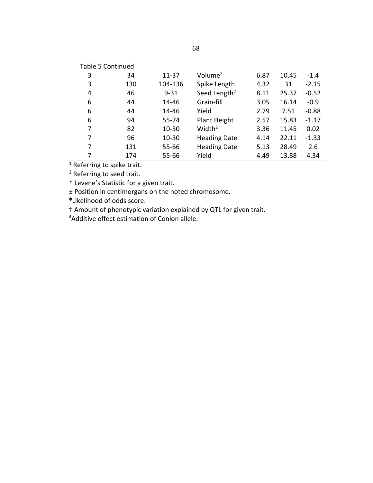| <b>Table 5 Continued</b> |     |           |                          |      |       |         |  |  |
|--------------------------|-----|-----------|--------------------------|------|-------|---------|--|--|
| 3                        | 34  | $11 - 37$ | Volume <sup>2</sup>      | 6.87 | 10.45 | $-1.4$  |  |  |
| 3                        | 130 | 104-136   | Spike Length             | 4.32 | 31    | $-2.15$ |  |  |
| 4                        | 46  | $9 - 31$  | Seed Length <sup>2</sup> | 8.11 | 25.37 | $-0.52$ |  |  |
| 6                        | 44  | 14-46     | Grain-fill               | 3.05 | 16.14 | $-0.9$  |  |  |
| 6                        | 44  | 14-46     | Yield                    | 2.79 | 7.51  | $-0.88$ |  |  |
| 6                        | 94  | 55-74     | Plant Height             | 2.57 | 15.83 | $-1.17$ |  |  |
| 7                        | 82  | $10 - 30$ | Width <sup>2</sup>       | 3.36 | 11.45 | 0.02    |  |  |
| 7                        | 96  | $10 - 30$ | <b>Heading Date</b>      | 4.14 | 22.11 | $-1.33$ |  |  |
| 7                        | 131 | $55 - 66$ | <b>Heading Date</b>      | 5.13 | 28.49 | 2.6     |  |  |
| 7                        | 174 | 55-66     | Yield                    | 4.49 | 13.88 | 4.34    |  |  |

<sup>1</sup> Referring to spike trait.

<sup>2</sup> Referring to seed trait.

\* Levene's Statistic for a given trait.

± Position in centimorgans on the noted chromosome.

ᵠLikelihood of odds score.

Ϯ Amount of phenotypic variation explained by QTL for given trait.

<sup>6</sup> Additive effect estimation of Conlon allele.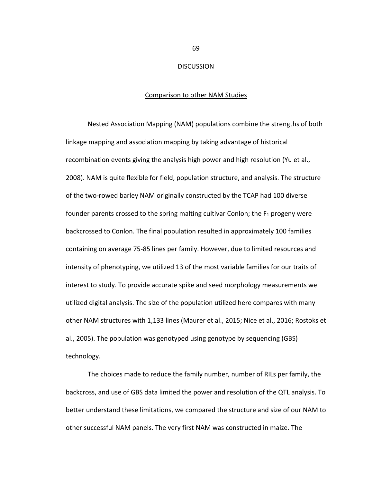#### **DISCUSSION**

## Comparison to other NAM Studies

 Nested Association Mapping (NAM) populations combine the strengths of both linkage mapping and association mapping by taking advantage of historical recombination events giving the analysis high power and high resolution (Yu et al., 2008). NAM is quite flexible for field, population structure, and analysis. The structure of the two-rowed barley NAM originally constructed by the TCAP had 100 diverse founder parents crossed to the spring malting cultivar Conlon; the  $F_1$  progeny were backcrossed to Conlon. The final population resulted in approximately 100 families containing on average 75-85 lines per family. However, due to limited resources and intensity of phenotyping, we utilized 13 of the most variable families for our traits of interest to study. To provide accurate spike and seed morphology measurements we utilized digital analysis. The size of the population utilized here compares with many other NAM structures with 1,133 lines (Maurer et al., 2015; Nice et al., 2016; Rostoks et al., 2005). The population was genotyped using genotype by sequencing (GBS) technology.

The choices made to reduce the family number, number of RILs per family, the backcross, and use of GBS data limited the power and resolution of the QTL analysis. To better understand these limitations, we compared the structure and size of our NAM to other successful NAM panels. The very first NAM was constructed in maize. The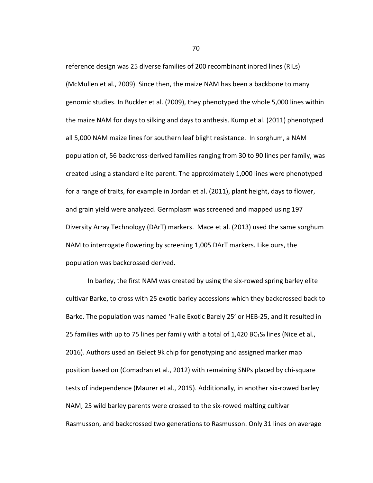reference design was 25 diverse families of 200 recombinant inbred lines (RILs) (McMullen et al., 2009). Since then, the maize NAM has been a backbone to many genomic studies. In Buckler et al. (2009), they phenotyped the whole 5,000 lines within the maize NAM for days to silking and days to anthesis. Kump et al. (2011) phenotyped all 5,000 NAM maize lines for southern leaf blight resistance. In sorghum, a NAM population of, 56 backcross-derived families ranging from 30 to 90 lines per family, was created using a standard elite parent. The approximately 1,000 lines were phenotyped for a range of traits, for example in Jordan et al. (2011), plant height, days to flower, and grain yield were analyzed. Germplasm was screened and mapped using 197 Diversity Array Technology (DArT) markers. Mace et al. (2013) used the same sorghum NAM to interrogate flowering by screening 1,005 DArT markers. Like ours, the population was backcrossed derived.

In barley, the first NAM was created by using the six-rowed spring barley elite cultivar Barke, to cross with 25 exotic barley accessions which they backcrossed back to Barke. The population was named 'Halle Exotic Barely 25' or HEB-25, and it resulted in 25 families with up to 75 lines per family with a total of  $1,420$  BC<sub>1</sub>S<sub>3</sub> lines (Nice et al., 2016). Authors used an iSelect 9k chip for genotyping and assigned marker map position based on (Comadran et al., 2012) with remaining SNPs placed by chi-square tests of independence (Maurer et al., 2015). Additionally, in another six-rowed barley NAM, 25 wild barley parents were crossed to the six-rowed malting cultivar Rasmusson, and backcrossed two generations to Rasmusson. Only 31 lines on average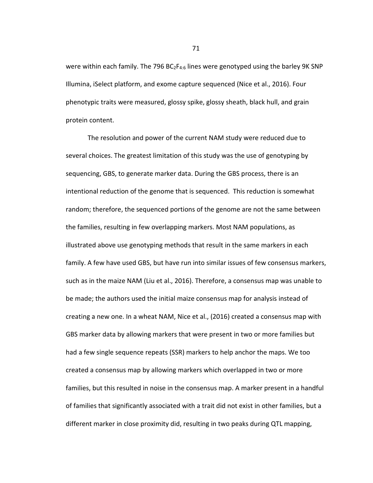were within each family. The 796  $BC_2F_{4:6}$  lines were genotyped using the barley 9K SNP Illumina, iSelect platform, and exome capture sequenced (Nice et al., 2016). Four phenotypic traits were measured, glossy spike, glossy sheath, black hull, and grain protein content.

The resolution and power of the current NAM study were reduced due to several choices. The greatest limitation of this study was the use of genotyping by sequencing, GBS, to generate marker data. During the GBS process, there is an intentional reduction of the genome that is sequenced. This reduction is somewhat random; therefore, the sequenced portions of the genome are not the same between the families, resulting in few overlapping markers. Most NAM populations, as illustrated above use genotyping methods that result in the same markers in each family. A few have used GBS, but have run into similar issues of few consensus markers, such as in the maize NAM (Liu et al., 2016). Therefore, a consensus map was unable to be made; the authors used the initial maize consensus map for analysis instead of creating a new one. In a wheat NAM, Nice et al., (2016) created a consensus map with GBS marker data by allowing markers that were present in two or more families but had a few single sequence repeats (SSR) markers to help anchor the maps. We too created a consensus map by allowing markers which overlapped in two or more families, but this resulted in noise in the consensus map. A marker present in a handful of families that significantly associated with a trait did not exist in other families, but a different marker in close proximity did, resulting in two peaks during QTL mapping,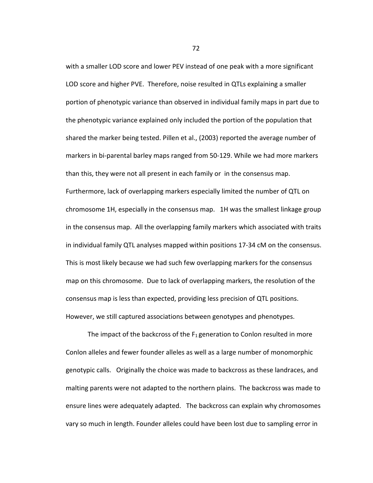with a smaller LOD score and lower PEV instead of one peak with a more significant LOD score and higher PVE. Therefore, noise resulted in QTLs explaining a smaller portion of phenotypic variance than observed in individual family maps in part due to the phenotypic variance explained only included the portion of the population that shared the marker being tested. Pillen et al., (2003) reported the average number of markers in bi-parental barley maps ranged from 50-129. While we had more markers than this, they were not all present in each family or in the consensus map. Furthermore, lack of overlapping markers especially limited the number of QTL on chromosome 1H, especially in the consensus map. 1H was the smallest linkage group in the consensus map. All the overlapping family markers which associated with traits in individual family QTL analyses mapped within positions 17-34 cM on the consensus. This is most likely because we had such few overlapping markers for the consensus map on this chromosome. Due to lack of overlapping markers, the resolution of the consensus map is less than expected, providing less precision of QTL positions. However, we still captured associations between genotypes and phenotypes.

The impact of the backcross of the  $F_1$  generation to Conlon resulted in more Conlon alleles and fewer founder alleles as well as a large number of monomorphic genotypic calls. Originally the choice was made to backcross as these landraces, and malting parents were not adapted to the northern plains. The backcross was made to ensure lines were adequately adapted. The backcross can explain why chromosomes vary so much in length. Founder alleles could have been lost due to sampling error in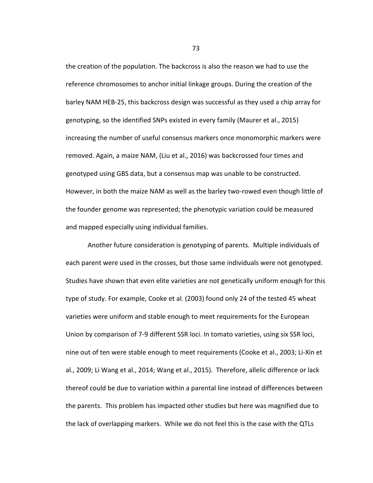the creation of the population. The backcross is also the reason we had to use the reference chromosomes to anchor initial linkage groups. During the creation of the barley NAM HEB-25, this backcross design was successful as they used a chip array for genotyping, so the identified SNPs existed in every family (Maurer et al., 2015) increasing the number of useful consensus markers once monomorphic markers were removed. Again, a maize NAM, (Liu et al., 2016) was backcrossed four times and genotyped using GBS data, but a consensus map was unable to be constructed. However, in both the maize NAM as well as the barley two-rowed even though little of the founder genome was represented; the phenotypic variation could be measured and mapped especially using individual families.

Another future consideration is genotyping of parents. Multiple individuals of each parent were used in the crosses, but those same individuals were not genotyped. Studies have shown that even elite varieties are not genetically uniform enough for this type of study. For example, Cooke et al. (2003) found only 24 of the tested 45 wheat varieties were uniform and stable enough to meet requirements for the European Union by comparison of 7-9 different SSR loci. In tomato varieties, using six SSR loci, nine out of ten were stable enough to meet requirements (Cooke et al., 2003; Li-Xin et al., 2009; Li Wang et al., 2014; Wang et al., 2015). Therefore, allelic difference or lack thereof could be due to variation within a parental line instead of differences between the parents. This problem has impacted other studies but here was magnified due to the lack of overlapping markers. While we do not feel this is the case with the QTLs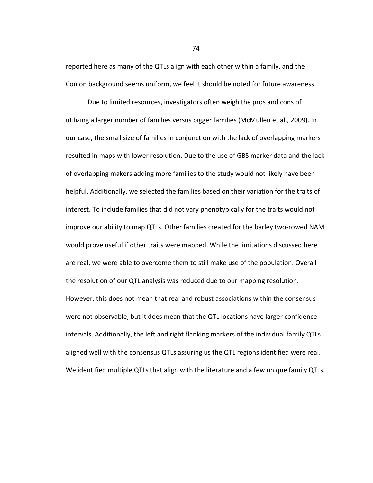reported here as many of the QTLs align with each other within a family, and the Conlon background seems uniform, we feel it should be noted for future awareness.

Due to limited resources, investigators often weigh the pros and cons of utilizing a larger number of families versus bigger families (McMullen et al., 2009). In our case, the small size of families in conjunction with the lack of overlapping markers resulted in maps with lower resolution. Due to the use of GBS marker data and the lack of overlapping makers adding more families to the study would not likely have been helpful. Additionally, we selected the families based on their variation for the traits of interest. To include families that did not vary phenotypically for the traits would not improve our ability to map QTLs. Other families created for the barley two-rowed NAM would prove useful if other traits were mapped. While the limitations discussed here are real, we were able to overcome them to still make use of the population. Overall the resolution of our QTL analysis was reduced due to our mapping resolution. However, this does not mean that real and robust associations within the consensus were not observable, but it does mean that the QTL locations have larger confidence intervals. Additionally, the left and right flanking markers of the individual family QTLs aligned well with the consensus QTLs assuring us the QTL regions identified were real. We identified multiple QTLs that align with the literature and a few unique family QTLs.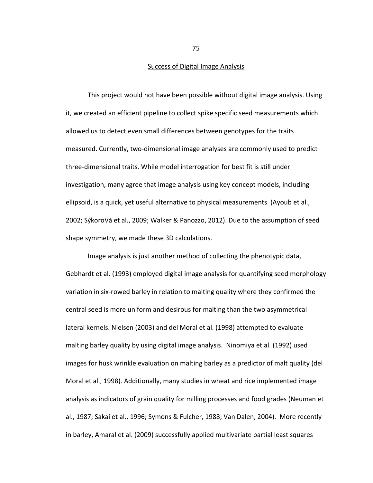#### Success of Digital Image Analysis

This project would not have been possible without digital image analysis. Using it, we created an efficient pipeline to collect spike specific seed measurements which allowed us to detect even small differences between genotypes for the traits measured. Currently, two-dimensional image analyses are commonly used to predict three-dimensional traits. While model interrogation for best fit is still under investigation, many agree that image analysis using key concept models, including ellipsoid, is a quick, yet useful alternative to physical measurements (Ayoub et al., 2002; SýkoroVá et al., 2009; Walker & Panozzo, 2012). Due to the assumption of seed shape symmetry, we made these 3D calculations.

Image analysis is just another method of collecting the phenotypic data, Gebhardt et al. (1993) employed digital image analysis for quantifying seed morphology variation in six-rowed barley in relation to malting quality where they confirmed the central seed is more uniform and desirous for malting than the two asymmetrical lateral kernels. Nielsen (2003) and del Moral et al. (1998) attempted to evaluate malting barley quality by using digital image analysis. Ninomiya et al. (1992) used images for husk wrinkle evaluation on malting barley as a predictor of malt quality (del Moral et al., 1998). Additionally, many studies in wheat and rice implemented image analysis as indicators of grain quality for milling processes and food grades (Neuman et al., 1987; Sakai et al., 1996; Symons & Fulcher, 1988; Van Dalen, 2004). More recently in barley, Amaral et al. (2009) successfully applied multivariate partial least squares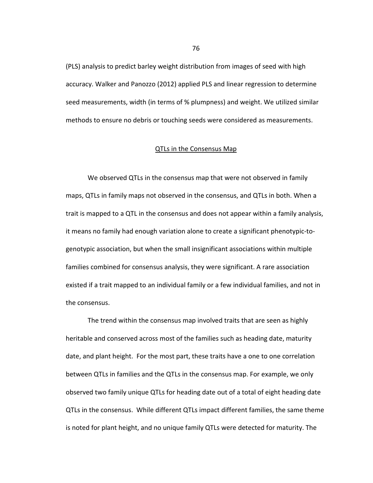(PLS) analysis to predict barley weight distribution from images of seed with high accuracy. Walker and Panozzo (2012) applied PLS and linear regression to determine seed measurements, width (in terms of % plumpness) and weight. We utilized similar methods to ensure no debris or touching seeds were considered as measurements.

# QTLs in the Consensus Map

We observed QTLs in the consensus map that were not observed in family maps, QTLs in family maps not observed in the consensus, and QTLs in both. When a trait is mapped to a QTL in the consensus and does not appear within a family analysis, it means no family had enough variation alone to create a significant phenotypic-togenotypic association, but when the small insignificant associations within multiple families combined for consensus analysis, they were significant. A rare association existed if a trait mapped to an individual family or a few individual families, and not in the consensus.

The trend within the consensus map involved traits that are seen as highly heritable and conserved across most of the families such as heading date, maturity date, and plant height. For the most part, these traits have a one to one correlation between QTLs in families and the QTLs in the consensus map. For example, we only observed two family unique QTLs for heading date out of a total of eight heading date QTLs in the consensus. While different QTLs impact different families, the same theme is noted for plant height, and no unique family QTLs were detected for maturity. The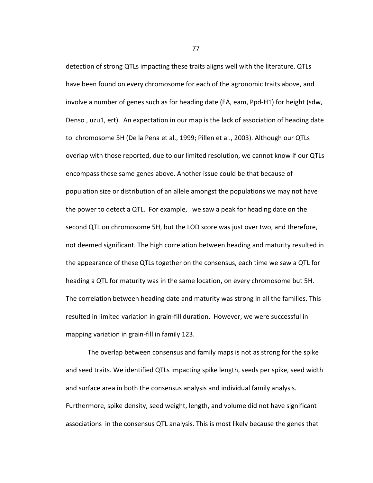detection of strong QTLs impacting these traits aligns well with the literature. QTLs have been found on every chromosome for each of the agronomic traits above, and involve a number of genes such as for heading date (EA, eam, Ppd-H1) for height (sdw, Denso , uzu1, ert). An expectation in our map is the lack of association of heading date to chromosome 5H (De la Pena et al., 1999; Pillen et al., 2003). Although our QTLs overlap with those reported, due to our limited resolution, we cannot know if our QTLs encompass these same genes above. Another issue could be that because of population size or distribution of an allele amongst the populations we may not have the power to detect a QTL. For example, we saw a peak for heading date on the second QTL on chromosome 5H, but the LOD score was just over two, and therefore, not deemed significant. The high correlation between heading and maturity resulted in the appearance of these QTLs together on the consensus, each time we saw a QTL for heading a QTL for maturity was in the same location, on every chromosome but 5H. The correlation between heading date and maturity was strong in all the families. This resulted in limited variation in grain-fill duration. However, we were successful in mapping variation in grain-fill in family 123.

 The overlap between consensus and family maps is not as strong for the spike and seed traits. We identified QTLs impacting spike length, seeds per spike, seed width and surface area in both the consensus analysis and individual family analysis. Furthermore, spike density, seed weight, length, and volume did not have significant associations in the consensus QTL analysis. This is most likely because the genes that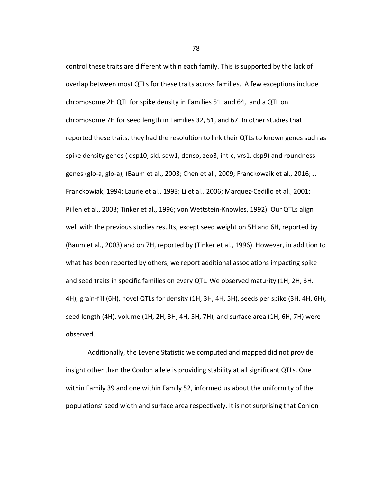control these traits are different within each family. This is supported by the lack of overlap between most QTLs for these traits across families. A few exceptions include chromosome 2H QTL for spike density in Families 51 and 64, and a QTL on chromosome 7H for seed length in Families 32, 51, and 67. In other studies that reported these traits, they had the resolultion to link their QTLs to known genes such as spike density genes ( dsp10, sld, sdw1, denso, zeo3, int-c, vrs1, dsp9) and roundness genes (glo-a, glo-a), (Baum et al., 2003; Chen et al., 2009; Franckowaik et al., 2016; J. Franckowiak, 1994; Laurie et al., 1993; Li et al., 2006; Marquez-Cedillo et al., 2001; Pillen et al., 2003; Tinker et al., 1996; von Wettstein-Knowles, 1992). Our QTLs align well with the previous studies results, except seed weight on 5H and 6H, reported by (Baum et al., 2003) and on 7H, reported by (Tinker et al., 1996). However, in addition to what has been reported by others, we report additional associations impacting spike and seed traits in specific families on every QTL. We observed maturity (1H, 2H, 3H. 4H), grain-fill (6H), novel QTLs for density (1H, 3H, 4H, 5H), seeds per spike (3H, 4H, 6H), seed length (4H), volume (1H, 2H, 3H, 4H, 5H, 7H), and surface area (1H, 6H, 7H) were observed.

Additionally, the Levene Statistic we computed and mapped did not provide insight other than the Conlon allele is providing stability at all significant QTLs. One within Family 39 and one within Family 52, informed us about the uniformity of the populations' seed width and surface area respectively. It is not surprising that Conlon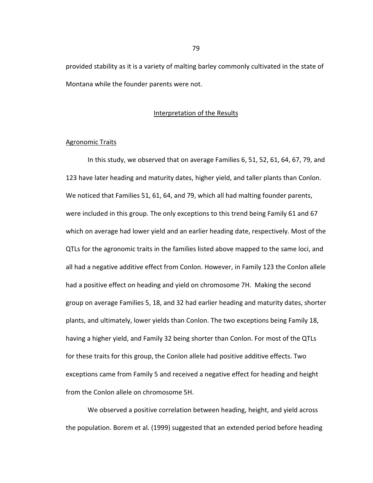provided stability as it is a variety of malting barley commonly cultivated in the state of Montana while the founder parents were not.

## Interpretation of the Results

#### Agronomic Traits

In this study, we observed that on average Families 6, 51, 52, 61, 64, 67, 79, and 123 have later heading and maturity dates, higher yield, and taller plants than Conlon. We noticed that Families 51, 61, 64, and 79, which all had malting founder parents, were included in this group. The only exceptions to this trend being Family 61 and 67 which on average had lower yield and an earlier heading date, respectively. Most of the QTLs for the agronomic traits in the families listed above mapped to the same loci, and all had a negative additive effect from Conlon. However, in Family 123 the Conlon allele had a positive effect on heading and yield on chromosome 7H. Making the second group on average Families 5, 18, and 32 had earlier heading and maturity dates, shorter plants, and ultimately, lower yields than Conlon. The two exceptions being Family 18, having a higher yield, and Family 32 being shorter than Conlon. For most of the QTLs for these traits for this group, the Conlon allele had positive additive effects. Two exceptions came from Family 5 and received a negative effect for heading and height from the Conlon allele on chromosome 5H.

We observed a positive correlation between heading, height, and yield across the population. Borem et al. (1999) suggested that an extended period before heading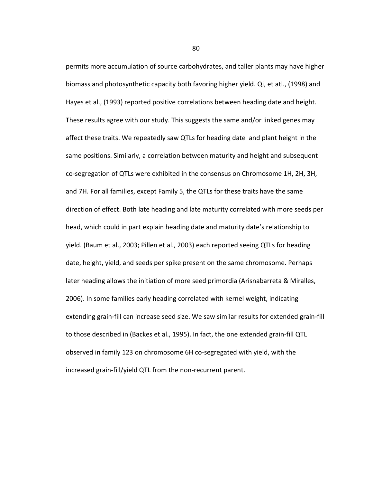permits more accumulation of source carbohydrates, and taller plants may have higher biomass and photosynthetic capacity both favoring higher yield. Qi, et atl., (1998) and Hayes et al., (1993) reported positive correlations between heading date and height. These results agree with our study. This suggests the same and/or linked genes may affect these traits. We repeatedly saw QTLs for heading date and plant height in the same positions. Similarly, a correlation between maturity and height and subsequent co-segregation of QTLs were exhibited in the consensus on Chromosome 1H, 2H, 3H, and 7H. For all families, except Family 5, the QTLs for these traits have the same direction of effect. Both late heading and late maturity correlated with more seeds per head, which could in part explain heading date and maturity date's relationship to yield. (Baum et al., 2003; Pillen et al., 2003) each reported seeing QTLs for heading date, height, yield, and seeds per spike present on the same chromosome. Perhaps later heading allows the initiation of more seed primordia (Arisnabarreta & Miralles, 2006). In some families early heading correlated with kernel weight, indicating extending grain-fill can increase seed size. We saw similar results for extended grain-fill to those described in (Backes et al., 1995). In fact, the one extended grain-fill QTL observed in family 123 on chromosome 6H co-segregated with yield, with the increased grain-fill/yield QTL from the non-recurrent parent.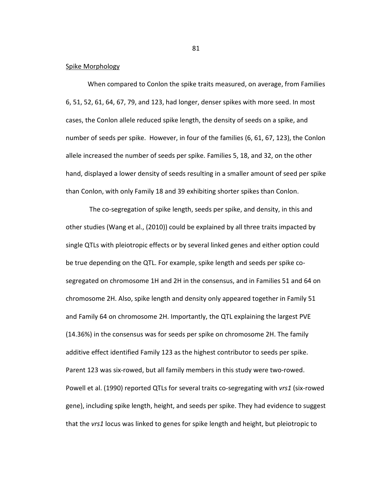#### Spike Morphology

When compared to Conlon the spike traits measured, on average, from Families 6, 51, 52, 61, 64, 67, 79, and 123, had longer, denser spikes with more seed. In most cases, the Conlon allele reduced spike length, the density of seeds on a spike, and number of seeds per spike. However, in four of the families (6, 61, 67, 123), the Conlon allele increased the number of seeds per spike. Families 5, 18, and 32, on the other hand, displayed a lower density of seeds resulting in a smaller amount of seed per spike than Conlon, with only Family 18 and 39 exhibiting shorter spikes than Conlon.

 The co-segregation of spike length, seeds per spike, and density, in this and other studies (Wang et al., (2010)) could be explained by all three traits impacted by single QTLs with pleiotropic effects or by several linked genes and either option could be true depending on the QTL. For example, spike length and seeds per spike cosegregated on chromosome 1H and 2H in the consensus, and in Families 51 and 64 on chromosome 2H. Also, spike length and density only appeared together in Family 51 and Family 64 on chromosome 2H. Importantly, the QTL explaining the largest PVE (14.36%) in the consensus was for seeds per spike on chromosome 2H. The family additive effect identified Family 123 as the highest contributor to seeds per spike. Parent 123 was six-rowed, but all family members in this study were two-rowed. Powell et al. (1990) reported QTLs for several traits co-segregating with *vrs1* (six-rowed gene), including spike length, height, and seeds per spike. They had evidence to suggest that the *vrs1* locus was linked to genes for spike length and height, but pleiotropic to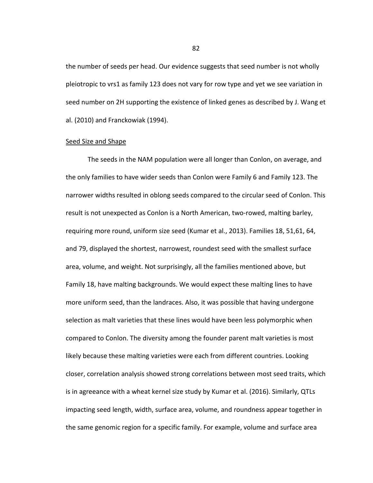the number of seeds per head. Our evidence suggests that seed number is not wholly pleiotropic to vrs1 as family 123 does not vary for row type and yet we see variation in seed number on 2H supporting the existence of linked genes as described by J. Wang et al. (2010) and Franckowiak (1994).

#### Seed Size and Shape

The seeds in the NAM population were all longer than Conlon, on average, and the only families to have wider seeds than Conlon were Family 6 and Family 123. The narrower widths resulted in oblong seeds compared to the circular seed of Conlon. This result is not unexpected as Conlon is a North American, two-rowed, malting barley, requiring more round, uniform size seed (Kumar et al., 2013). Families 18, 51,61, 64, and 79, displayed the shortest, narrowest, roundest seed with the smallest surface area, volume, and weight. Not surprisingly, all the families mentioned above, but Family 18, have malting backgrounds. We would expect these malting lines to have more uniform seed, than the landraces. Also, it was possible that having undergone selection as malt varieties that these lines would have been less polymorphic when compared to Conlon. The diversity among the founder parent malt varieties is most likely because these malting varieties were each from different countries. Looking closer, correlation analysis showed strong correlations between most seed traits, which is in agreeance with a wheat kernel size study by Kumar et al. (2016). Similarly, QTLs impacting seed length, width, surface area, volume, and roundness appear together in the same genomic region for a specific family. For example, volume and surface area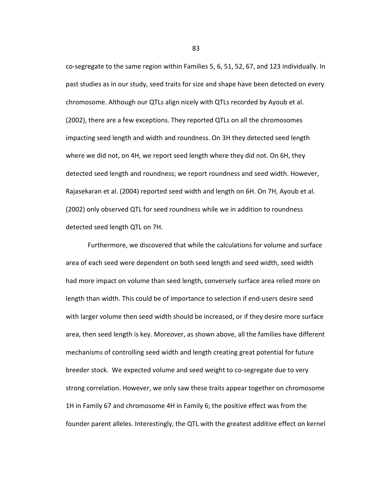co-segregate to the same region within Families 5, 6, 51, 52, 67, and 123 individually. In past studies as in our study, seed traits for size and shape have been detected on every chromosome. Although our QTLs align nicely with QTLs recorded by Ayoub et al. (2002), there are a few exceptions. They reported QTLs on all the chromosomes impacting seed length and width and roundness. On 3H they detected seed length where we did not, on 4H, we report seed length where they did not. On 6H, they detected seed length and roundness; we report roundness and seed width. However, Rajasekaran et al. (2004) reported seed width and length on 6H. On 7H, Ayoub et al. (2002) only observed QTL for seed roundness while we in addition to roundness detected seed length QTL on 7H.

Furthermore, we discovered that while the calculations for volume and surface area of each seed were dependent on both seed length and seed width, seed width had more impact on volume than seed length, conversely surface area relied more on length than width. This could be of importance to selection if end-users desire seed with larger volume then seed width should be increased, or if they desire more surface area, then seed length is key. Moreover, as shown above, all the families have different mechanisms of controlling seed width and length creating great potential for future breeder stock. We expected volume and seed weight to co-segregate due to very strong correlation. However, we only saw these traits appear together on chromosome 1H in Family 67 and chromosome 4H in Family 6; the positive effect was from the founder parent alleles. Interestingly, the QTL with the greatest additive effect on kernel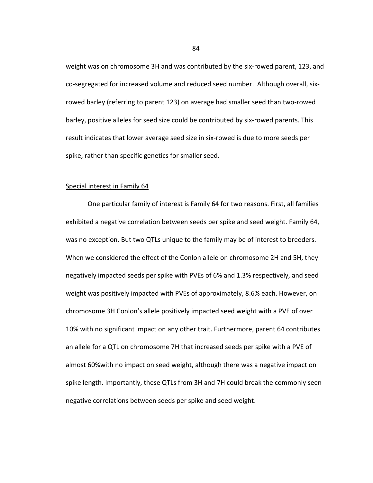weight was on chromosome 3H and was contributed by the six-rowed parent, 123, and co-segregated for increased volume and reduced seed number. Although overall, sixrowed barley (referring to parent 123) on average had smaller seed than two-rowed barley, positive alleles for seed size could be contributed by six-rowed parents. This result indicates that lower average seed size in six-rowed is due to more seeds per spike, rather than specific genetics for smaller seed.

# Special interest in Family 64

One particular family of interest is Family 64 for two reasons. First, all families exhibited a negative correlation between seeds per spike and seed weight. Family 64, was no exception. But two QTLs unique to the family may be of interest to breeders. When we considered the effect of the Conlon allele on chromosome 2H and 5H, they negatively impacted seeds per spike with PVEs of 6% and 1.3% respectively, and seed weight was positively impacted with PVEs of approximately, 8.6% each. However, on chromosome 3H Conlon's allele positively impacted seed weight with a PVE of over 10% with no significant impact on any other trait. Furthermore, parent 64 contributes an allele for a QTL on chromosome 7H that increased seeds per spike with a PVE of almost 60%with no impact on seed weight, although there was a negative impact on spike length. Importantly, these QTLs from 3H and 7H could break the commonly seen negative correlations between seeds per spike and seed weight.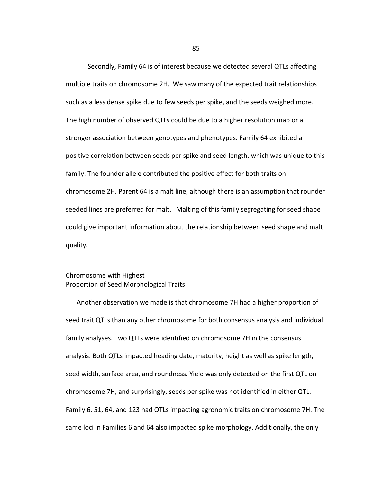Secondly, Family 64 is of interest because we detected several QTLs affecting multiple traits on chromosome 2H. We saw many of the expected trait relationships such as a less dense spike due to few seeds per spike, and the seeds weighed more. The high number of observed QTLs could be due to a higher resolution map or a stronger association between genotypes and phenotypes. Family 64 exhibited a positive correlation between seeds per spike and seed length, which was unique to this family. The founder allele contributed the positive effect for both traits on chromosome 2H. Parent 64 is a malt line, although there is an assumption that rounder seeded lines are preferred for malt. Malting of this family segregating for seed shape could give important information about the relationship between seed shape and malt quality.

# Chromosome with Highest Proportion of Seed Morphological Traits

Another observation we made is that chromosome 7H had a higher proportion of seed trait QTLs than any other chromosome for both consensus analysis and individual family analyses. Two QTLs were identified on chromosome 7H in the consensus analysis. Both QTLs impacted heading date, maturity, height as well as spike length, seed width, surface area, and roundness. Yield was only detected on the first QTL on chromosome 7H, and surprisingly, seeds per spike was not identified in either QTL. Family 6, 51, 64, and 123 had QTLs impacting agronomic traits on chromosome 7H. The same loci in Families 6 and 64 also impacted spike morphology. Additionally, the only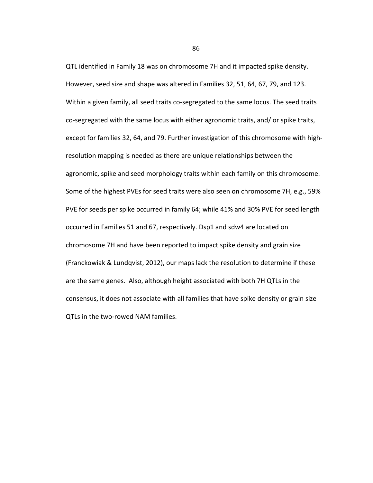QTL identified in Family 18 was on chromosome 7H and it impacted spike density. However, seed size and shape was altered in Families 32, 51, 64, 67, 79, and 123. Within a given family, all seed traits co-segregated to the same locus. The seed traits co-segregated with the same locus with either agronomic traits, and/ or spike traits, except for families 32, 64, and 79. Further investigation of this chromosome with highresolution mapping is needed as there are unique relationships between the agronomic, spike and seed morphology traits within each family on this chromosome. Some of the highest PVEs for seed traits were also seen on chromosome 7H, e.g., 59% PVE for seeds per spike occurred in family 64; while 41% and 30% PVE for seed length occurred in Families 51 and 67, respectively. Dsp1 and sdw4 are located on chromosome 7H and have been reported to impact spike density and grain size (Franckowiak & Lundqvist, 2012), our maps lack the resolution to determine if these are the same genes. Also, although height associated with both 7H QTLs in the consensus, it does not associate with all families that have spike density or grain size QTLs in the two-rowed NAM families.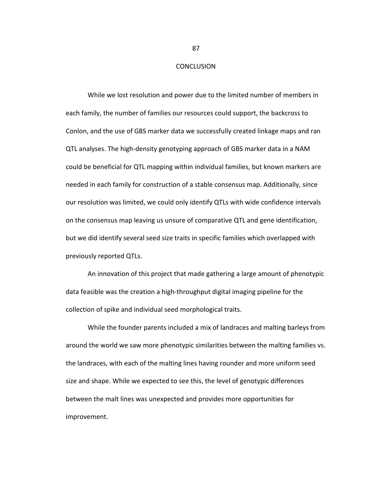#### **CONCLUSION**

 While we lost resolution and power due to the limited number of members in each family, the number of families our resources could support, the backcross to Conlon, and the use of GBS marker data we successfully created linkage maps and ran QTL analyses. The high-density genotyping approach of GBS marker data in a NAM could be beneficial for QTL mapping within individual families, but known markers are needed in each family for construction of a stable consensus map. Additionally, since our resolution was limited, we could only identify QTLs with wide confidence intervals on the consensus map leaving us unsure of comparative QTL and gene identification, but we did identify several seed size traits in specific families which overlapped with previously reported QTLs.

An innovation of this project that made gathering a large amount of phenotypic data feasible was the creation a high-throughput digital imaging pipeline for the collection of spike and individual seed morphological traits.

While the founder parents included a mix of landraces and malting barleys from around the world we saw more phenotypic similarities between the malting families vs. the landraces, with each of the malting lines having rounder and more uniform seed size and shape. While we expected to see this, the level of genotypic differences between the malt lines was unexpected and provides more opportunities for improvement.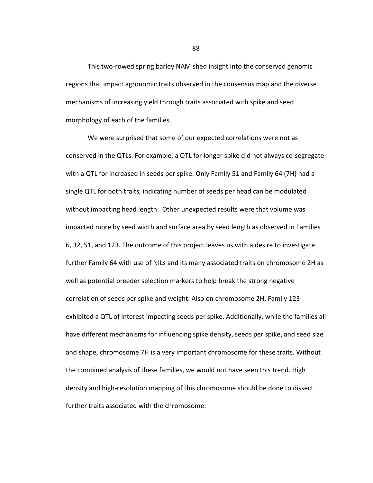This two-rowed spring barley NAM shed insight into the conserved genomic regions that impact agronomic traits observed in the consensus map and the diverse mechanisms of increasing yield through traits associated with spike and seed morphology of each of the families.

We were surprised that some of our expected correlations were not as conserved in the QTLs. For example, a QTL for longer spike did not always co-segregate with a QTL for increased in seeds per spike. Only Family 51 and Family 64 (7H) had a single QTL for both traits, indicating number of seeds per head can be modulated without impacting head length. Other unexpected results were that volume was impacted more by seed width and surface area by seed length as observed in Families 6, 32, 51, and 123. The outcome of this project leaves us with a desire to investigate further Family 64 with use of NILs and its many associated traits on chromosome 2H as well as potential breeder selection markers to help break the strong negative correlation of seeds per spike and weight. Also on chromosome 2H, Family 123 exhibited a QTL of interest impacting seeds per spike. Additionally, while the families all have different mechanisms for influencing spike density, seeds per spike, and seed size and shape, chromosome 7H is a very important chromosome for these traits. Without the combined analysis of these families, we would not have seen this trend. High density and high-resolution mapping of this chromosome should be done to dissect further traits associated with the chromosome.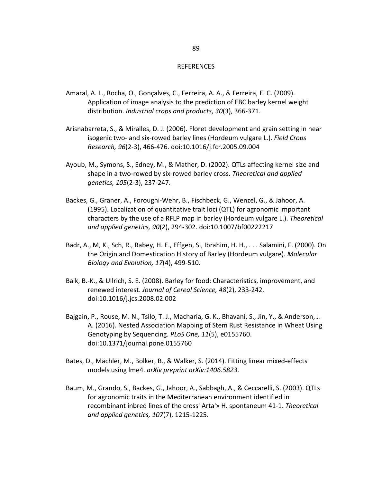### REFERENCES

- Amaral, A. L., Rocha, O., Gonçalves, C., Ferreira, A. A., & Ferreira, E. C. (2009). Application of image analysis to the prediction of EBC barley kernel weight distribution. *Industrial crops and products, 30*(3), 366-371.
- Arisnabarreta, S., & Miralles, D. J. (2006). Floret development and grain setting in near isogenic two- and six-rowed barley lines (Hordeum vulgare L.). *Field Crops Research, 96*(2-3), 466-476. doi:10.1016/j.fcr.2005.09.004
- Ayoub, M., Symons, S., Edney, M., & Mather, D. (2002). QTLs affecting kernel size and shape in a two-rowed by six-rowed barley cross. *Theoretical and applied genetics, 105*(2-3), 237-247.
- Backes, G., Graner, A., Foroughi-Wehr, B., Fischbeck, G., Wenzel, G., & Jahoor, A. (1995). Localization of quantitative trait loci (QTL) for agronomic important characters by the use of a RFLP map in barley (Hordeum vulgare L.). *Theoretical and applied genetics, 90*(2), 294-302. doi:10.1007/bf00222217
- Badr, A., M, K., Sch, R., Rabey, H. E., Effgen, S., Ibrahim, H. H., . . . Salamini, F. (2000). On the Origin and Domestication History of Barley (Hordeum vulgare). *Molecular Biology and Evolution, 17*(4), 499-510.
- Baik, B.-K., & Ullrich, S. E. (2008). Barley for food: Characteristics, improvement, and renewed interest. *Journal of Cereal Science, 48*(2), 233-242. doi:10.1016/j.jcs.2008.02.002
- Bajgain, P., Rouse, M. N., Tsilo, T. J., Macharia, G. K., Bhavani, S., Jin, Y., & Anderson, J. A. (2016). Nested Association Mapping of Stem Rust Resistance in Wheat Using Genotyping by Sequencing. *PLoS One, 11*(5), e0155760. doi:10.1371/journal.pone.0155760
- Bates, D., Mächler, M., Bolker, B., & Walker, S. (2014). Fitting linear mixed-effects models using lme4. *arXiv preprint arXiv:1406.5823*.
- Baum, M., Grando, S., Backes, G., Jahoor, A., Sabbagh, A., & Ceccarelli, S. (2003). QTLs for agronomic traits in the Mediterranean environment identified in recombinant inbred lines of the cross' Arta'× H. spontaneum 41-1. *Theoretical and applied genetics, 107*(7), 1215-1225.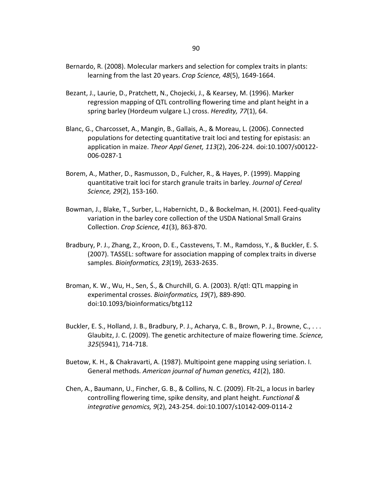- Bernardo, R. (2008). Molecular markers and selection for complex traits in plants: learning from the last 20 years. *Crop Science, 48*(5), 1649-1664.
- Bezant, J., Laurie, D., Pratchett, N., Chojecki, J., & Kearsey, M. (1996). Marker regression mapping of QTL controlling flowering time and plant height in a spring barley (Hordeum vulgare L.) cross. *Heredity, 77*(1), 64.
- Blanc, G., Charcosset, A., Mangin, B., Gallais, A., & Moreau, L. (2006). Connected populations for detecting quantitative trait loci and testing for epistasis: an application in maize. *Theor Appl Genet, 113*(2), 206-224. doi:10.1007/s00122- 006-0287-1
- Borem, A., Mather, D., Rasmusson, D., Fulcher, R., & Hayes, P. (1999). Mapping quantitative trait loci for starch granule traits in barley. *Journal of Cereal Science, 29*(2), 153-160.
- Bowman, J., Blake, T., Surber, L., Habernicht, D., & Bockelman, H. (2001). Feed-quality variation in the barley core collection of the USDA National Small Grains Collection. *Crop Science, 41*(3), 863-870.
- Bradbury, P. J., Zhang, Z., Kroon, D. E., Casstevens, T. M., Ramdoss, Y., & Buckler, E. S. (2007). TASSEL: software for association mapping of complex traits in diverse samples. *Bioinformatics, 23*(19), 2633-2635.
- Broman, K. W., Wu, H., Sen, Ś., & Churchill, G. A. (2003). R/qtl: QTL mapping in experimental crosses. *Bioinformatics, 19*(7), 889-890. doi:10.1093/bioinformatics/btg112
- Buckler, E. S., Holland, J. B., Bradbury, P. J., Acharya, C. B., Brown, P. J., Browne, C., . . . Glaubitz, J. C. (2009). The genetic architecture of maize flowering time. *Science, 325*(5941), 714-718.
- Buetow, K. H., & Chakravarti, A. (1987). Multipoint gene mapping using seriation. I. General methods. *American journal of human genetics, 41*(2), 180.
- Chen, A., Baumann, U., Fincher, G. B., & Collins, N. C. (2009). Flt-2L, a locus in barley controlling flowering time, spike density, and plant height. *Functional & integrative genomics, 9*(2), 243-254. doi:10.1007/s10142-009-0114-2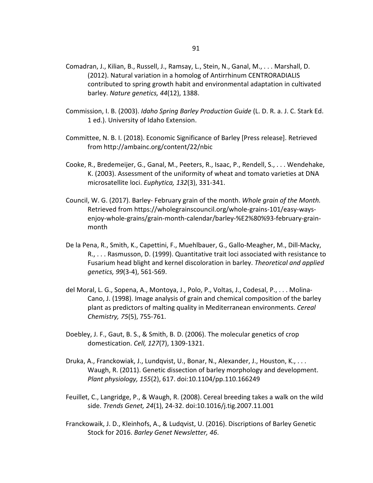- Comadran, J., Kilian, B., Russell, J., Ramsay, L., Stein, N., Ganal, M., . . . Marshall, D. (2012). Natural variation in a homolog of Antirrhinum CENTRORADIALIS contributed to spring growth habit and environmental adaptation in cultivated barley. *Nature genetics, 44*(12), 1388.
- Commission, I. B. (2003). *Idaho Spring Barley Production Guide* (L. D. R. a. J. C. Stark Ed. 1 ed.). University of Idaho Extension.
- Committee, N. B. I. (2018). Economic Significance of Barley [Press release]. Retrieved from http://ambainc.org/content/22/nbic
- Cooke, R., Bredemeijer, G., Ganal, M., Peeters, R., Isaac, P., Rendell, S., . . . Wendehake, K. (2003). Assessment of the uniformity of wheat and tomato varieties at DNA microsatellite loci. *Euphytica, 132*(3), 331-341.
- Council, W. G. (2017). Barley- February grain of the month. *Whole grain of the Month.* Retrieved from https://wholegrainscouncil.org/whole-grains-101/easy-waysenjoy-whole-grains/grain-month-calendar/barley-%E2%80%93-february-grainmonth
- De la Pena, R., Smith, K., Capettini, F., Muehlbauer, G., Gallo-Meagher, M., Dill-Macky, R., . . . Rasmusson, D. (1999). Quantitative trait loci associated with resistance to Fusarium head blight and kernel discoloration in barley. *Theoretical and applied genetics, 99*(3-4), 561-569.
- del Moral, L. G., Sopena, A., Montoya, J., Polo, P., Voltas, J., Codesal, P., . . . Molina-Cano, J. (1998). Image analysis of grain and chemical composition of the barley plant as predictors of malting quality in Mediterranean environments. *Cereal Chemistry, 75*(5), 755-761.
- Doebley, J. F., Gaut, B. S., & Smith, B. D. (2006). The molecular genetics of crop domestication. *Cell, 127*(7), 1309-1321.
- Druka, A., Franckowiak, J., Lundqvist, U., Bonar, N., Alexander, J., Houston, K., . . . Waugh, R. (2011). Genetic dissection of barley morphology and development. *Plant physiology, 155*(2), 617. doi:10.1104/pp.110.166249
- Feuillet, C., Langridge, P., & Waugh, R. (2008). Cereal breeding takes a walk on the wild side. *Trends Genet, 24*(1), 24-32. doi:10.1016/j.tig.2007.11.001
- Franckowaik, J. D., Kleinhofs, A., & Ludqvist, U. (2016). Discriptions of Barley Genetic Stock for 2016. *Barley Genet Newsletter, 46*.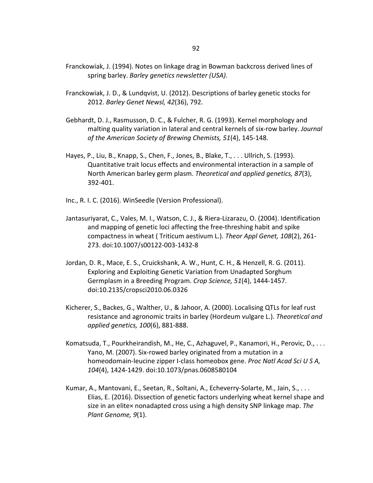- Franckowiak, J. (1994). Notes on linkage drag in Bowman backcross derived lines of spring barley. *Barley genetics newsletter (USA)*.
- Franckowiak, J. D., & Lundqvist, U. (2012). Descriptions of barley genetic stocks for 2012. *Barley Genet Newsl, 42*(36), 792.
- Gebhardt, D. J., Rasmusson, D. C., & Fulcher, R. G. (1993). Kernel morphology and malting quality variation in lateral and central kernels of six-row barley. *Journal of the American Society of Brewing Chemists, 51*(4), 145-148.
- Hayes, P., Liu, B., Knapp, S., Chen, F., Jones, B., Blake, T., . . . Ullrich, S. (1993). Quantitative trait locus effects and environmental interaction in a sample of North American barley germ plasm. *Theoretical and applied genetics, 87*(3), 392-401.
- Inc., R. I. C. (2016). WinSeedle (Version Professional).
- Jantasuriyarat, C., Vales, M. I., Watson, C. J., & Riera-Lizarazu, O. (2004). Identification and mapping of genetic loci affecting the free-threshing habit and spike compactness in wheat ( Triticum aestivum L.). *Theor Appl Genet, 108*(2), 261- 273. doi:10.1007/s00122-003-1432-8
- Jordan, D. R., Mace, E. S., Cruickshank, A. W., Hunt, C. H., & Henzell, R. G. (2011). Exploring and Exploiting Genetic Variation from Unadapted Sorghum Germplasm in a Breeding Program. *Crop Science, 51*(4), 1444-1457. doi:10.2135/cropsci2010.06.0326
- Kicherer, S., Backes, G., Walther, U., & Jahoor, A. (2000). Localising QTLs for leaf rust resistance and agronomic traits in barley (Hordeum vulgare L.). *Theoretical and applied genetics, 100*(6), 881-888.
- Komatsuda, T., Pourkheirandish, M., He, C., Azhaguvel, P., Kanamori, H., Perovic, D., . . . Yano, M. (2007). Six-rowed barley originated from a mutation in a homeodomain-leucine zipper I-class homeobox gene. *Proc Natl Acad Sci U S A, 104*(4), 1424-1429. doi:10.1073/pnas.0608580104
- Kumar, A., Mantovani, E., Seetan, R., Soltani, A., Echeverry-Solarte, M., Jain, S., . . . Elias, E. (2016). Dissection of genetic factors underlying wheat kernel shape and size in an elite× nonadapted cross using a high density SNP linkage map. *The Plant Genome, 9*(1).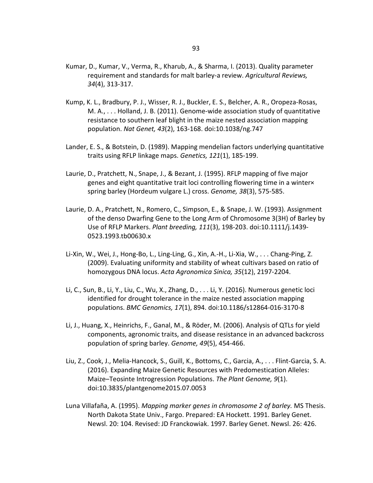- Kumar, D., Kumar, V., Verma, R., Kharub, A., & Sharma, I. (2013). Quality parameter requirement and standards for malt barley-a review. *Agricultural Reviews, 34*(4), 313-317.
- Kump, K. L., Bradbury, P. J., Wisser, R. J., Buckler, E. S., Belcher, A. R., Oropeza-Rosas, M. A., . . . Holland, J. B. (2011). Genome-wide association study of quantitative resistance to southern leaf blight in the maize nested association mapping population. *Nat Genet, 43*(2), 163-168. doi:10.1038/ng.747
- Lander, E. S., & Botstein, D. (1989). Mapping mendelian factors underlying quantitative traits using RFLP linkage maps. *Genetics, 121*(1), 185-199.
- Laurie, D., Pratchett, N., Snape, J., & Bezant, J. (1995). RFLP mapping of five major genes and eight quantitative trait loci controlling flowering time in a winter× spring barley (Hordeum vulgare L.) cross. *Genome, 38*(3), 575-585.
- Laurie, D. A., Pratchett, N., Romero, C., Simpson, E., & Snape, J. W. (1993). Assignment of the denso Dwarfing Gene to the Long Arm of Chromosome 3(3H) of Barley by Use of RFLP Markers. *Plant breeding, 111*(3), 198-203. doi:10.1111/j.1439- 0523.1993.tb00630.x
- Li-Xin, W., Wei, J., Hong-Bo, L., Ling-Ling, G., Xin, A.-H., Li-Xia, W., . . . Chang-Ping, Z. (2009). Evaluating uniformity and stability of wheat cultivars based on ratio of homozygous DNA locus. *Acta Agronomica Sinica, 35*(12), 2197-2204.
- Li, C., Sun, B., Li, Y., Liu, C., Wu, X., Zhang, D., . . . Li, Y. (2016). Numerous genetic loci identified for drought tolerance in the maize nested association mapping populations. *BMC Genomics, 17*(1), 894. doi:10.1186/s12864-016-3170-8
- Li, J., Huang, X., Heinrichs, F., Ganal, M., & Röder, M. (2006). Analysis of QTLs for yield components, agronomic traits, and disease resistance in an advanced backcross population of spring barley. *Genome, 49*(5), 454-466.
- Liu, Z., Cook, J., Melia-Hancock, S., Guill, K., Bottoms, C., Garcia, A., . . . Flint-Garcia, S. A. (2016). Expanding Maize Genetic Resources with Predomestication Alleles: Maize–Teosinte Introgression Populations. *The Plant Genome, 9*(1). doi:10.3835/plantgenome2015.07.0053
- Luna Villafaña, A. (1995). *Mapping marker genes in chromosome 2 of barley.* MS Thesis. North Dakota State Univ., Fargo. Prepared: EA Hockett. 1991. Barley Genet. Newsl. 20: 104. Revised: JD Franckowiak. 1997. Barley Genet. Newsl. 26: 426.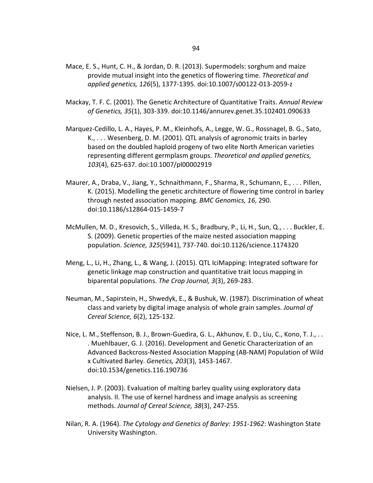- Mace, E. S., Hunt, C. H., & Jordan, D. R. (2013). Supermodels: sorghum and maize provide mutual insight into the genetics of flowering time. *Theoretical and applied genetics, 126*(5), 1377-1395. doi:10.1007/s00122-013-2059-z
- Mackay, T. F. C. (2001). The Genetic Architecture of Quantitative Traits. *Annual Review of Genetics, 35*(1), 303-339. doi:10.1146/annurev.genet.35.102401.090633
- Marquez-Cedillo, L. A., Hayes, P. M., Kleinhofs, A., Legge, W. G., Rossnagel, B. G., Sato, K., . . . Wesenberg, D. M. (2001). QTL analysis of agronomic traits in barley based on the doubled haploid progeny of two elite North American varieties representing different germplasm groups. *Theoretical and applied genetics, 103*(4), 625-637. doi:10.1007/pl00002919
- Maurer, A., Draba, V., Jiang, Y., Schnaithmann, F., Sharma, R., Schumann, E., . . . Pillen, K. (2015). Modelling the genetic architecture of flowering time control in barley through nested association mapping. *BMC Genomics, 16*, 290. doi:10.1186/s12864-015-1459-7
- McMullen, M. D., Kresovich, S., Villeda, H. S., Bradbury, P., Li, H., Sun, Q., . . . Buckler, E. S. (2009). Genetic properties of the maize nested association mapping population. *Science, 325*(5941), 737-740. doi:10.1126/science.1174320
- Meng, L., Li, H., Zhang, L., & Wang, J. (2015). QTL IciMapping: Integrated software for genetic linkage map construction and quantitative trait locus mapping in biparental populations. *The Crop Journal, 3*(3), 269-283.
- Neuman, M., Sapirstein, H., Shwedyk, E., & Bushuk, W. (1987). Discrimination of wheat class and variety by digital image analysis of whole grain samples. *Journal of Cereal Science, 6*(2), 125-132.
- Nice, L. M., Steffenson, B. J., Brown-Guedira, G. L., Akhunov, E. D., Liu, C., Kono, T. J., . . . Muehlbauer, G. J. (2016). Development and Genetic Characterization of an Advanced Backcross-Nested Association Mapping (AB-NAM) Population of Wild x Cultivated Barley. *Genetics, 203*(3), 1453-1467. doi:10.1534/genetics.116.190736
- Nielsen, J. P. (2003). Evaluation of malting barley quality using exploratory data analysis. II. The use of kernel hardness and image analysis as screening methods. *Journal of Cereal Science, 38*(3), 247-255.
- Nilan, R. A. (1964). *The Cytology and Genetics of Barley: 1951-1962*: Washington State University Washington.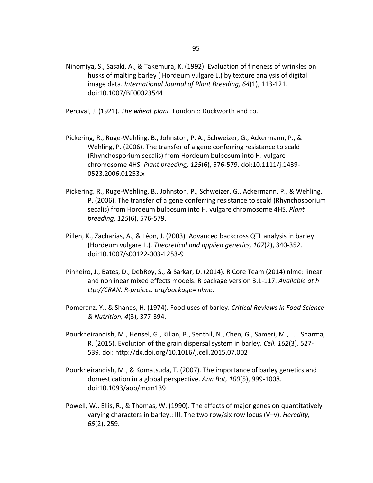Ninomiya, S., Sasaki, A., & Takemura, K. (1992). Evaluation of fineness of wrinkles on husks of malting barley ( Hordeum vulgare L.) by texture analysis of digital image data. *International Journal of Plant Breeding, 64*(1), 113-121. doi:10.1007/BF00023544

Percival, J. (1921). *The wheat plant*. London :: Duckworth and co.

- Pickering, R., Ruge-Wehling, B., Johnston, P. A., Schweizer, G., Ackermann, P., & Wehling, P. (2006). The transfer of a gene conferring resistance to scald (Rhynchosporium secalis) from Hordeum bulbosum into H. vulgare chromosome 4HS. *Plant breeding, 125*(6), 576-579. doi:10.1111/j.1439- 0523.2006.01253.x
- Pickering, R., Ruge-Wehling, B., Johnston, P., Schweizer, G., Ackermann, P., & Wehling, P. (2006). The transfer of a gene conferring resistance to scald (Rhynchosporium secalis) from Hordeum bulbosum into H. vulgare chromosome 4HS. *Plant breeding, 125*(6), 576-579.
- Pillen, K., Zacharias, A., & Léon, J. (2003). Advanced backcross QTL analysis in barley (Hordeum vulgare L.). *Theoretical and applied genetics, 107*(2), 340-352. doi:10.1007/s00122-003-1253-9
- Pinheiro, J., Bates, D., DebRoy, S., & Sarkar, D. (2014). R Core Team (2014) nlme: linear and nonlinear mixed effects models. R package version 3.1-117. *Available at h ttp://CRAN. R-project. org/package= nlme*.
- Pomeranz, Y., & Shands, H. (1974). Food uses of barley. *Critical Reviews in Food Science & Nutrition, 4*(3), 377-394.
- Pourkheirandish, M., Hensel, G., Kilian, B., Senthil, N., Chen, G., Sameri, M., . . . Sharma, R. (2015). Evolution of the grain dispersal system in barley. *Cell, 162*(3), 527- 539. doi: http://dx.doi.org/10.1016/j.cell.2015.07.002
- Pourkheirandish, M., & Komatsuda, T. (2007). The importance of barley genetics and domestication in a global perspective. *Ann Bot, 100*(5), 999-1008. doi:10.1093/aob/mcm139
- Powell, W., Ellis, R., & Thomas, W. (1990). The effects of major genes on quantitatively varying characters in barley.: III. The two row/six row locus (V–v). *Heredity, 65*(2), 259.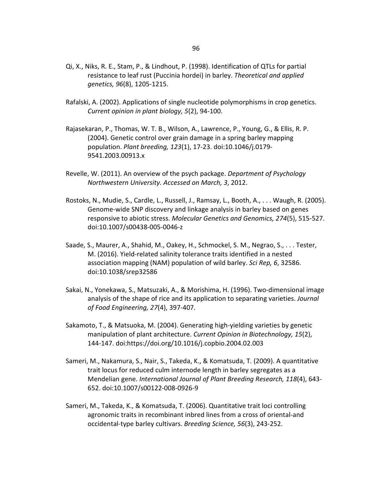- Qi, X., Niks, R. E., Stam, P., & Lindhout, P. (1998). Identification of QTLs for partial resistance to leaf rust (Puccinia hordei) in barley. *Theoretical and applied genetics, 96*(8), 1205-1215.
- Rafalski, A. (2002). Applications of single nucleotide polymorphisms in crop genetics. *Current opinion in plant biology, 5*(2), 94-100.
- Rajasekaran, P., Thomas, W. T. B., Wilson, A., Lawrence, P., Young, G., & Ellis, R. P. (2004). Genetic control over grain damage in a spring barley mapping population. *Plant breeding, 123*(1), 17-23. doi:10.1046/j.0179- 9541.2003.00913.x
- Revelle, W. (2011). An overview of the psych package. *Department of Psychology Northwestern University. Accessed on March, 3*, 2012.
- Rostoks, N., Mudie, S., Cardle, L., Russell, J., Ramsay, L., Booth, A., . . . Waugh, R. (2005). Genome-wide SNP discovery and linkage analysis in barley based on genes responsive to abiotic stress. *Molecular Genetics and Genomics, 274*(5), 515-527. doi:10.1007/s00438-005-0046-z
- Saade, S., Maurer, A., Shahid, M., Oakey, H., Schmockel, S. M., Negrao, S., . . . Tester, M. (2016). Yield-related salinity tolerance traits identified in a nested association mapping (NAM) population of wild barley. *Sci Rep, 6*, 32586. doi:10.1038/srep32586
- Sakai, N., Yonekawa, S., Matsuzaki, A., & Morishima, H. (1996). Two-dimensional image analysis of the shape of rice and its application to separating varieties. *Journal of Food Engineering, 27*(4), 397-407.
- Sakamoto, T., & Matsuoka, M. (2004). Generating high-yielding varieties by genetic manipulation of plant architecture. *Current Opinion in Biotechnology, 15*(2), 144-147. doi:https://doi.org/10.1016/j.copbio.2004.02.003
- Sameri, M., Nakamura, S., Nair, S., Takeda, K., & Komatsuda, T. (2009). A quantitative trait locus for reduced culm internode length in barley segregates as a Mendelian gene. *International Journal of Plant Breeding Research, 118*(4), 643- 652. doi:10.1007/s00122-008-0926-9
- Sameri, M., Takeda, K., & Komatsuda, T. (2006). Quantitative trait loci controlling agronomic traits in recombinant inbred lines from a cross of oriental-and occidental-type barley cultivars. *Breeding Science, 56*(3), 243-252.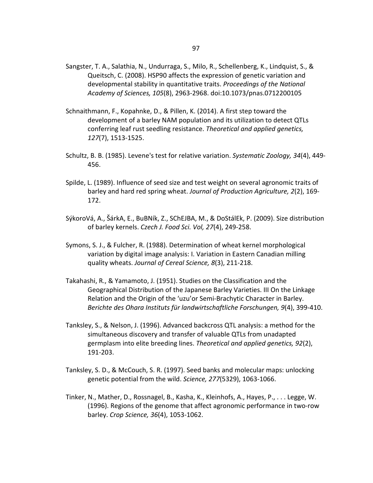- Sangster, T. A., Salathia, N., Undurraga, S., Milo, R., Schellenberg, K., Lindquist, S., & Queitsch, C. (2008). HSP90 affects the expression of genetic variation and developmental stability in quantitative traits. *Proceedings of the National Academy of Sciences, 105*(8), 2963-2968. doi:10.1073/pnas.0712200105
- Schnaithmann, F., Kopahnke, D., & Pillen, K. (2014). A first step toward the development of a barley NAM population and its utilization to detect QTLs conferring leaf rust seedling resistance. *Theoretical and applied genetics, 127*(7), 1513-1525.
- Schultz, B. B. (1985). Levene's test for relative variation. *Systematic Zoology, 34*(4), 449- 456.
- Spilde, L. (1989). Influence of seed size and test weight on several agronomic traits of barley and hard red spring wheat. *Journal of Production Agriculture, 2*(2), 169- 172.
- SýkoroVá, A., ŠárkA, E., BuBNík, Z., SChEJBA, M., & DoStálEk, P. (2009). Size distribution of barley kernels. *Czech J. Food Sci. Vol, 27*(4), 249-258.
- Symons, S. J., & Fulcher, R. (1988). Determination of wheat kernel morphological variation by digital image analysis: I. Variation in Eastern Canadian milling quality wheats. *Journal of Cereal Science, 8*(3), 211-218.
- Takahashi, R., & Yamamoto, J. (1951). Studies on the Classification and the Geographical Distribution of the Japanese Barley Varieties. III On the Linkage Relation and the Origin of the 'uzu'or Semi-Brachytic Character in Barley. *Berichte des Ohara Instituts für landwirtschaftliche Forschungen, 9*(4), 399-410.
- Tanksley, S., & Nelson, J. (1996). Advanced backcross QTL analysis: a method for the simultaneous discovery and transfer of valuable QTLs from unadapted germplasm into elite breeding lines. *Theoretical and applied genetics, 92*(2), 191-203.
- Tanksley, S. D., & McCouch, S. R. (1997). Seed banks and molecular maps: unlocking genetic potential from the wild. *Science, 277*(5329), 1063-1066.
- Tinker, N., Mather, D., Rossnagel, B., Kasha, K., Kleinhofs, A., Hayes, P., . . . Legge, W. (1996). Regions of the genome that affect agronomic performance in two-row barley. *Crop Science, 36*(4), 1053-1062.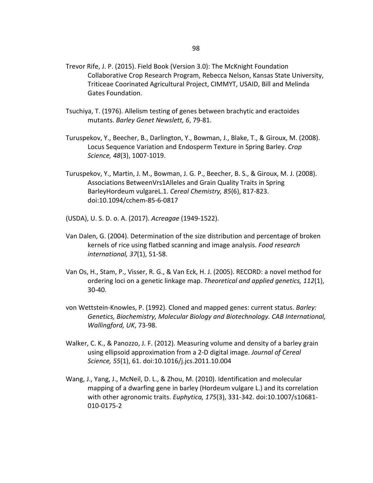- Trevor Rife, J. P. (2015). Field Book (Version 3.0): The McKnight Foundation Collaborative Crop Research Program, Rebecca Nelson, Kansas State University, Triticeae Coorinated Agricultural Project, CIMMYT, USAID, Bill and Melinda Gates Foundation.
- Tsuchiya, T. (1976). Allelism testing of genes between brachytic and eractoides mutants. *Barley Genet Newslett, 6*, 79-81.
- Turuspekov, Y., Beecher, B., Darlington, Y., Bowman, J., Blake, T., & Giroux, M. (2008). Locus Sequence Variation and Endosperm Texture in Spring Barley. *Crop Science, 48*(3), 1007-1019.
- Turuspekov, Y., Martin, J. M., Bowman, J. G. P., Beecher, B. S., & Giroux, M. J. (2008). Associations BetweenVrs1Alleles and Grain Quality Traits in Spring BarleyHordeum vulgareL.1. *Cereal Chemistry, 85*(6), 817-823. doi:10.1094/cchem-85-6-0817
- (USDA), U. S. D. o. A. (2017). *Acreagae* (1949-1522).
- Van Dalen, G. (2004). Determination of the size distribution and percentage of broken kernels of rice using flatbed scanning and image analysis. *Food research international, 37*(1), 51-58.
- Van Os, H., Stam, P., Visser, R. G., & Van Eck, H. J. (2005). RECORD: a novel method for ordering loci on a genetic linkage map. *Theoretical and applied genetics, 112*(1), 30-40.
- von Wettstein-Knowles, P. (1992). Cloned and mapped genes: current status. *Barley: Genetics, Biochemistry, Molecular Biology and Biotechnology. CAB International, Wallingford, UK*, 73-98.
- Walker, C. K., & Panozzo, J. F. (2012). Measuring volume and density of a barley grain using ellipsoid approximation from a 2-D digital image. *Journal of Cereal Science, 55*(1), 61. doi:10.1016/j.jcs.2011.10.004
- Wang, J., Yang, J., McNeil, D. L., & Zhou, M. (2010). Identification and molecular mapping of a dwarfing gene in barley (Hordeum vulgare L.) and its correlation with other agronomic traits. *Euphytica, 175*(3), 331-342. doi:10.1007/s10681- 010-0175-2